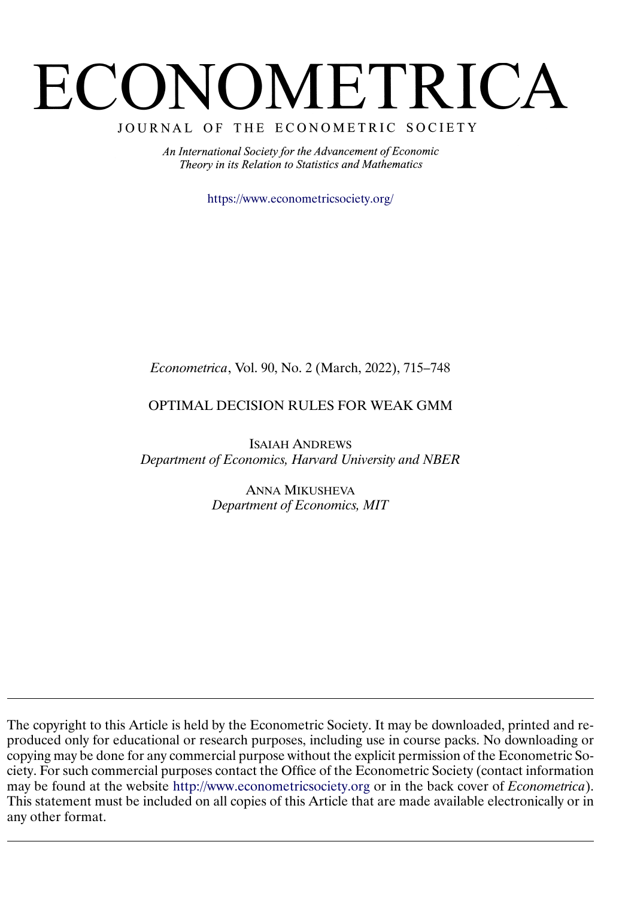# <span id="page-0-0"></span>ECONOMETRICA

JOURNAL OF THE ECONOMETRIC SOCIETY

An International Society for the Advancement of Economic Theory in its Relation to Statistics and Mathematics

<https://www.econometricsociety.org/>

# *Econometrica*, Vol. 90, No. 2 (March, 2022), 715–748

# OPTIMAL DECISION RULES FOR WEAK GMM

ISAIAH ANDREWS *Department of Economics, Harvard University and NBER*

> ANNA MIKUSHEVA *Department of Economics, MIT*

The copyright to this Article is held by the Econometric Society. It may be downloaded, printed and reproduced only for educational or research purposes, including use in course packs. No downloading or copying may be done for any commercial purpose without the explicit permission of the Econometric Society. For such commercial purposes contact the Office of the Econometric Society (contact information may be found at the website [http://www.econometricsociety.org](https://www.econometricsociety.org/) or in the back cover of *Econometrica*). This statement must be included on all copies of this Article that are made available electronically or in any other format.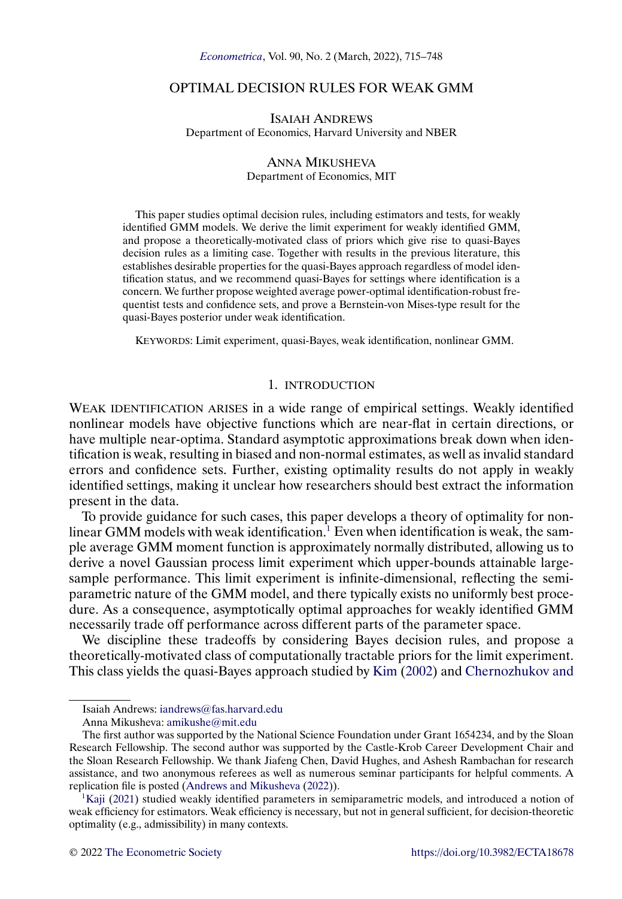# <span id="page-1-0"></span>OPTIMAL DECISION RULES FOR WEAK GMM

ISAIAH ANDREWS Department of Economics, Harvard University and NBER

#### ANNA MIKUSHEVA Department of Economics, MIT

This paper studies optimal decision rules, including estimators and tests, for weakly identified GMM models. We derive the limit experiment for weakly identified GMM, and propose a theoretically-motivated class of priors which give rise to quasi-Bayes decision rules as a limiting case. Together with results in the previous literature, this establishes desirable properties for the quasi-Bayes approach regardless of model identification status, and we recommend quasi-Bayes for settings where identification is a concern. We further propose weighted average power-optimal identification-robust frequentist tests and confidence sets, and prove a Bernstein-von Mises-type result for the quasi-Bayes posterior under weak identification.

KEYWORDS: Limit experiment, quasi-Bayes, weak identification, nonlinear GMM.

# 1. INTRODUCTION

WEAK IDENTIFICATION ARISES in a wide range of empirical settings. Weakly identified nonlinear models have objective functions which are near-flat in certain directions, or have multiple near-optima. Standard asymptotic approximations break down when identification is weak, resulting in biased and non-normal estimates, as well as invalid standard errors and confidence sets. Further, existing optimality results do not apply in weakly identified settings, making it unclear how researchers should best extract the information present in the data.

To provide guidance for such cases, this paper develops a theory of optimality for nonlinear GMM models with weak identification. $<sup>1</sup>$  Even when identification is weak, the sam-</sup> ple average GMM moment function is approximately normally distributed, allowing us to derive a novel Gaussian process limit experiment which upper-bounds attainable largesample performance. This limit experiment is infinite-dimensional, reflecting the semiparametric nature of the GMM model, and there typically exists no uniformly best procedure. As a consequence, asymptotically optimal approaches for weakly identified GMM necessarily trade off performance across different parts of the parameter space.

We discipline these tradeoffs by considering Bayes decision rules, and propose a theoretically-motivated class of computationally tractable priors for the limit experiment. This class yields the quasi-Bayes approach studied by [Kim](#page-33-0) [\(2002\)](#page-33-0) and [Chernozhukov and](#page-33-0)

Isaiah Andrews: [iandrews@fas.harvard.edu](mailto:iandrews@fas.harvard.edu)

Anna Mikusheva: [amikushe@mit.edu](mailto:amikushe@mit.edu)

The first author was supported by the National Science Foundation under Grant 1654234, and by the Sloan Research Fellowship. The second author was supported by the Castle-Krob Career Development Chair and the Sloan Research Fellowship. We thank Jiafeng Chen, David Hughes, and Ashesh Rambachan for research assistance, and two anonymous referees as well as numerous seminar participants for helpful comments. A replication file is posted [\(Andrews and Mikusheva](#page-33-0) [\(2022\)](#page-33-0)).

 ${}^{1}$ Kaji [\(2021\)](#page-33-0) studied weakly identified parameters in semiparametric models, and introduced a notion of weak efficiency for estimators. Weak efficiency is necessary, but not in general sufficient, for decision-theoretic optimality (e.g., admissibility) in many contexts.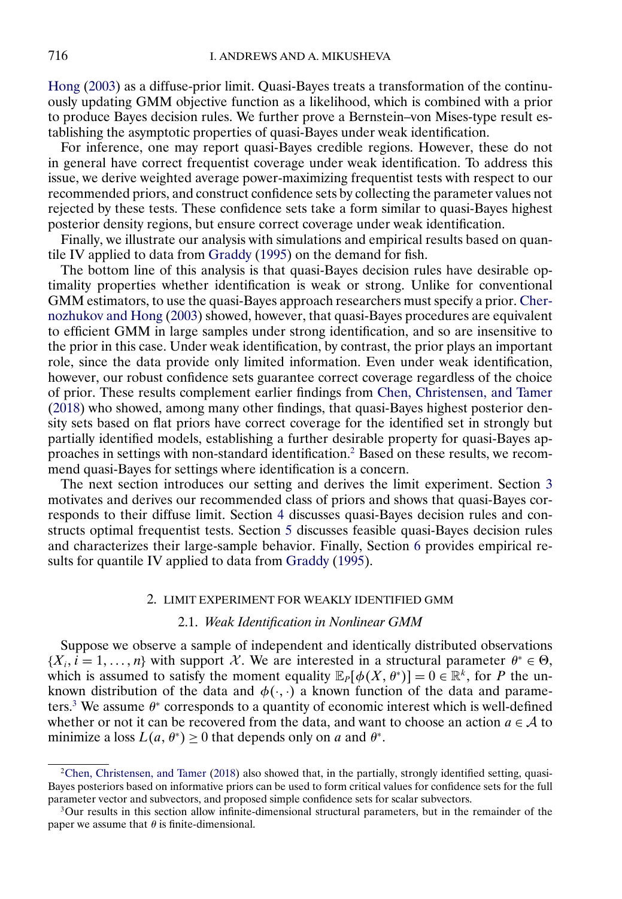<span id="page-2-0"></span>[Hong](#page-33-0) [\(2003\)](#page-33-0) as a diffuse-prior limit. Quasi-Bayes treats a transformation of the continuously updating GMM objective function as a likelihood, which is combined with a prior to produce Bayes decision rules. We further prove a Bernstein–von Mises-type result establishing the asymptotic properties of quasi-Bayes under weak identification.

For inference, one may report quasi-Bayes credible regions. However, these do not in general have correct frequentist coverage under weak identification. To address this issue, we derive weighted average power-maximizing frequentist tests with respect to our recommended priors, and construct confidence sets by collecting the parameter values not rejected by these tests. These confidence sets take a form similar to quasi-Bayes highest posterior density regions, but ensure correct coverage under weak identification.

Finally, we illustrate our analysis with simulations and empirical results based on quantile IV applied to data from [Graddy](#page-33-0) [\(1995\)](#page-33-0) on the demand for fish.

The bottom line of this analysis is that quasi-Bayes decision rules have desirable optimality properties whether identification is weak or strong. Unlike for conventional GMM estimators, to use the quasi-Bayes approach researchers must specify a prior. [Cher](#page-33-0)[nozhukov and Hong](#page-33-0) [\(2003\)](#page-33-0) showed, however, that quasi-Bayes procedures are equivalent to efficient GMM in large samples under strong identification, and so are insensitive to the prior in this case. Under weak identification, by contrast, the prior plays an important role, since the data provide only limited information. Even under weak identification, however, our robust confidence sets guarantee correct coverage regardless of the choice of prior. These results complement earlier findings from [Chen, Christensen, and Tamer](#page-33-0) [\(2018\)](#page-33-0) who showed, among many other findings, that quasi-Bayes highest posterior density sets based on flat priors have correct coverage for the identified set in strongly but partially identified models, establishing a further desirable property for quasi-Bayes approaches in settings with non-standard identification.2 Based on these results, we recommend quasi-Bayes for settings where identification is a concern.

The next section introduces our setting and derives the limit experiment. Section [3](#page-8-0) motivates and derives our recommended class of priors and shows that quasi-Bayes corresponds to their diffuse limit. Section [4](#page-13-0) discusses quasi-Bayes decision rules and constructs optimal frequentist tests. Section [5](#page-16-0) discusses feasible quasi-Bayes decision rules and characterizes their large-sample behavior. Finally, Section [6](#page-19-0) provides empirical results for quantile IV applied to data from [Graddy](#page-33-0) [\(1995\)](#page-33-0).

#### 2. LIMIT EXPERIMENT FOR WEAKLY IDENTIFIED GMM

#### 2.1. *Weak Identification in Nonlinear GMM*

Suppose we observe a sample of independent and identically distributed observations  $\{X_i, i = 1, \ldots, n\}$  with support X. We are interested in a structural parameter  $\theta^* \in \Theta$ , which is assumed to satisfy the moment equality  $\mathbb{E}_P[\phi(X, \theta^*)] = 0 \in \mathbb{R}^k$ , for P the unknown distribution of the data and  $\phi(\cdot, \cdot)$  a known function of the data and parameters.<sup>3</sup> We assume  $\theta^*$  corresponds to a quantity of economic interest which is well-defined whether or not it can be recovered from the data, and want to choose an action  $a \in A$  to minimize a loss  $L(a, \theta^*) \ge 0$  that depends only on a and  $\theta^*$ .

[<sup>2</sup>Chen, Christensen, and Tamer](#page-33-0) [\(2018\)](#page-33-0) also showed that, in the partially, strongly identified setting, quasi-Bayes posteriors based on informative priors can be used to form critical values for confidence sets for the full parameter vector and subvectors, and proposed simple confidence sets for scalar subvectors.

<sup>3</sup>Our results in this section allow infinite-dimensional structural parameters, but in the remainder of the paper we assume that  $\theta$  is finite-dimensional.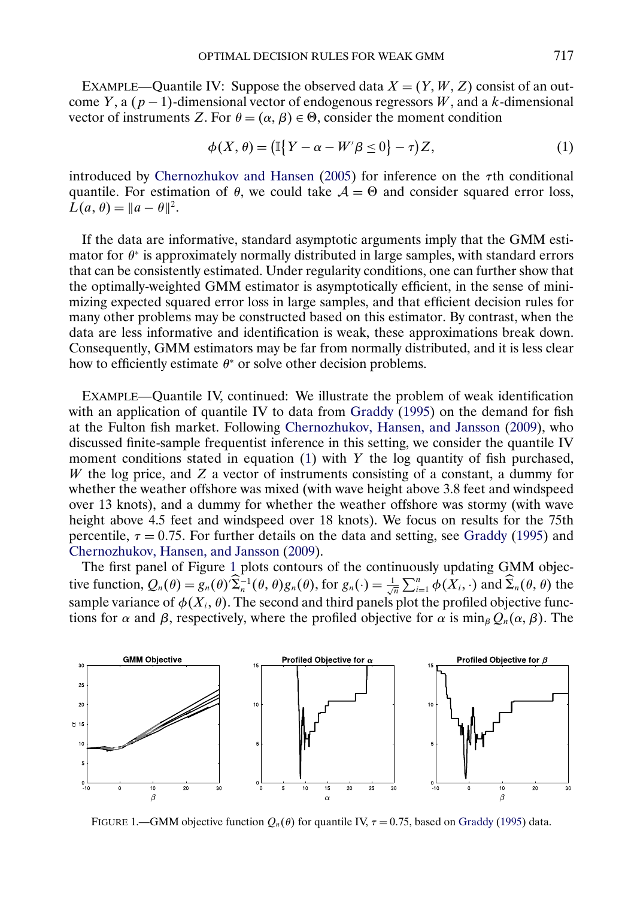<span id="page-3-0"></span>EXAMPLE—Quantile IV: Suppose the observed data  $X = (Y, W, Z)$  consist of an outcome Y, a  $(p - 1)$ -dimensional vector of endogenous regressors W, and a k-dimensional vector of instruments Z. For  $\theta = (\alpha, \beta) \in \Theta$ , consider the moment condition

$$
\phi(X,\theta) = \left(\mathbb{I}\big\{Y - \alpha - W'\beta \le 0\big\} - \tau\right)Z,\tag{1}
$$

introduced by [Chernozhukov and Hansen](#page-33-0) [\(2005\)](#page-33-0) for inference on the  $\tau$ th conditional quantile. For estimation of  $\theta$ , we could take  $\mathcal{A} = \Theta$  and consider squared error loss,  $L(a, \theta) = ||a - \theta||^2$ .

If the data are informative, standard asymptotic arguments imply that the GMM estimator for  $\theta^*$  is approximately normally distributed in large samples, with standard errors that can be consistently estimated. Under regularity conditions, one can further show that the optimally-weighted GMM estimator is asymptotically efficient, in the sense of minimizing expected squared error loss in large samples, and that efficient decision rules for many other problems may be constructed based on this estimator. By contrast, when the data are less informative and identification is weak, these approximations break down. Consequently, GMM estimators may be far from normally distributed, and it is less clear how to efficiently estimate  $\theta^*$  or solve other decision problems.

EXAMPLE—Quantile IV, continued: We illustrate the problem of weak identification with an application of quantile IV to data from [Graddy](#page-33-0) [\(1995\)](#page-33-0) on the demand for fish at the Fulton fish market. Following [Chernozhukov, Hansen, and Jansson](#page-33-0) [\(2009\)](#page-33-0), who discussed finite-sample frequentist inference in this setting, we consider the quantile IV moment conditions stated in equation  $(1)$  with Y the log quantity of fish purchased, W the log price, and  $Z$  a vector of instruments consisting of a constant, a dummy for whether the weather offshore was mixed (with wave height above 3.8 feet and windspeed over 13 knots), and a dummy for whether the weather offshore was stormy (with wave height above 4.5 feet and windspeed over 18 knots). We focus on results for the 75th percentile,  $\tau = 0.75$ . For further details on the data and setting, see [Graddy](#page-33-0) [\(1995\)](#page-33-0) and [Chernozhukov, Hansen, and Jansson](#page-33-0) [\(2009\)](#page-33-0).

The first panel of Figure 1 plots contours of the continuously updating GMM objective function,  $Q_n(\theta) = g_n(\theta) \widehat{\Sigma}_n^{-1}(\theta, \theta) g_n(\theta)$ , for  $g_n(\cdot) = \frac{1}{\sqrt{n}} \sum_{i=1}^n \phi(X_i, \cdot)$  and  $\widehat{\Sigma}_n(\theta, \theta)$  the sample variance of  $\phi(X_i, \theta)$ . The second and third panels plot the profiled objective functions for  $\alpha$  and  $\beta$ , respectively, where the profiled objective for  $\alpha$  is  $\min_{\beta} Q_n(\alpha, \beta)$ . The



FIGURE 1.—GMM objective function  $Q_n(\theta)$  for quantile IV,  $\tau = 0.75$ , based on [Graddy](#page-33-0) [\(1995\)](#page-33-0) data.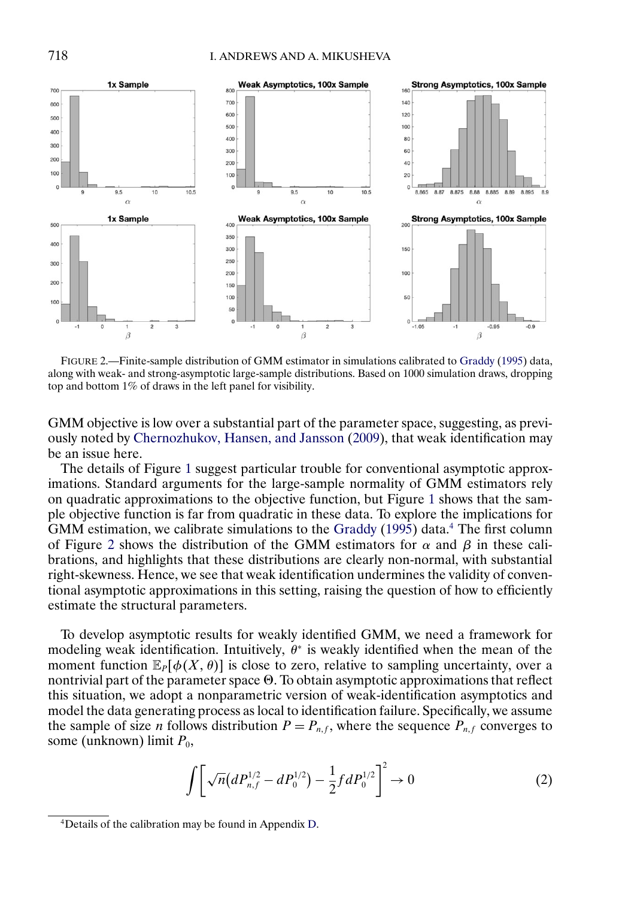<span id="page-4-0"></span>

FIGURE 2.—Finite-sample distribution of GMM estimator in simulations calibrated to [Graddy](#page-33-0) [\(1995\)](#page-33-0) data, along with weak- and strong-asymptotic large-sample distributions. Based on 1000 simulation draws, dropping top and bottom 1% of draws in the left panel for visibility.

GMM objective is low over a substantial part of the parameter space, suggesting, as previously noted by [Chernozhukov, Hansen, and Jansson](#page-33-0) [\(2009\)](#page-33-0), that weak identification may be an issue here.

The details of Figure [1](#page-3-0) suggest particular trouble for conventional asymptotic approximations. Standard arguments for the large-sample normality of GMM estimators rely on quadratic approximations to the objective function, but Figure [1](#page-3-0) shows that the sample objective function is far from quadratic in these data. To explore the implications for GMM estimation, we calibrate simulations to the [Graddy](#page-33-0)  $(1995)$  data.<sup>4</sup> The first column of Figure 2 shows the distribution of the GMM estimators for  $\alpha$  and  $\beta$  in these calibrations, and highlights that these distributions are clearly non-normal, with substantial right-skewness. Hence, we see that weak identification undermines the validity of conventional asymptotic approximations in this setting, raising the question of how to efficiently estimate the structural parameters.

To develop asymptotic results for weakly identified GMM, we need a framework for modeling weak identification. Intuitively,  $\theta^*$  is weakly identified when the mean of the moment function  $\mathbb{E}_P[\phi(X, \theta)]$  is close to zero, relative to sampling uncertainty, over a nontrivial part of the parameter space  $\Theta$ . To obtain asymptotic approximations that reflect this situation, we adopt a nonparametric version of weak-identification asymptotics and model the data generating process as local to identification failure. Specifically, we assume the sample of size *n* follows distribution  $P = P_{n,f}$ , where the sequence  $P_{n,f}$  converges to some (unknown) limit  $P_0$ ,

$$
\int \left[ \sqrt{n} \left( dP_{n,f}^{1/2} - dP_0^{1/2} \right) - \frac{1}{2} f dP_0^{1/2} \right]^2 \to 0 \tag{2}
$$

<sup>4</sup>Details of the calibration may be found in Appendix [D.](#page-31-0)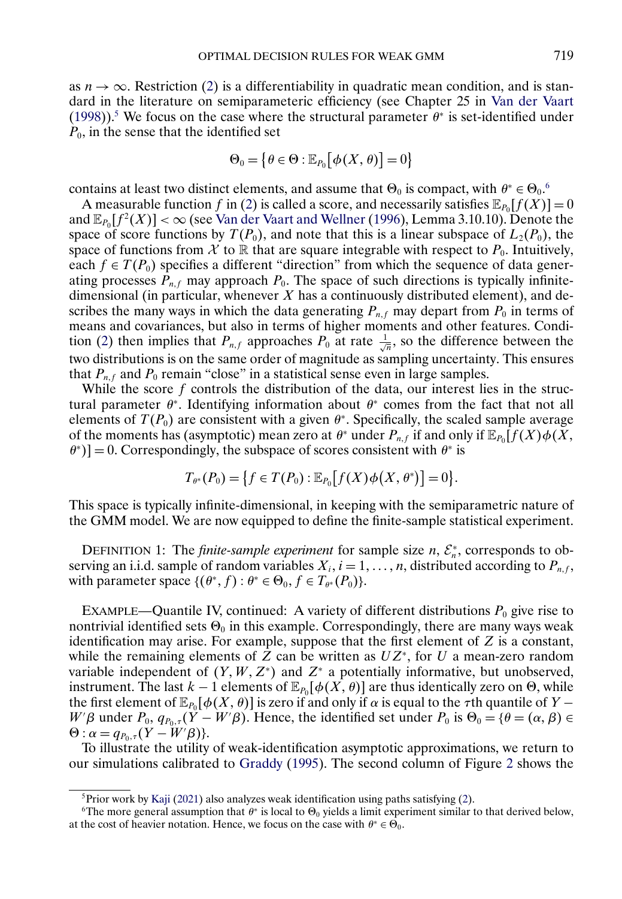<span id="page-5-0"></span>as  $n \to \infty$ . Restriction [\(2\)](#page-4-0) is a differentiability in quadratic mean condition, and is standard in the literature on semiparameteric efficiency (see Chapter 25 in [Van der Vaart](#page-34-0) [\(1998\)](#page-34-0)).<sup>5</sup> We focus on the case where the structural parameter  $\theta^*$  is set-identified under  $P_0$ , in the sense that the identified set

$$
\Theta_0 = \big\{\theta \in \Theta : \mathbb{E}_{P_0}\big[\phi(X,\theta)\big] = 0\big\}
$$

contains at least two distinct elements, and assume that  $\Theta_0$  is compact, with  $\theta^* \in \Theta_0$ .

A measurable function f in [\(2\)](#page-4-0) is called a score, and necessarily satisfies  $\mathbb{E}_{P_0}[f(X)] = 0$ and  $\mathbb{E}_{P_0}[f^2(X)] < \infty$  (see [Van der Vaart and Wellner](#page-34-0) [\(1996\)](#page-34-0), Lemma 3.10.10). Denote the space of score functions by  $T(P_0)$ , and note that this is a linear subspace of  $L_2(P_0)$ , the space of functions from X to R that are square integrable with respect to  $P_0$ . Intuitively, each  $f \in T(P_0)$  specifies a different "direction" from which the sequence of data generating processes  $P_{n,f}$  may approach  $P_0$ . The space of such directions is typically infinitedimensional (in particular, whenever  $X$  has a continuously distributed element), and describes the many ways in which the data generating  $P_{n,f}$  may depart from  $P_0$  in terms of means and covariances, but also in terms of higher moments and other features. Condi-tion [\(2\)](#page-4-0) then implies that  $P_{n,f}$  approaches  $P_0$  at rate  $\frac{1}{\sqrt{n}}$ , so the difference between the two distributions is on the same order of magnitude as sampling uncertainty. This ensures that  $P_{n,f}$  and  $P_0$  remain "close" in a statistical sense even in large samples.

While the score  $f$  controls the distribution of the data, our interest lies in the structural parameter  $\theta^*$ . Identifying information about  $\theta^*$  comes from the fact that not all elements of  $T(P_0)$  are consistent with a given  $\theta^*$ . Specifically, the scaled sample average of the moments has (asymptotic) mean zero at  $\theta^*$  under  $P_{n,f}$  if and only if  $\mathbb{E}_{P_0}[f(X)\phi(X,\theta)]$  $\{\theta^*\}$ ] = 0. Correspondingly, the subspace of scores consistent with  $\theta^*$  is

$$
T_{\theta^*}(P_0) = \{ f \in T(P_0) : \mathbb{E}_{P_0}[f(X)\phi(X,\theta^*)] = 0 \}.
$$

This space is typically infinite-dimensional, in keeping with the semiparametric nature of the GMM model. We are now equipped to define the finite-sample statistical experiment.

DEFINITION 1: The *finite-sample experiment* for sample size  $n, \mathcal{E}_n^*$ , corresponds to observing an i.i.d. sample of random variables  $X_i$ ,  $i = 1, ..., n$ , distributed according to  $P_{n,f}$ , with parameter space  $\{(\theta^*, f) : \theta^* \in \Theta_0, f \in T_{\theta^*}(P_0)\}.$ 

EXAMPLE—Quantile IV, continued: A variety of different distributions  $P_0$  give rise to nontrivial identified sets  $\Theta_0$  in this example. Correspondingly, there are many ways weak identification may arise. For example, suppose that the first element of  $Z$  is a constant, while the remaining elements of Z can be written as  $UZ^*$ , for U a mean-zero random variable independent of  $(Y, W, Z^*)$  and  $Z^*$  a potentially informative, but unobserved, instrument. The last  $k-1$  elements of  $\mathbb{E}_{P_0}[\phi(X, \theta)]$  are thus identically zero on  $\Theta$ , while the first element of  $\mathbb{E}_{P_0}[\phi(X, \theta)]$  is zero if and only if  $\alpha$  is equal to the  $\tau$ th quantile of Y − W' $\beta$  under  $P_0$ ,  $q_{P_0,\tau}(Y - W'\beta)$ . Hence, the identified set under  $P_0$  is  $\Theta_0 = \{\theta = (\alpha, \beta) \in$  $\Theta$ :  $\alpha = q_{P_0,\tau}(Y-W'\beta)$ .

To illustrate the utility of weak-identification asymptotic approximations, we return to our simulations calibrated to [Graddy](#page-33-0) [\(1995\)](#page-33-0). The second column of Figure [2](#page-4-0) shows the

 $5P$ Frior work by [Kaji](#page-33-0) [\(2021\)](#page-33-0) also analyzes weak identification using paths satisfying [\(2\)](#page-4-0).

<sup>&</sup>lt;sup>6</sup>The more general assumption that  $\theta^*$  is local to  $\Theta_0$  yields a limit experiment similar to that derived below, at the cost of heavier notation. Hence, we focus on the case with  $\theta^* \in \Theta_0$ .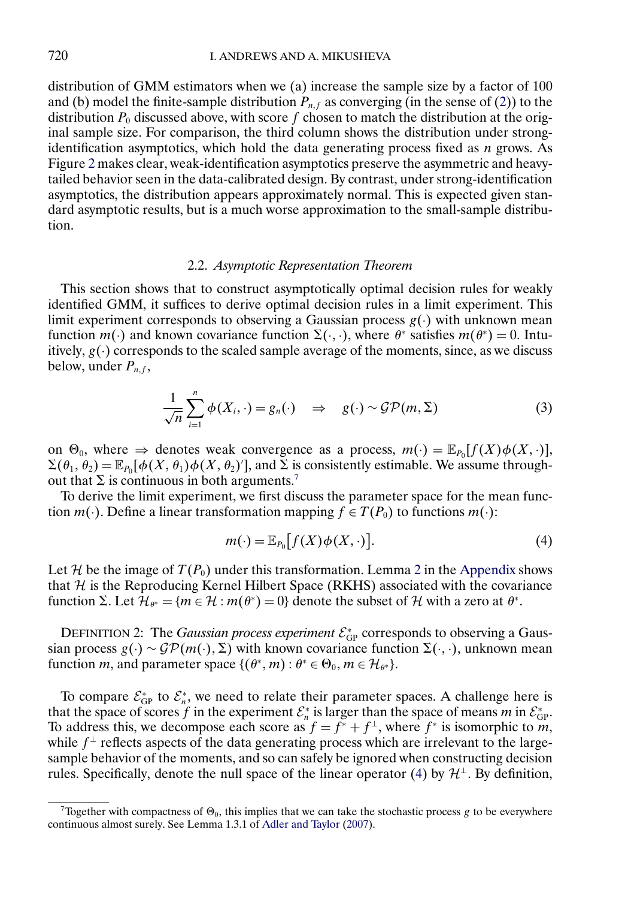<span id="page-6-0"></span>distribution of GMM estimators when we (a) increase the sample size by a factor of 100 and (b) model the finite-sample distribution  $P_{n,f}$  as converging (in the sense of [\(2\)](#page-4-0)) to the distribution  $P_0$  discussed above, with score f chosen to match the distribution at the original sample size. For comparison, the third column shows the distribution under strongidentification asymptotics, which hold the data generating process fixed as  $n$  grows. As Figure [2](#page-4-0) makes clear, weak-identification asymptotics preserve the asymmetric and heavytailed behavior seen in the data-calibrated design. By contrast, under strong-identification asymptotics, the distribution appears approximately normal. This is expected given standard asymptotic results, but is a much worse approximation to the small-sample distribution.

#### 2.2. *Asymptotic Representation Theorem*

This section shows that to construct asymptotically optimal decision rules for weakly identified GMM, it suffices to derive optimal decision rules in a limit experiment. This limit experiment corresponds to observing a Gaussian process  $g(\cdot)$  with unknown mean function  $m(\cdot)$  and known covariance function  $\Sigma(\cdot, \cdot)$ , where  $\theta^*$  satisfies  $m(\theta^*) = 0$ . Intuitively,  $g(\cdot)$  corresponds to the scaled sample average of the moments, since, as we discuss below, under  $P_{n,f}$ ,

$$
\frac{1}{\sqrt{n}}\sum_{i=1}^{n}\phi(X_{i},\cdot)=g_{n}(\cdot) \quad \Rightarrow \quad g(\cdot)\sim\mathcal{GP}(m,\Sigma)
$$
 (3)

on  $\Theta_0$ , where  $\Rightarrow$  denotes weak convergence as a process,  $m(\cdot) = \mathbb{E}_{P_0}[f(X)\phi(X,\cdot)],$  $\Sigma(\theta_1, \theta_2) = \mathbb{E}_{P_0}[\phi(X, \theta_1)\phi(X, \theta_2)']$ , and  $\Sigma$  is consistently estimable. We assume throughout that  $\Sigma$  is continuous in both arguments.<sup>7</sup>

To derive the limit experiment, we first discuss the parameter space for the mean function  $m(\cdot)$ . Define a linear transformation mapping  $f \in T(P_0)$  to functions  $m(\cdot)$ :

$$
m(\cdot) = \mathbb{E}_{P_0}[f(X)\phi(X,\cdot)].
$$
\n(4)

Let H be the image of  $T(P_0)$  under this transformation. Lemma [2](#page-21-0) in the [Appendix](#page-21-0) shows that  $H$  is the Reproducing Kernel Hilbert Space (RKHS) associated with the covariance function  $\Sigma$ . Let  $\mathcal{H}_{\theta^*} = \{m \in \mathcal{H} : m(\theta^*) = 0\}$  denote the subset of  $\mathcal{H}$  with a zero at  $\theta^*$ .

DEFINITION 2: The *Gaussian process experiment*  $\mathcal{E}_{GP}^*$  corresponds to observing a Gaussian process  $g(\cdot) \sim \mathcal{GP}(m(\cdot), \Sigma)$  with known covariance function  $\Sigma(\cdot, \cdot)$ , unknown mean function *m*, and parameter space  $\{(\theta^*, m) : \theta^* \in \Theta_0, m \in \mathcal{H}_{\theta^*}\}.$ 

To compare  $\mathcal{E}_{GP}^*$  to  $\mathcal{E}_n^*$ , we need to relate their parameter spaces. A challenge here is that the space of scores f in the experiment  $\mathcal{E}_n^*$  is larger than the space of means m in  $\mathcal{E}_{GP}^*$ . To address this, we decompose each score as  $f = f^* + f^{\perp}$ , where  $f^*$  is isomorphic to m, while  $f^{\perp}$  reflects aspects of the data generating process which are irrelevant to the largesample behavior of the moments, and so can safely be ignored when constructing decision rules. Specifically, denote the null space of the linear operator (4) by  $\mathcal{H}^{\perp}$ . By definition,

Together with compactness of  $\Theta_0$ , this implies that we can take the stochastic process g to be everywhere continuous almost surely. See Lemma 1.3.1 of [Adler and Taylor](#page-33-0) [\(2007\)](#page-33-0).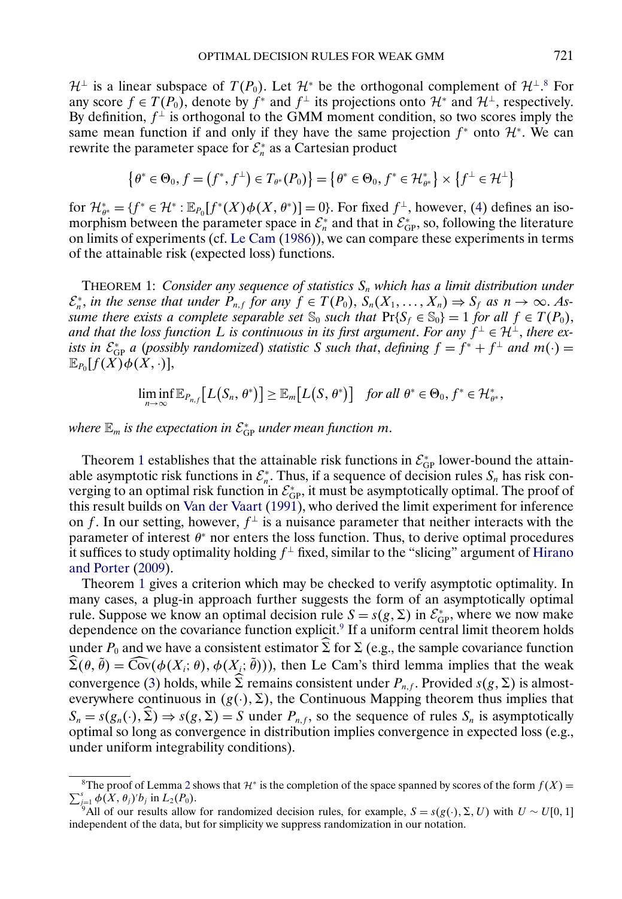<span id="page-7-0"></span> $\mathcal{H}^{\perp}$  is a linear subspace of  $T(P_0)$ . Let  $\mathcal{H}^*$  be the orthogonal complement of  $\mathcal{H}^{\perp}$ .<sup>8</sup> For any score  $f \in T(P_0)$ , denote by  $f^*$  and  $f^\perp$  its projections onto  $\mathcal{H}^*$  and  $\mathcal{H}^\perp$ , respectively. By definition,  $f^{\perp}$  is orthogonal to the GMM moment condition, so two scores imply the same mean function if and only if they have the same projection  $f^*$  onto  $\mathcal{H}^*$ . We can rewrite the parameter space for  $\mathcal{E}_n^*$  as a Cartesian product

$$
\left\{\theta^* \in \Theta_0, f = (f^*, f^\perp) \in T_{\theta^*}(P_0)\right\} = \left\{\theta^* \in \Theta_0, f^* \in \mathcal{H}_{\theta^*}^*\right\} \times \left\{f^\perp \in \mathcal{H}^\perp\right\}
$$

for  $\mathcal{H}_{\theta^*}^* = \{f^* \in \mathcal{H}^* : \mathbb{E}_{P_0}[f^*(X)\phi(X,\theta^*)] = 0\}$ . For fixed  $f^{\perp}$ , however, [\(4\)](#page-6-0) defines an isomorphism between the parameter space in  $\mathcal{E}_n^*$  and that in  $\mathcal{E}_{GP}^*$ , so, following the literature on limits of experiments (cf. [Le Cam](#page-33-0) [\(1986\)](#page-33-0)), we can compare these experiments in terms of the attainable risk (expected loss) functions.

THEOREM 1: *Consider any sequence of statistics*  $S_n$  *which has a limit distribution under*  $\mathcal{E}_n^*$ , in the sense that under  $P_{n,f}$  for any  $f \in T(P_0)$ ,  $S_n(X_1,\ldots,X_n) \Rightarrow S_f$  as  $n \to \infty$ . As*sume there exists a complete separable set*  $\mathcal{S}_0$  *such that*  $\Pr\{S_f \in \mathcal{S}_0\} = 1$  *for all*  $f \in T(P_0)$ , *and that the loss function* L *is continuous in its first argument. For any*  $f^{\perp} \in \mathcal{H}^{\perp}$ *, there exists in*  $\mathcal{E}_{\text{GP}}^*$  *a* (*possibly randomized*) *statistic* S *such that, defining*  $f = f^* + f^{\perp}$  *and*  $m(\cdot) =$  $\mathbb{E}_{P_{0}}[f(X)\phi(\tilde{X},\cdot)],$ 

 $\liminf_{n\to\infty} \mathbb{E}_{P_{n,f}}[L(S_n, \theta^*)] \geq \mathbb{E}_m[L(S, \theta^*)]$  for all  $\theta^* \in \Theta_0, f^* \in \mathcal{H}_{\theta^*}^*$ ,

where  $\mathbb{E}_m$  is the expectation in  $\mathcal{E}^*_\text{GP}$  under mean function  $m.$ 

Theorem 1 establishes that the attainable risk functions in  $\mathcal{E}_{GP}^*$  lower-bound the attainable asymptotic risk functions in  $\mathcal{E}_n^*$ . Thus, if a sequence of decision rules  $S_n$  has risk converging to an optimal risk function in  $\mathcal{E}_{GP}^*$ , it must be asymptotically optimal. The proof of this result builds on [Van der Vaart](#page-34-0) [\(1991\)](#page-34-0), who derived the limit experiment for inference on f. In our setting, however,  $f^{\perp}$  is a nuisance parameter that neither interacts with the parameter of interest  $\theta^*$  nor enters the loss function. Thus, to derive optimal procedures it suffices to study optimality holding  $f^{\perp}$  fixed, similar to the "slicing" argument of [Hirano](#page-33-0) [and Porter](#page-33-0) [\(2009\)](#page-33-0).

Theorem 1 gives a criterion which may be checked to verify asymptotic optimality. In many cases, a plug-in approach further suggests the form of an asymptotically optimal rule. Suppose we know an optimal decision rule  $S = s(g, \Sigma)$  in  $\mathcal{E}_{GP}^*$ , where we now make dependence on the covariance function explicit.<sup>9</sup> If a uniform central limit theorem holds under  $P_0$  and we have a consistent estimator  $\Sigma$  for  $\Sigma$  (e.g., the sample covariance function  $\Sigma(\theta, \theta) = \text{Cov}(\phi(X_i; \theta), \phi(X_i; \theta))$ , then Le Cam's third lemma implies that the weak convergence [\(3\)](#page-6-0) holds, while  $\Sigma$  remains consistent under  $P_{n,f}$ . Provided  $s(g,\Sigma)$  is almosteverywhere continuous in  $(g(\cdot), \Sigma)$ , the Continuous Mapping theorem thus implies that  $S_n = s(g_n(\cdot), \Sigma) \Rightarrow s(g, \Sigma) = S$  under  $P_{n,f}$ , so the sequence of rules  $S_n$  is asymptotically optimal so long as convergence in distribution implies convergence in expected loss (e.g., under uniform integrability conditions).

<sup>&</sup>lt;sup>8</sup>The proof of Lemma [2](#page-21-0) shows that  $\mathcal{H}^*$  is the completion of the space spanned by scores of the form  $f(X) =$ <br>s  $f(X, g)$  in  $f(R)$  $\sum_{j=1}^s \phi(X, \theta_j)' b_j$  in  $L_2(P_0)$ .

<sup>&</sup>lt;sup>9</sup>All of our results allow for randomized decision rules, for example,  $S = s(g(\cdot), \Sigma, U)$  with  $U \sim U[0, 1]$ independent of the data, but for simplicity we suppress randomization in our notation.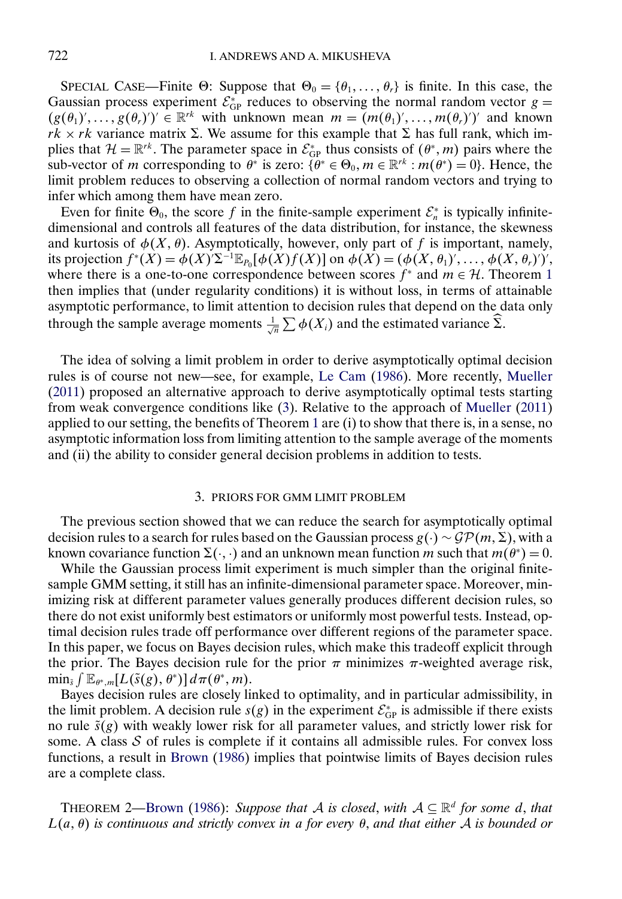<span id="page-8-0"></span>SPECIAL CASE—Finite  $\Theta$ : Suppose that  $\Theta_0 = {\theta_1, \dots, \theta_r}$  is finite. In this case, the Gaussian process experiment  $\mathcal{E}_{GP}^*$  reduces to observing the normal random vector  $g = (e, e)$  $(g(\theta_1),..., g(\theta_r)') \in \mathbb{R}^{rk}$  with unknown mean  $m = (m(\theta_1)',..., m(\theta_r)')'$  and known  $rk \times rk$  variance matrix  $\Sigma$ . We assume for this example that  $\Sigma$  has full rank, which implies that  $\mathcal{H} = \mathbb{R}^{rk}$ . The parameter space in  $\mathcal{E}_{GP}^*$  thus consists of  $(\theta^*, m)$  pairs where the sub-vector of *m* corresponding to  $\theta^*$  is zero:  $\{\theta^* \in \Theta_0, m \in \mathbb{R}^r : m(\theta^*) = 0\}$ . Hence, the limit problem reduces to observing a collection of normal random vectors and trying to infer which among them have mean zero.

Even for finite  $\Theta_0$ , the score f in the finite-sample experiment  $\mathcal{E}_n^*$  is typically infinitedimensional and controls all features of the data distribution, for instance, the skewness and kurtosis of  $\phi(X, \theta)$ . Asymptotically, however, only part of f is important, namely, its projection  $f^*(X) = \phi(X) \Sigma^{-1} \mathbb{E}_{P_0}[\phi(X)f(X)]$  on  $\phi(X) = (\phi(X, \theta_1)', \dots, \phi(X, \theta_r)')'$ , where there is a one-to-one correspondence between scores  $f^*$  and  $m \in \mathcal{H}$ . Theorem [1](#page-7-0) then implies that (under regularity conditions) it is without loss, in terms of attainable asymptotic performance, to limit attention to decision rules that depend on the data only through the sample average moments  $\frac{1}{\sqrt{n}}\sum \phi(X_i)$  and the estimated variance  $\widehat{\Sigma}$ .

The idea of solving a limit problem in order to derive asymptotically optimal decision rules is of course not new—see, for example, [Le Cam](#page-33-0) [\(1986\)](#page-33-0). More recently, [Mueller](#page-34-0) [\(2011\)](#page-34-0) proposed an alternative approach to derive asymptotically optimal tests starting from weak convergence conditions like [\(3\)](#page-6-0). Relative to the approach of [Mueller](#page-34-0) [\(2011\)](#page-34-0) applied to our setting, the benefits of Theorem [1](#page-7-0) are (i) to show that there is, in a sense, no asymptotic information loss from limiting attention to the sample average of the moments and (ii) the ability to consider general decision problems in addition to tests.

#### 3. PRIORS FOR GMM LIMIT PROBLEM

The previous section showed that we can reduce the search for asymptotically optimal decision rules to a search for rules based on the Gaussian process  $g(\cdot) \sim \mathcal{GP}(m, \Sigma)$ , with a known covariance function  $\Sigma(\cdot, \cdot)$  and an unknown mean function m such that  $m(\theta^*) = 0$ .

While the Gaussian process limit experiment is much simpler than the original finitesample GMM setting, it still has an infinite-dimensional parameter space. Moreover, minimizing risk at different parameter values generally produces different decision rules, so there do not exist uniformly best estimators or uniformly most powerful tests. Instead, optimal decision rules trade off performance over different regions of the parameter space. In this paper, we focus on Bayes decision rules, which make this tradeoff explicit through the prior. The Bayes decision rule for the prior  $\pi$  minimizes  $\pi$ -weighted average risk,  $\min_{\tilde{s}} \int \mathbb{E}_{\theta^*, m}[L(\tilde{s}(g), \theta^*)] \, d\pi(\theta^*, m).$ 

Bayes decision rules are closely linked to optimality, and in particular admissibility, in the limit problem. A decision rule  $s(g)$  in the experiment  $\mathcal{E}_{GP}^*$  is admissible if there exists no rule  $\tilde{s}(g)$  with weakly lower risk for all parameter values, and strictly lower risk for some. A class  $S$  of rules is complete if it contains all admissible rules. For convex loss functions, a result in [Brown](#page-33-0) [\(1986\)](#page-33-0) implies that pointwise limits of Bayes decision rules are a complete class.

THEOREM 2[—Brown](#page-33-0) [\(1986\)](#page-33-0): *Suppose that* A *is closed, with*  $A \subseteq \mathbb{R}^d$  *for some d, that* L(a- θ) *is continuous and strictly convex in* a *for every* θ, *and that either* A *is bounded or*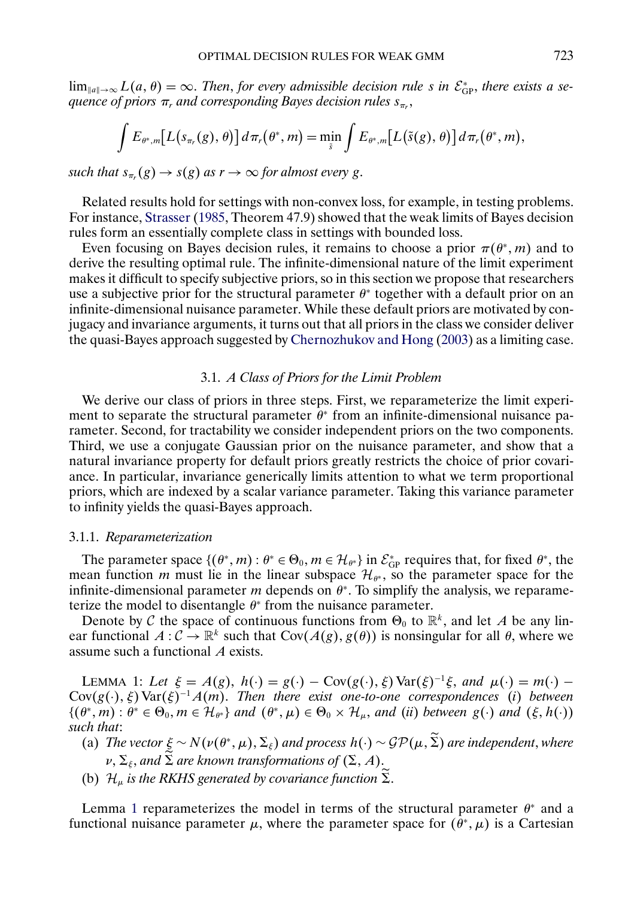<span id="page-9-0"></span> $\lim_{\|a\| \to \infty} L(a, \theta) = \infty$ . *Then, for every admissible decision rule s* in  $\mathcal{E}_{GP}^*$ , *there exists a sequence of priors*  $\pi_r$  *and corresponding Bayes decision rules*  $s_{\pi_r}$ ,

$$
\int E_{\theta^*,m}\big[L\big(s_{\pi_r}(g),\theta\big)\big]d\pi_r\big(\theta^*,m\big)=\min_{\tilde{s}}\int E_{\theta^*,m}\big[L\big(\tilde{s}(g),\theta\big)\big]d\pi_r\big(\theta^*,m\big),
$$

*such that*  $s_{\pi_r}(g) \to s(g)$  *as*  $r \to \infty$  *for almost every g*.

Related results hold for settings with non-convex loss, for example, in testing problems. For instance, [Strasser](#page-34-0) [\(1985,](#page-34-0) Theorem 47.9) showed that the weak limits of Bayes decision rules form an essentially complete class in settings with bounded loss.

Even focusing on Bayes decision rules, it remains to choose a prior  $\pi(\theta^*, m)$  and to derive the resulting optimal rule. The infinite-dimensional nature of the limit experiment makes it difficult to specify subjective priors, so in this section we propose that researchers use a subjective prior for the structural parameter  $\theta^*$  together with a default prior on an infinite-dimensional nuisance parameter. While these default priors are motivated by conjugacy and invariance arguments, it turns out that all priors in the class we consider deliver the quasi-Bayes approach suggested by [Chernozhukov and Hong](#page-33-0) [\(2003\)](#page-33-0) as a limiting case.

# 3.1. *A Class of Priors for the Limit Problem*

We derive our class of priors in three steps. First, we reparameterize the limit experiment to separate the structural parameter  $\theta^*$  from an infinite-dimensional nuisance parameter. Second, for tractability we consider independent priors on the two components. Third, we use a conjugate Gaussian prior on the nuisance parameter, and show that a natural invariance property for default priors greatly restricts the choice of prior covariance. In particular, invariance generically limits attention to what we term proportional priors, which are indexed by a scalar variance parameter. Taking this variance parameter to infinity yields the quasi-Bayes approach.

#### 3.1.1. *Reparameterization*

The parameter space  $\{(\theta^*, m) : \theta^* \in \Theta_0, m \in \mathcal{H}_{\theta^*}\}\$  in  $\mathcal{E}_{GP}^*$  requires that, for fixed  $\theta^*$ , the mean function m must lie in the linear subspace  $\mathcal{H}_{\theta^*}$ , so the parameter space for the infinite-dimensional parameter m depends on  $\theta^*$ . To simplify the analysis, we reparameterize the model to disentangle  $\theta^*$  from the nuisance parameter.

Denote by C the space of continuous functions from  $\Theta_0$  to  $\mathbb{R}^k$ , and let A be any linear functional  $A: \mathcal{C} \to \mathbb{R}^k$  such that  $Cov(A(g), g(\theta))$  is nonsingular for all  $\theta$ , where we assume such a functional A exists.

LEMMA 1: Let  $\xi = A(g)$ ,  $h(\cdot) = g(\cdot) - \text{Cov}(g(\cdot), \xi) \text{Var}(\xi)^{-1}\xi$ , and  $\mu(\cdot) = m(\cdot) Cov(g(\cdot), \xi) \text{Var}(\xi)^{-1} A(m)$ . *Then there exist one-to-one correspondences* (*i*) *between*  $\{(\theta^*, m) : \theta^* \in \Theta_0, m \in \mathcal{H}_{\theta^*}\}\$ and  $(\theta^*, \mu) \in \Theta_0 \times \mathcal{H}_{\mu}$ , and (*ii*) between  $g(\cdot)$  and  $(\xi, h(\cdot))$ *such that*:

(a) *The vector*  $\xi \sim N(\nu(\theta^*,\mu),\Sigma_\xi)$  and process  $h(\cdot) \sim \mathcal{GP}(\mu,\Sigma)$  are independent, where  $\nu, \Sigma_\xi,$  and  $\Sigma$  are known transformations of  $(\Sigma, A),$ 

(b)  $\mathcal{H}_{\mu}$  is the RKHS generated by covariance function  $\Sigma$ .

Lemma 1 reparameterizes the model in terms of the structural parameter  $\theta^*$  and a functional nuisance parameter  $\mu$ , where the parameter space for  $(\theta^*, \mu)$  is a Cartesian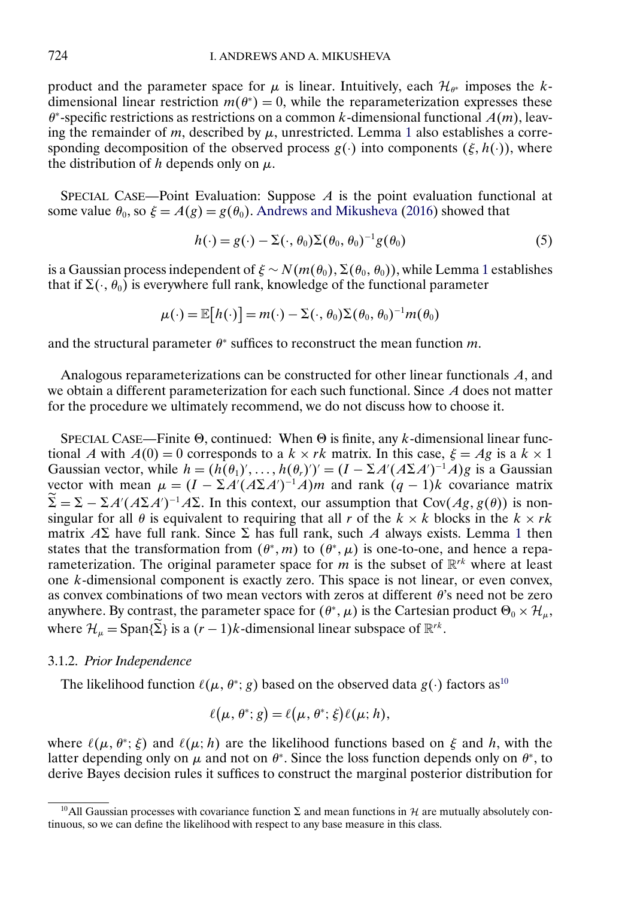<span id="page-10-0"></span>product and the parameter space for  $\mu$  is linear. Intuitively, each  $\mathcal{H}_{\theta^*}$  imposes the kdimensional linear restriction  $m(\theta^*) = 0$ , while the reparameterization expresses these  $\theta^*$ -specific restrictions as restrictions on a common k-dimensional functional  $A(m)$ , leaving the remainder of m, described by  $\mu$ , unrestricted. Lemma [1](#page-9-0) also establishes a corresponding decomposition of the observed process  $g(\cdot)$  into components  $(\xi, h(\cdot))$ , where the distribution of h depends only on  $\mu$ .

SPECIAL CASE—Point Evaluation: Suppose  $A$  is the point evaluation functional at some value  $\theta_0$ , so  $\xi = A(g) = g(\theta_0)$ . [Andrews and Mikusheva](#page-33-0) [\(2016\)](#page-33-0) showed that

$$
h(\cdot) = g(\cdot) - \Sigma(\cdot, \theta_0) \Sigma(\theta_0, \theta_0)^{-1} g(\theta_0)
$$
\n<sup>(5)</sup>

is a Gaussian process independent of  $\xi \sim N(m(\theta_0), \Sigma(\theta_0, \theta_0))$ , while Lemma [1](#page-9-0) establishes that if  $\Sigma(\cdot, \theta_0)$  is everywhere full rank, knowledge of the functional parameter

$$
\mu(\cdot) = \mathbb{E}[h(\cdot)] = m(\cdot) - \Sigma(\cdot, \theta_0) \Sigma(\theta_0, \theta_0)^{-1} m(\theta_0)
$$

and the structural parameter  $\theta^*$  suffices to reconstruct the mean function m.

Analogous reparameterizations can be constructed for other linear functionals A, and we obtain a different parameterization for each such functional. Since A does not matter for the procedure we ultimately recommend, we do not discuss how to choose it.

SPECIAL CASE—Finite  $\Theta$ , continued: When  $\Theta$  is finite, any k-dimensional linear functional A with  $A(0) = 0$  corresponds to a  $k \times rk$  matrix. In this case,  $\xi = Ag$  is a  $k \times 1$ Gaussian vector, while  $h = (h(\theta_1)', \dots, h(\theta_r))' = (I - \Sigma A'(A\Sigma A')^{-1}A)g$  is a Gaussian vector with mean  $\mu = (I - \Sigma A'(A\Sigma A')^{-1}A)m$  and rank  $(q - 1)k$  covariance matrix  $\Sigma = \Sigma - \Sigma A'(A\Sigma A')^{-1}A\Sigma$ . In this context, our assumption that Cov( $Ag, g(\theta)$ ) is nonsingular for all  $\theta$  is equivalent to requiring that all r of the  $k \times k$  blocks in the  $k \times rk$ matrix  $\Delta \Sigma$  have full rank. Since  $\Sigma$  has full rank, such  $\Delta$  always exists. Lemma [1](#page-9-0) then states that the transformation from  $(\theta^*, m)$  to  $(\theta^*, \mu)$  is one-to-one, and hence a reparameterization. The original parameter space for m is the subset of  $\mathbb{R}^{rk}$  where at least one k-dimensional component is exactly zero. This space is not linear, or even convex, as convex combinations of two mean vectors with zeros at different  $\theta$ 's need not be zero anywhere. By contrast, the parameter space for  $(\theta^*, \mu)$  is the Cartesian product  $\Theta_0 \times \mathcal{H}_\mu$ , where  $\mathcal{H}_{\mu} = \text{Span}\{\tilde{\Sigma}\}\$  is a  $(r-1)k$ -dimensional linear subspace of  $\mathbb{R}^{rk}$ .

#### 3.1.2. *Prior Independence*

The likelihood function  $\ell(\mu, \theta^*; g)$  based on the observed data  $g(\cdot)$  factors as<sup>10</sup>

$$
\ell(\mu, \theta^*; g) = \ell(\mu, \theta^*; \xi) \ell(\mu; h),
$$

where  $\ell(\mu, \theta^*; \xi)$  and  $\ell(\mu; h)$  are the likelihood functions based on  $\xi$  and h, with the latter depending only on  $\mu$  and not on  $\theta^*$ . Since the loss function depends only on  $\theta^*$ , to derive Bayes decision rules it suffices to construct the marginal posterior distribution for

<sup>&</sup>lt;sup>10</sup>All Gaussian processes with covariance function  $\Sigma$  and mean functions in H are mutually absolutely continuous, so we can define the likelihood with respect to any base measure in this class.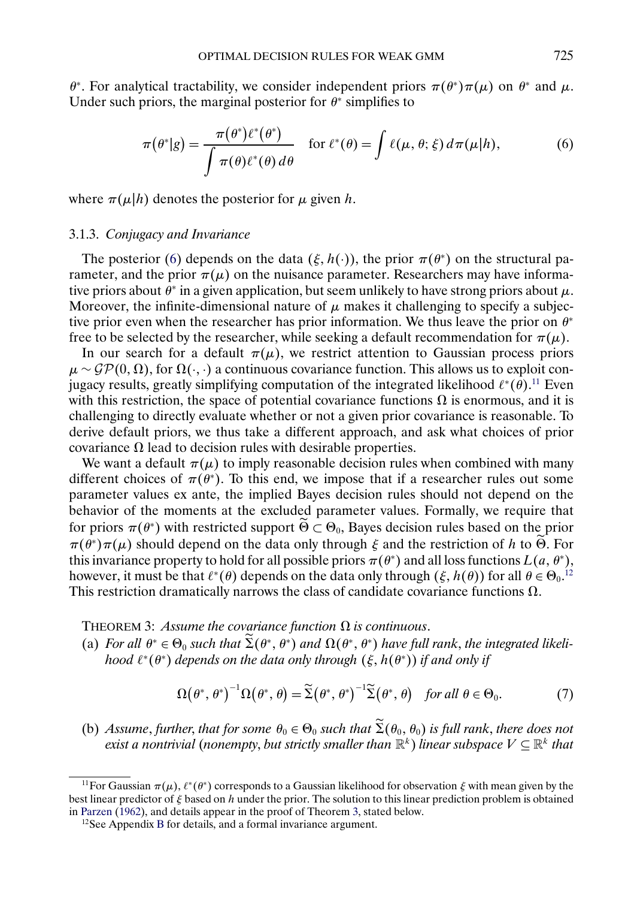<span id="page-11-0"></span>θ<sup>∗</sup>. For analytical tractability, we consider independent priors  $\pi(\theta^*)\pi(\mu)$  on  $\theta^*$  and  $\mu$ . Under such priors, the marginal posterior for  $\theta^*$  simplifies to

$$
\pi(\theta^*|g) = \frac{\pi(\theta^*)\ell^*(\theta^*)}{\int \pi(\theta)\ell^*(\theta)\,d\theta} \quad \text{for } \ell^*(\theta) = \int \ell(\mu,\theta;\xi)\,d\pi(\mu|h),\tag{6}
$$

where  $\pi(\mu|h)$  denotes the posterior for  $\mu$  given h.

## 3.1.3. *Conjugacy and Invariance*

The posterior (6) depends on the data  $(\xi, h(\cdot))$ , the prior  $\pi(\theta^*)$  on the structural parameter, and the prior  $\pi(\mu)$  on the nuisance parameter. Researchers may have informative priors about  $\hat{\theta}^*$  in a given application, but seem unlikely to have strong priors about  $\mu$ . Moreover, the infinite-dimensional nature of  $\mu$  makes it challenging to specify a subjective prior even when the researcher has prior information. We thus leave the prior on  $\theta^*$ free to be selected by the researcher, while seeking a default recommendation for  $\pi(\mu)$ .

In our search for a default  $\pi(\mu)$ , we restrict attention to Gaussian process priors  $\mu \sim \mathcal{GP}(0, \Omega)$ , for  $\Omega(\cdot, \cdot)$  a continuous covariance function. This allows us to exploit conjugacy results, greatly simplifying computation of the integrated likelihood  $\ell^*(\theta)$ .<sup>11</sup> Even with this restriction, the space of potential covariance functions  $\Omega$  is enormous, and it is challenging to directly evaluate whether or not a given prior covariance is reasonable. To derive default priors, we thus take a different approach, and ask what choices of prior covariance  $\Omega$  lead to decision rules with desirable properties.

We want a default  $\pi(\mu)$  to imply reasonable decision rules when combined with many different choices of  $\pi(\theta^*)$ . To this end, we impose that if a researcher rules out some parameter values ex ante, the implied Bayes decision rules should not depend on the behavior of the moments at the excluded parameter values. Formally, we require that for priors  $\pi(\theta^*)$  with restricted support  $\widetilde{\Theta} \subset \Theta_0$ , Bayes decision rules based on the prior  $\pi(\theta^*)\pi(\mu)$  should depend on the data only through  $\xi$  and the restriction of h to  $\widetilde{\Theta}$ . For this invariance property to hold for all possible priors  $\pi(\theta^*)$  and all loss functions  $L(a, \theta^*)$ , however, it must be that  $\ell^*(\theta)$  depends on the data only through  $(\xi, h(\theta))$  for all  $\theta \in \Theta_0$ .<sup>12</sup> This restriction dramatically narrows the class of candidate covariance functions  $\Omega$ .

THEOREM 3: Assume the covariance function  $\Omega$  is continuous.

(a) *For all*  $\theta^* \in \Theta_0$  such that  $\Sigma(\theta^*, \theta^*)$  and  $\Omega(\theta^*, \theta^*)$  have full rank, the integrated likeli*hood* ℓ\*(θ\*) depends on the data only through (ξ, h(θ\*)) if and only if

$$
\Omega(\theta^*, \theta^*)^{-1} \Omega(\theta^*, \theta) = \widetilde{\Sigma}(\theta^*, \theta^*)^{-1} \widetilde{\Sigma}(\theta^*, \theta) \quad \text{for all } \theta \in \Theta_0.
$$
 (7)

(b) *Assume*, *further*, *that for some*  $\theta_0 \in \Theta_0$  *such that*  $\Sigma(\theta_0, \theta_0)$  *is full rank*, *there does not exist a nontrivial (nonempty, but strictly smaller than*  $\mathbb{R}^k$ ) *linear subspace*  $V \subseteq \mathbb{R}^k$  *that* 

<sup>&</sup>lt;sup>11</sup>For Gaussian  $\pi(\mu)$ ,  $\ell^*(\theta^*)$  corresponds to a Gaussian likelihood for observation  $\xi$  with mean given by the best linear predictor of  $\xi$  based on h under the prior. The solution to this linear prediction problem is obtained in [Parzen](#page-34-0) [\(1962\)](#page-34-0), and details appear in the proof of Theorem 3, stated below.

 $12$ See Appendix [B](#page-27-0) for details, and a formal invariance argument.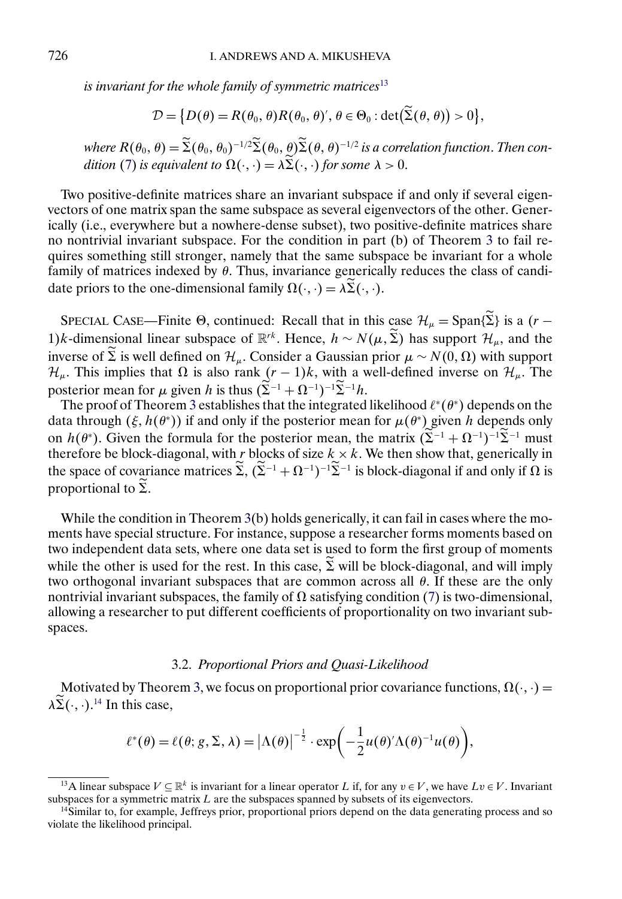<span id="page-12-0"></span>*is invariant for the whole family of symmetric matrices*<sup>13</sup>

$$
\mathcal{D} = \big\{ D(\theta) = R(\theta_0, \theta) R(\theta_0, \theta)', \theta \in \Theta_0 : \det(\widetilde{\Sigma}(\theta, \theta)) > 0 \big\},\
$$

 $where R(\theta_0, \theta) = \Sigma(\theta_0, \theta_0)^{-1/2} \Sigma(\theta_0, \theta) \Sigma(\theta, \theta)^{-1/2}$  *is a correlation function. Then con*-dition [\(7\)](#page-11-0) is equivalent to  $\Omega(\cdot, \cdot) = \lambda \Sigma(\cdot, \cdot)$  for some  $\lambda > 0$ .

Two positive-definite matrices share an invariant subspace if and only if several eigenvectors of one matrix span the same subspace as several eigenvectors of the other. Generically (i.e., everywhere but a nowhere-dense subset), two positive-definite matrices share no nontrivial invariant subspace. For the condition in part (b) of Theorem [3](#page-11-0) to fail requires something still stronger, namely that the same subspace be invariant for a whole family of matrices indexed by  $\theta$ . Thus, invariance generically reduces the class of candidate priors to the one-dimensional family  $\Omega(\cdot, \cdot) = \lambda \Sigma(\cdot, \cdot)$ .

SPECIAL CASE—Finite  $\Theta$ , continued: Recall that in this case  $\mathcal{H}_{\mu} = \text{Span}\{\Sigma\}$  is a  $(r -$ 1)k-dimensional linear subspace of  $\mathbb{R}^{rk}$ . Hence,  $h \sim N(\mu, \tilde{\Sigma})$  has support  $\mathcal{H}_{\mu}$ , and the inverse of  $\Sigma$  is well defined on  $\mathcal{H}_{\mu}$ . Consider a Gaussian prior  $\mu \sim N(0, \Omega)$  with support  $\mathcal{H}_{\mu}$ . This implies that  $\Omega$  is also rank  $(r - 1)k$ , with a well-defined inverse on  $\mathcal{H}_{\mu}$ . The posterior mean for  $\mu$  given h is thus  $(\Sigma^{-1} + \Omega^{-1})^{-1} \Sigma^{-1} h$ .

The proof of Theorem [3](#page-11-0) establishes that the integrated likelihood  $\ell^*(\theta^*)$  depends on the data through  $(\xi, h(\theta^*))$  if and only if the posterior mean for  $\mu(\theta^*)$  given h depends only on  $h(\theta^*)$ . Given the formula for the posterior mean, the matrix  $(\Sigma^{-1} + \Omega^{-1})^{-1}\Sigma^{-1}$  must therefore be block-diagonal, with  $r$  blocks of size  $k \times k$ . We then show that, generically in the space of covariance matrices  $\Sigma$ ,  $(\Sigma^{-1} + \Omega^{-1})^{-1} \Sigma^{-1}$  is block-diagonal if and only if  $\Omega$  is proportional to  $\Sigma$ .

While the condition in Theorem  $3(b)$  $3(b)$  holds generically, it can fail in cases where the moments have special structure. For instance, suppose a researcher forms moments based on two independent data sets, where one data set is used to form the first group of moments while the other is used for the rest. In this case,  $\Sigma$  will be block-diagonal, and will imply two orthogonal invariant subspaces that are common across all  $\theta$ . If these are the only nontrivial invariant subspaces, the family of  $\Omega$  satisfying condition [\(7\)](#page-11-0) is two-dimensional, allowing a researcher to put different coefficients of proportionality on two invariant subspaces.

#### 3.2. *Proportional Priors and Quasi-Likelihood*

Motivated by Theorem [3,](#page-11-0) we focus on proportional prior covariance functions,  $\Omega(\cdot, \cdot)$  =  $\lambda \Sigma(\cdot, \cdot)$ .<sup>14</sup> In this case,

$$
\ell^*(\theta) = \ell(\theta; g, \Sigma, \lambda) = |\Lambda(\theta)|^{-\frac{1}{2}} \cdot \exp\left(-\frac{1}{2}u(\theta)'\Lambda(\theta)^{-1}u(\theta)\right),
$$

<sup>&</sup>lt;sup>13</sup>A linear subspace  $V \subseteq \mathbb{R}^k$  is invariant for a linear operator L if, for any  $v \in V$ , we have  $Lv \in V$ . Invariant subspaces for a symmetric matrix  $L$  are the subspaces spanned by subsets of its eigenvectors.

<sup>&</sup>lt;sup>14</sup>Similar to, for example, Jeffreys prior, proportional priors depend on the data generating process and so violate the likelihood principal.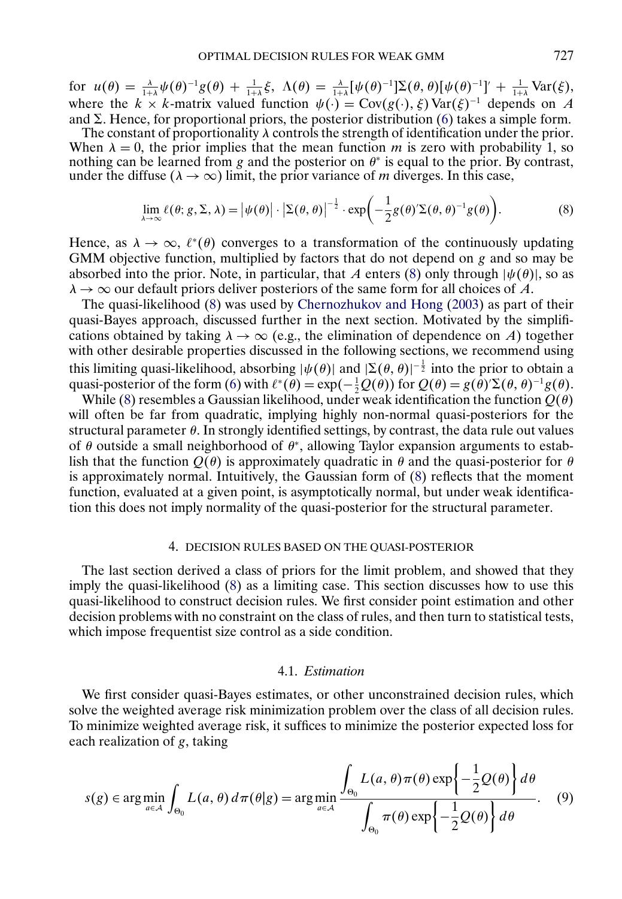<span id="page-13-0"></span>for  $u(\theta) = \frac{\lambda}{1+\lambda} \psi(\theta)^{-1} g(\theta) + \frac{1}{1+\lambda} \xi$ ,  $\Lambda(\theta) = \frac{\lambda}{1+\lambda} [\psi(\theta)^{-1}] \Sigma(\theta, \theta) [\psi(\theta)^{-1}]' + \frac{1}{1+\lambda} \text{Var}(\xi)$ , where the  $k \times k$ -matrix valued function  $\psi(\cdot) = \text{Cov}(g(\cdot), \xi) \text{Var}(\xi)^{-1}$  depends on A and  $\Sigma$ . Hence, for proportional priors, the posterior distribution [\(6\)](#page-11-0) takes a simple form.

The constant of proportionality  $\lambda$  controls the strength of identification under the prior. When  $\lambda = 0$ , the prior implies that the mean function m is zero with probability 1, so nothing can be learned from g and the posterior on  $\theta^*$  is equal to the prior. By contrast, under the diffuse ( $\lambda \rightarrow \infty$ ) limit, the prior variance of m diverges. In this case,

$$
\lim_{\lambda \to \infty} \ell(\theta; g, \Sigma, \lambda) = |\psi(\theta)| \cdot |\Sigma(\theta, \theta)|^{-\frac{1}{2}} \cdot \exp\left(-\frac{1}{2}g(\theta)^{\prime} \Sigma(\theta, \theta)^{-1} g(\theta)\right).
$$
 (8)

Hence, as  $\lambda \to \infty$ ,  $\ell^*(\theta)$  converges to a transformation of the continuously updating GMM objective function, multiplied by factors that do not depend on g and so may be absorbed into the prior. Note, in particular, that A enters (8) only through  $|\psi(\theta)|$ , so as  $\lambda \rightarrow \infty$  our default priors deliver posteriors of the same form for all choices of A.

The quasi-likelihood (8) was used by [Chernozhukov and Hong](#page-33-0) [\(2003\)](#page-33-0) as part of their quasi-Bayes approach, discussed further in the next section. Motivated by the simplifications obtained by taking  $\lambda \to \infty$  (e.g., the elimination of dependence on A) together with other desirable properties discussed in the following sections, we recommend using this limiting quasi-likelihood, absorbing  $|\psi(\theta)|$  and  $|\Sigma(\theta, \theta)|^{-\frac{1}{2}}$  into the prior to obtain a quasi-posterior of the form [\(6\)](#page-11-0) with  $\ell^*(\theta) = \exp(-\frac{1}{2}Q(\theta))$  for  $Q(\theta) = g(\theta)\Sigma(\theta, \theta)^{-1}g(\theta)$ .

While (8) resembles a Gaussian likelihood, under weak identification the function  $Q(\theta)$ will often be far from quadratic, implying highly non-normal quasi-posteriors for the structural parameter  $\theta$ . In strongly identified settings, by contrast, the data rule out values of  $\theta$  outside a small neighborhood of  $\theta^*$ , allowing Taylor expansion arguments to establish that the function  $Q(\theta)$  is approximately quadratic in  $\theta$  and the quasi-posterior for  $\theta$ is approximately normal. Intuitively, the Gaussian form of (8) reflects that the moment function, evaluated at a given point, is asymptotically normal, but under weak identification this does not imply normality of the quasi-posterior for the structural parameter.

# 4. DECISION RULES BASED ON THE QUASI-POSTERIOR

The last section derived a class of priors for the limit problem, and showed that they imply the quasi-likelihood (8) as a limiting case. This section discusses how to use this quasi-likelihood to construct decision rules. We first consider point estimation and other decision problems with no constraint on the class of rules, and then turn to statistical tests, which impose frequentist size control as a side condition.

#### 4.1. *Estimation*

We first consider quasi-Bayes estimates, or other unconstrained decision rules, which solve the weighted average risk minimization problem over the class of all decision rules. To minimize weighted average risk, it suffices to minimize the posterior expected loss for each realization of g, taking

$$
s(g) \in \arg\min_{a \in \mathcal{A}} \int_{\Theta_0} L(a,\theta) d\pi(\theta|g) = \arg\min_{a \in \mathcal{A}} \frac{\int_{\Theta_0} L(a,\theta)\pi(\theta) \exp\left\{-\frac{1}{2}\mathcal{Q}(\theta)\right\} d\theta}{\int_{\Theta_0} \pi(\theta) \exp\left\{-\frac{1}{2}\mathcal{Q}(\theta)\right\} d\theta}.
$$
 (9)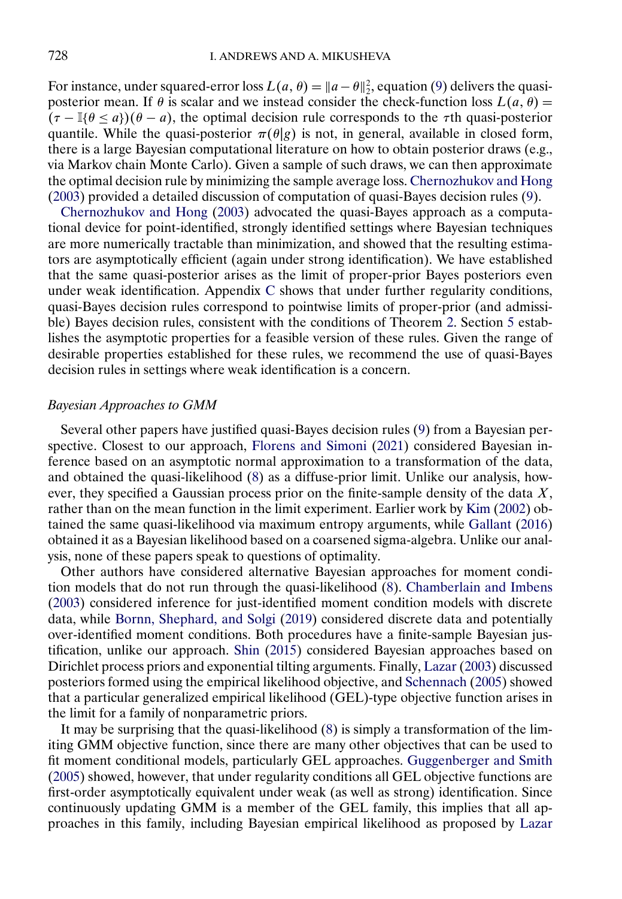<span id="page-14-0"></span>For instance, under squared-error loss  $L(a, \theta) = ||a - \theta||_2^2$ , equation [\(9\)](#page-13-0) delivers the quasiposterior mean. If  $\theta$  is scalar and we instead consider the check-function loss  $L(a, \theta) =$  $(\tau - \mathbb{I}\{\theta \le a\})(\theta - a)$ , the optimal decision rule corresponds to the  $\tau$ th quasi-posterior quantile. While the quasi-posterior  $\pi(\theta|g)$  is not, in general, available in closed form, there is a large Bayesian computational literature on how to obtain posterior draws (e.g., via Markov chain Monte Carlo). Given a sample of such draws, we can then approximate the optimal decision rule by minimizing the sample average loss. [Chernozhukov and Hong](#page-33-0) [\(2003\)](#page-33-0) provided a detailed discussion of computation of quasi-Bayes decision rules [\(9\)](#page-13-0).

[Chernozhukov and Hong](#page-33-0) [\(2003\)](#page-33-0) advocated the quasi-Bayes approach as a computational device for point-identified, strongly identified settings where Bayesian techniques are more numerically tractable than minimization, and showed that the resulting estimators are asymptotically efficient (again under strong identification). We have established that the same quasi-posterior arises as the limit of proper-prior Bayes posteriors even under weak identification. Appendix [C](#page-29-0) shows that under further regularity conditions, quasi-Bayes decision rules correspond to pointwise limits of proper-prior (and admissible) Bayes decision rules, consistent with the conditions of Theorem [2.](#page-8-0) Section [5](#page-16-0) establishes the asymptotic properties for a feasible version of these rules. Given the range of desirable properties established for these rules, we recommend the use of quasi-Bayes decision rules in settings where weak identification is a concern.

# *Bayesian Approaches to GMM*

Several other papers have justified quasi-Bayes decision rules [\(9\)](#page-13-0) from a Bayesian perspective. Closest to our approach, [Florens and Simoni](#page-33-0) [\(2021\)](#page-33-0) considered Bayesian inference based on an asymptotic normal approximation to a transformation of the data, and obtained the quasi-likelihood [\(8\)](#page-13-0) as a diffuse-prior limit. Unlike our analysis, however, they specified a Gaussian process prior on the finite-sample density of the data  $X$ , rather than on the mean function in the limit experiment. Earlier work by [Kim](#page-33-0) [\(2002\)](#page-33-0) obtained the same quasi-likelihood via maximum entropy arguments, while [Gallant](#page-33-0) [\(2016\)](#page-33-0) obtained it as a Bayesian likelihood based on a coarsened sigma-algebra. Unlike our analysis, none of these papers speak to questions of optimality.

Other authors have considered alternative Bayesian approaches for moment condition models that do not run through the quasi-likelihood [\(8\)](#page-13-0). [Chamberlain and Imbens](#page-33-0) [\(2003\)](#page-33-0) considered inference for just-identified moment condition models with discrete data, while [Bornn, Shephard, and Solgi](#page-33-0) [\(2019\)](#page-33-0) considered discrete data and potentially over-identified moment conditions. Both procedures have a finite-sample Bayesian justification, unlike our approach. [Shin](#page-34-0) [\(2015\)](#page-34-0) considered Bayesian approaches based on Dirichlet process priors and exponential tilting arguments. Finally, [Lazar](#page-33-0) [\(2003\)](#page-33-0) discussed posteriors formed using the empirical likelihood objective, and [Schennach](#page-34-0) [\(2005\)](#page-34-0) showed that a particular generalized empirical likelihood (GEL)-type objective function arises in the limit for a family of nonparametric priors.

It may be surprising that the quasi-likelihood [\(8\)](#page-13-0) is simply a transformation of the limiting GMM objective function, since there are many other objectives that can be used to fit moment conditional models, particularly GEL approaches. [Guggenberger and Smith](#page-33-0) [\(2005\)](#page-33-0) showed, however, that under regularity conditions all GEL objective functions are first-order asymptotically equivalent under weak (as well as strong) identification. Since continuously updating GMM is a member of the GEL family, this implies that all approaches in this family, including Bayesian empirical likelihood as proposed by [Lazar](#page-33-0)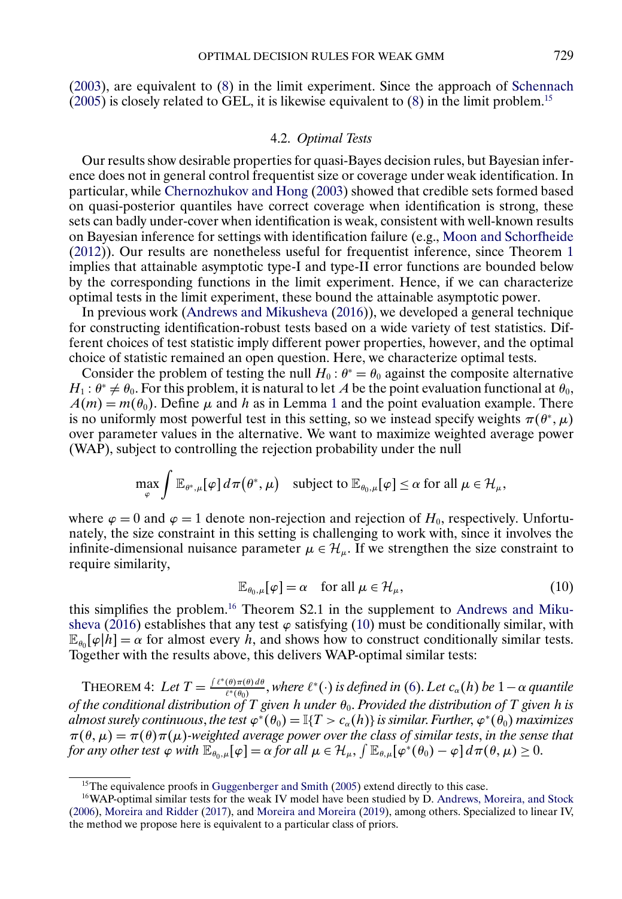<span id="page-15-0"></span>[\(2003\)](#page-33-0), are equivalent to [\(8\)](#page-13-0) in the limit experiment. Since the approach of [Schennach](#page-34-0)  $(2005)$  is closely related to GEL, it is likewise equivalent to  $(8)$  in the limit problem.<sup>15</sup>

## 4.2. *Optimal Tests*

Our results show desirable properties for quasi-Bayes decision rules, but Bayesian inference does not in general control frequentist size or coverage under weak identification. In particular, while [Chernozhukov and Hong](#page-33-0) [\(2003\)](#page-33-0) showed that credible sets formed based on quasi-posterior quantiles have correct coverage when identification is strong, these sets can badly under-cover when identification is weak, consistent with well-known results on Bayesian inference for settings with identification failure (e.g., [Moon and Schorfheide](#page-33-0) [\(2012\)](#page-33-0)). Our results are nonetheless useful for frequentist inference, since Theorem [1](#page-7-0) implies that attainable asymptotic type-I and type-II error functions are bounded below by the corresponding functions in the limit experiment. Hence, if we can characterize optimal tests in the limit experiment, these bound the attainable asymptotic power.

In previous work [\(Andrews and Mikusheva](#page-33-0) [\(2016\)](#page-33-0)), we developed a general technique for constructing identification-robust tests based on a wide variety of test statistics. Different choices of test statistic imply different power properties, however, and the optimal choice of statistic remained an open question. Here, we characterize optimal tests.

Consider the problem of testing the null  $H_0$ :  $\theta^* = \theta_0$  against the composite alternative  $H_1: \theta^* \neq \theta_0$ . For this problem, it is natural to let A be the point evaluation functional at  $\theta_0$ ,  $A(m) = m(\theta_0)$ . Define  $\mu$  and h as in Lemma [1](#page-9-0) and the point evaluation example. There is no uniformly most powerful test in this setting, so we instead specify weights  $\pi(\theta^*, \mu)$ over parameter values in the alternative. We want to maximize weighted average power (WAP), subject to controlling the rejection probability under the null

$$
\max_{\varphi} \int \mathbb{E}_{\theta^*,\mu}[\varphi] d\pi(\theta^*,\mu) \quad \text{subject to } \mathbb{E}_{\theta_0,\mu}[\varphi] \leq \alpha \text{ for all } \mu \in \mathcal{H}_{\mu},
$$

where  $\varphi = 0$  and  $\varphi = 1$  denote non-rejection and rejection of  $H_0$ , respectively. Unfortunately, the size constraint in this setting is challenging to work with, since it involves the infinite-dimensional nuisance parameter  $\mu \in \mathcal{H}_{\mu}$ . If we strengthen the size constraint to require similarity,

$$
\mathbb{E}_{\theta_0,\mu}[\varphi] = \alpha \quad \text{for all } \mu \in \mathcal{H}_{\mu}, \tag{10}
$$

this simplifies the problem.16 Theorem S2.1 in the supplement to [Andrews and Miku](#page-33-0)[sheva](#page-33-0) [\(2016\)](#page-33-0) establishes that any test  $\varphi$  satisfying (10) must be conditionally similar, with  $\mathbb{E}_{\theta_0}[\varphi|h] = \alpha$  for almost every h, and shows how to construct conditionally similar tests. Together with the results above, this delivers WAP-optimal similar tests:

THEOREM 4: Let  $T = \frac{\int \ell^*(\theta) \pi(\theta) d\theta}{\ell^*(\theta_0)},$  where  $\ell^*(\cdot)$  is defined in [\(6\)](#page-11-0). Let  $c_\alpha(h)$  be  $1-\alpha$  quantile *of the conditional distribution of* T given *h* under  $\theta_0$ . Provided the distribution of T given *h* is *almost surely continuous, the test*  $\varphi^*(\theta_0) = \mathbb{I}\{T > c_\alpha(h)\}\$ *is similar. Further,*  $\varphi^*(\theta_0)$  *maximizes*  $\pi(\theta,\mu) = \pi(\theta)\pi(\mu)$ -weighted average power over the class of similar tests, in the sense that *for any other test*  $\varphi$  *with*  $\mathbb{E}_{\theta_0,\mu}[\varphi] = \alpha$  *for all*  $\mu \in \mathcal{H}_{\mu}$ ,  $\int \mathbb{E}_{\theta,\mu}[\varphi^*(\theta_0) - \varphi] d\pi(\theta,\mu) \ge 0$ .

<sup>&</sup>lt;sup>15</sup>The equivalence proofs in [Guggenberger and Smith](#page-33-0) [\(2005\)](#page-33-0) extend directly to this case.

<sup>&</sup>lt;sup>16</sup>WAP-optimal similar tests for the weak IV model have been studied by D. [Andrews, Moreira, and Stock](#page-33-0) [\(2006\)](#page-33-0), [Moreira and Ridder](#page-33-0) [\(2017\)](#page-33-0), and [Moreira and Moreira](#page-33-0) [\(2019\)](#page-33-0), among others. Specialized to linear IV, the method we propose here is equivalent to a particular class of priors.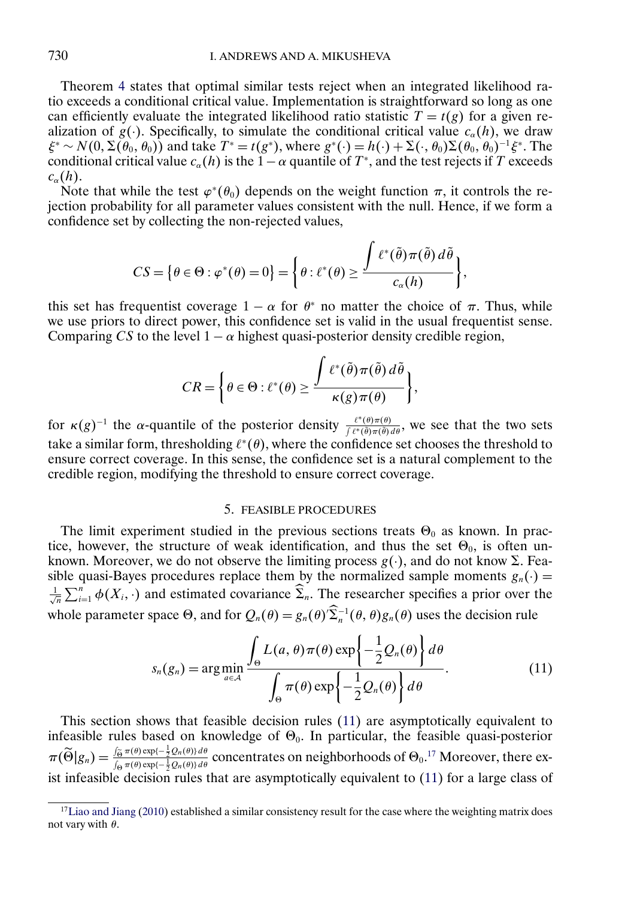<span id="page-16-0"></span>Theorem [4](#page-15-0) states that optimal similar tests reject when an integrated likelihood ratio exceeds a conditional critical value. Implementation is straightforward so long as one can efficiently evaluate the integrated likelihood ratio statistic  $T = t(g)$  for a given realization of  $g(\cdot)$ . Specifically, to simulate the conditional critical value  $c_{\alpha}(h)$ , we draw  $\xi^* \sim N(0, \Sigma(\theta_0, \theta_0))$  and take  $T^* = t(g^*)$ , where  $g^*(\cdot) = h(\cdot) + \Sigma(\cdot, \theta_0)\Sigma(\theta_0, \theta_0)^{-1}\xi^*$ . The conditional critical value  $c_{\alpha}(h)$  is the  $1-\alpha$  quantile of  $T^*$ , and the test rejects if T exceeds  $c_{\alpha}(h)$ .

Note that while the test  $\varphi^*(\theta_0)$  depends on the weight function  $\pi$ , it controls the rejection probability for all parameter values consistent with the null. Hence, if we form a confidence set by collecting the non-rejected values,

$$
CS = \big\{\theta \in \Theta : \varphi^*(\theta) = 0\big\} = \bigg\{\theta : \ell^*(\theta) \ge \frac{\displaystyle \int \ell^*(\tilde{\theta})\pi(\tilde{\theta})\,d\tilde{\theta}}{c_{\alpha}(h)}\bigg\},
$$

this set has frequentist coverage  $1 - \alpha$  for  $\theta^*$  no matter the choice of  $\pi$ . Thus, while we use priors to direct power, this confidence set is valid in the usual frequentist sense. Comparing CS to the level  $1 - \alpha$  highest quasi-posterior density credible region,

$$
CR = \left\{\theta \in \Theta : \ell^*(\theta) \ge \frac{\int \ell^*(\tilde{\theta})\pi(\tilde{\theta})\,d\tilde{\theta}}{\kappa(g)\pi(\theta)}\right\},\
$$

for  $\kappa(g)^{-1}$  the  $\alpha$ -quantile of the posterior density  $\frac{\ell^*(\theta)\pi(\theta)}{\ell^*(\theta)\pi(\theta)}$ , we see that the two sets take a similar form, thresholding  $\ell^*(\theta)$ , where the confidence set chooses the threshold to ensure correct coverage. In this sense, the confidence set is a natural complement to the credible region, modifying the threshold to ensure correct coverage.

# 5. FEASIBLE PROCEDURES

The limit experiment studied in the previous sections treats  $\Theta_0$  as known. In practice, however, the structure of weak identification, and thus the set  $\Theta_0$ , is often unknown. Moreover, we do not observe the limiting process  $g(\cdot)$ , and do not know  $\Sigma$ . Feasible quasi-Bayes procedures replace them by the normalized sample moments  $g_n(\cdot) = \frac{1}{\sqrt{n}} \sum_{i=1}^n \phi(X_i, \cdot)$  and estimated covariance  $\hat{\Sigma}_n$ . The researcher specifies a prior over the whole parameter space  $\Theta$ , and for  $Q_n(\theta) = g_n(\theta) \Sigma_n^{-1}(\theta, \theta) g_n(\theta)$  uses the decision rule

$$
s_n(g_n) = \arg\min_{a \in \mathcal{A}} \frac{\int_{\Theta} L(a, \theta) \pi(\theta) \exp\left\{-\frac{1}{2} Q_n(\theta)\right\} d\theta}{\int_{\Theta} \pi(\theta) \exp\left\{-\frac{1}{2} Q_n(\theta)\right\} d\theta}.
$$
 (11)

This section shows that feasible decision rules (11) are asymptotically equivalent to infeasible rules based on knowledge of  $\Theta_0$ . In particular, the feasible quasi-posterior  $\pi(\widetilde{\Theta}|g_n) = \frac{\int_{\widetilde{\Theta}} \pi(\theta) \exp\{-\frac{1}{2}Q_n(\theta)\} d\theta}{\int_{\Theta} \pi(\theta) \exp\{-\frac{1}{2}Q_n(\theta)\} d\theta}$  concentrates on neighborhoods of  $\Theta_0$ .<sup>17</sup> Moreover, there exist infeasible decision rules that are asymptotically equivalent to (11) for a large class of

<sup>&</sup>lt;sup>17</sup>Liao and Jiang [\(2010\)](#page-33-0) established a similar consistency result for the case where the weighting matrix does not vary with  $\theta$ .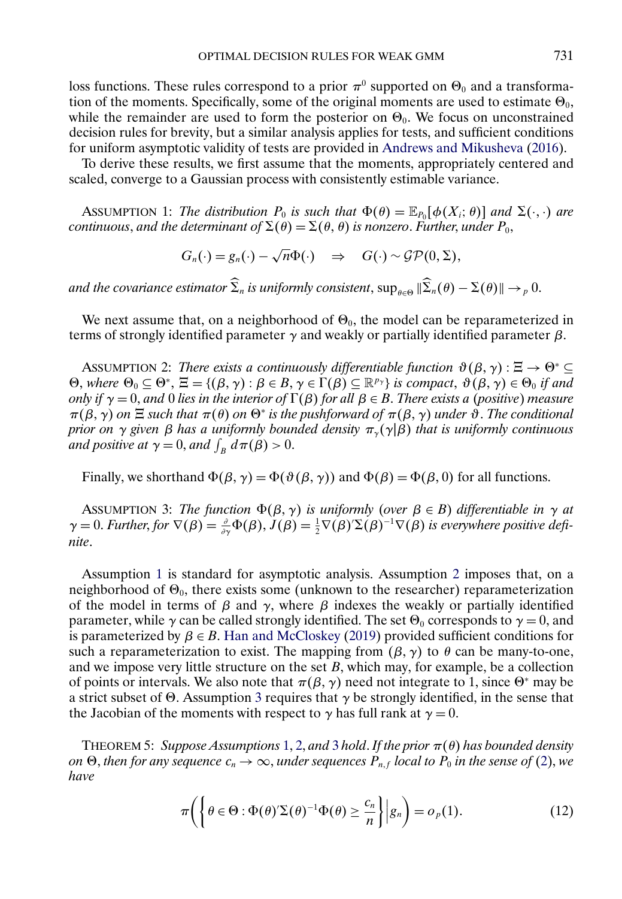<span id="page-17-0"></span>loss functions. These rules correspond to a prior  $\pi^0$  supported on  $\Theta_0$  and a transformation of the moments. Specifically, some of the original moments are used to estimate  $\Theta_0$ , while the remainder are used to form the posterior on  $\Theta_0$ . We focus on unconstrained decision rules for brevity, but a similar analysis applies for tests, and sufficient conditions for uniform asymptotic validity of tests are provided in [Andrews and Mikusheva](#page-33-0) [\(2016\)](#page-33-0).

To derive these results, we first assume that the moments, appropriately centered and scaled, converge to a Gaussian process with consistently estimable variance.

ASSUMPTION 1: *The distribution*  $P_0$  *is such that*  $\Phi(\theta) = \mathbb{E}_{P_0}[\phi(X_i; \theta)]$  *and*  $\Sigma(\cdot, \cdot)$  *are continuous, and the determinant of*  $\Sigma(\theta) = \Sigma(\theta, \theta)$  *is nonzero. Further, under*  $P_0$ *,* 

$$
G_n(\cdot) = g_n(\cdot) - \sqrt{n} \Phi(\cdot) \quad \Rightarrow \quad G(\cdot) \sim \mathcal{GP}(0, \Sigma),
$$

and the covariance estimator  $\Sigma_n$  is uniformly consistent,  $\sup_{\theta \in \Theta} \|\Sigma_n(\theta) - \Sigma(\theta)\| \to_p 0$ .

We next assume that, on a neighborhood of  $\Theta_0$ , the model can be reparameterized in terms of strongly identified parameter  $γ$  and weakly or partially identified parameter  $β$ .

ASSUMPTION 2: *There exists a continuously differentiable function*  $\vartheta(\beta, \gamma) : \Xi \to \Theta^* \subseteq$  $\Theta$ , where  $\Theta_0 \subseteq \Theta^*$ ,  $\Xi = \{(\beta, \gamma) : \beta \in B, \gamma \in \Gamma(\beta) \subseteq \mathbb{R}^{p_{\gamma}}\}$  *is compact*,  $\vartheta(\beta, \gamma) \in \Theta_0$  *if and only if*  $\gamma = 0$ , *and* 0 *lies in the interior of*  $\Gamma(\beta)$  *for all*  $\beta \in B$ . *There exists a (positive) measure*  $\pi(\beta, \gamma)$  *on*  $\Xi$  such that  $\pi(\theta)$  *on*  $\Theta^*$  *is the pushforward of*  $\pi(\beta, \gamma)$  *under*  $\vartheta$ . The conditional *prior on* γ *given* β *has a uniformly bounded density* πγ (γ|β) *that is uniformly continuous and positive at*  $\gamma = 0$ , *and*  $\int_B d\pi(\beta) > 0$ .

Finally, we shorthand  $\Phi(\beta, \gamma) = \Phi(\vartheta(\beta, \gamma))$  and  $\Phi(\beta) = \Phi(\beta, 0)$  for all functions.

ASSUMPTION 3: *The function*  $\Phi(\beta, \gamma)$  *is uniformly (over*  $\beta \in B$ ) *differentiable in*  $\gamma$  *at*  $\gamma = 0$ . *Further*, for  $\nabla(\beta) = \frac{\partial}{\partial \gamma} \Phi(\beta)$ ,  $J(\beta) = \frac{1}{2} \nabla(\beta)^2 (\beta)^{-1} \nabla(\beta)$  is everywhere positive defi*nite*.

Assumption 1 is standard for asymptotic analysis. Assumption 2 imposes that, on a neighborhood of  $\Theta_0$ , there exists some (unknown to the researcher) reparameterization of the model in terms of  $\beta$  and  $\gamma$ , where  $\beta$  indexes the weakly or partially identified parameter, while  $\gamma$  can be called strongly identified. The set  $\Theta_0$  corresponds to  $\gamma = 0$ , and is parameterized by  $\beta \in B$ . [Han and McCloskey](#page-33-0) [\(2019\)](#page-33-0) provided sufficient conditions for such a reparameterization to exist. The mapping from  $(\beta, \gamma)$  to  $\theta$  can be many-to-one, and we impose very little structure on the set  $B$ , which may, for example, be a collection of points or intervals. We also note that  $\pi(\beta, \gamma)$  need not integrate to 1, since  $\Theta^*$  may be a strict subset of  $\Theta$ . Assumption 3 requires that  $\gamma$  be strongly identified, in the sense that the Jacobian of the moments with respect to  $\gamma$  has full rank at  $\gamma = 0$ .

THEOREM 5: *Suppose Assumptions* 1, 2, *and* 3 *hold*. *If the prior* π(θ) *has bounded density*  $o$ n  $\Theta$ , *then for any sequence*  $c_n \to \infty$ *, under sequences*  $P_{n,f}$  *local to*  $P_0$  *in the sense of [\(2\)](#page-4-0), we have*

$$
\pi\bigg(\bigg\{\theta\in\Theta:\Phi(\theta)^{\prime}\Sigma(\theta)^{-1}\Phi(\theta)\geq\frac{c_n}{n}\bigg\}\bigg|g_n\bigg)=o_p(1).
$$
\n(12)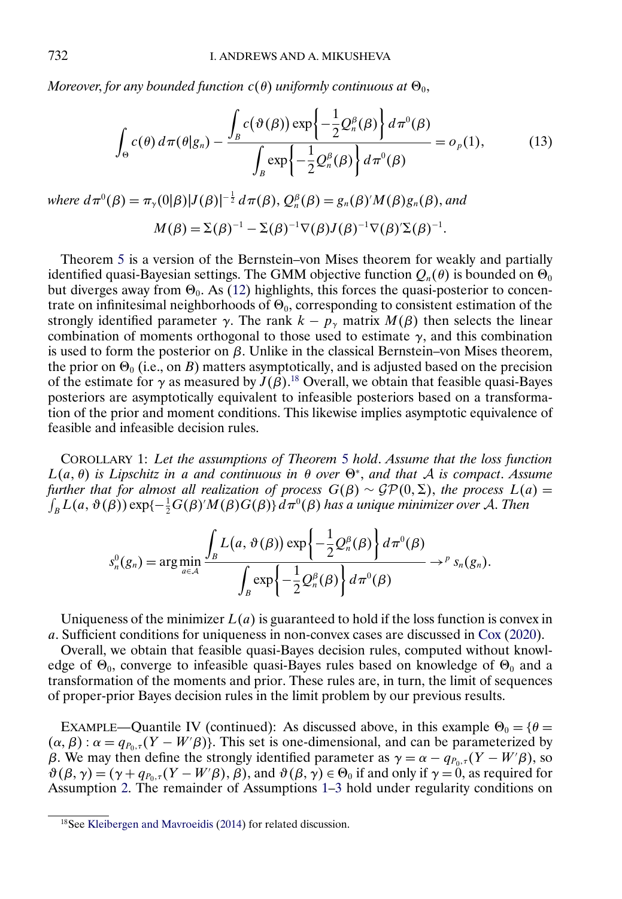<span id="page-18-0"></span>*Moreover, for any bounded function*  $c(\theta)$  *uniformly continuous at*  $\Theta_0$ *,* 

$$
\int_{\Theta} c(\theta) d\pi(\theta|g_n) - \frac{\int_{B} c(\vartheta(\beta)) \exp\left\{-\frac{1}{2}Q_n^{\beta}(\beta)\right\} d\pi^0(\beta)}{\int_{B} \exp\left\{-\frac{1}{2}Q_n^{\beta}(\beta)\right\} d\pi^0(\beta)} = o_p(1),\tag{13}
$$

where 
$$
d\pi^0(\beta) = \pi_\gamma(0|\beta)|J(\beta)|^{-\frac{1}{2}} d\pi(\beta), Q_n^{\beta}(\beta) = g_n(\beta)'M(\beta)g_n(\beta),
$$
 and  
\n
$$
M(\beta) = \Sigma(\beta)^{-1} - \Sigma(\beta)^{-1}\nabla(\beta)J(\beta)^{-1}\nabla(\beta')\Sigma(\beta)^{-1}.
$$

Theorem [5](#page-17-0) is a version of the Bernstein–von Mises theorem for weakly and partially identified quasi-Bayesian settings. The GMM objective function  $Q_n(\theta)$  is bounded on  $\Theta_0$ but diverges away from  $\Theta_0$ . As [\(12\)](#page-17-0) highlights, this forces the quasi-posterior to concentrate on infinitesimal neighborhoods of  $\Theta_0$ , corresponding to consistent estimation of the strongly identified parameter  $\gamma$ . The rank  $k - p_{\gamma}$  matrix  $M(\beta)$  then selects the linear combination of moments orthogonal to those used to estimate  $\gamma$ , and this combination is used to form the posterior on β. Unlike in the classical Bernstein–von Mises theorem, the prior on  $\Theta_0$  (i.e., on B) matters asymptotically, and is adjusted based on the precision of the estimate for  $\gamma$  as measured by  $J(\beta)$ .<sup>18</sup> Overall, we obtain that feasible quasi-Bayes posteriors are asymptotically equivalent to infeasible posteriors based on a transformation of the prior and moment conditions. This likewise implies asymptotic equivalence of feasible and infeasible decision rules.

COROLLARY 1: *Let the assumptions of Theorem* [5](#page-17-0) *hold*. *Assume that the loss function*  $L(a, \theta)$  *is Lipschitz in a and continuous in*  $\theta$  *over*  $\Theta^*$ , *and that A is compact. Assume further that for almost all realization of process*  $G(\beta) \sim \mathcal{GP}(0, \Sigma)$ , *the process*  $L(a) =$  $\int_B L(a,\vartheta(\beta)) \exp\{-\frac{1}{2}G(\beta)' M(\beta)G(\beta)\} d\pi^0(\beta)$  has a unique minimizer over A. Then

$$
s_n^0(g_n) = \arg\min_{a \in \mathcal{A}} \frac{\int_B L(a, \vartheta(\beta)) \exp\left\{-\frac{1}{2}Q_n^{\beta}(\beta)\right\} d\pi^0(\beta)}{\int_B \exp\left\{-\frac{1}{2}Q_n^{\beta}(\beta)\right\} d\pi^0(\beta)} \rightarrow^P s_n(g_n).
$$

Uniqueness of the minimizer  $L(a)$  is guaranteed to hold if the loss function is convex in a. Sufficient conditions for uniqueness in non-convex cases are discussed in [Cox](#page-33-0) [\(2020\)](#page-33-0).

Overall, we obtain that feasible quasi-Bayes decision rules, computed without knowledge of  $\Theta_0$ , converge to infeasible quasi-Bayes rules based on knowledge of  $\Theta_0$  and a transformation of the moments and prior. These rules are, in turn, the limit of sequences of proper-prior Bayes decision rules in the limit problem by our previous results.

EXAMPLE—Quantile IV (continued): As discussed above, in this example  $\Theta_0 = {\theta =$  $(\alpha, \beta)$ :  $\alpha = q_{P_0, \tau}(Y - W'\beta)$ . This set is one-dimensional, and can be parameterized by β. We may then define the strongly identified parameter as  $\gamma = \alpha - q_{P_0, \tau}(Y - W' \beta)$ , so  $\vartheta(\beta, \gamma) = (\gamma + q_{P_0, \tau}(Y - W'\beta), \beta)$ , and  $\vartheta(\beta, \gamma) \in \Theta_0$  if and only if  $\gamma = 0$ , as required for Assumption [2.](#page-17-0) The remainder of Assumptions [1–3](#page-17-0) hold under regularity conditions on

<sup>18</sup>See [Kleibergen and Mavroeidis](#page-33-0) [\(2014\)](#page-33-0) for related discussion.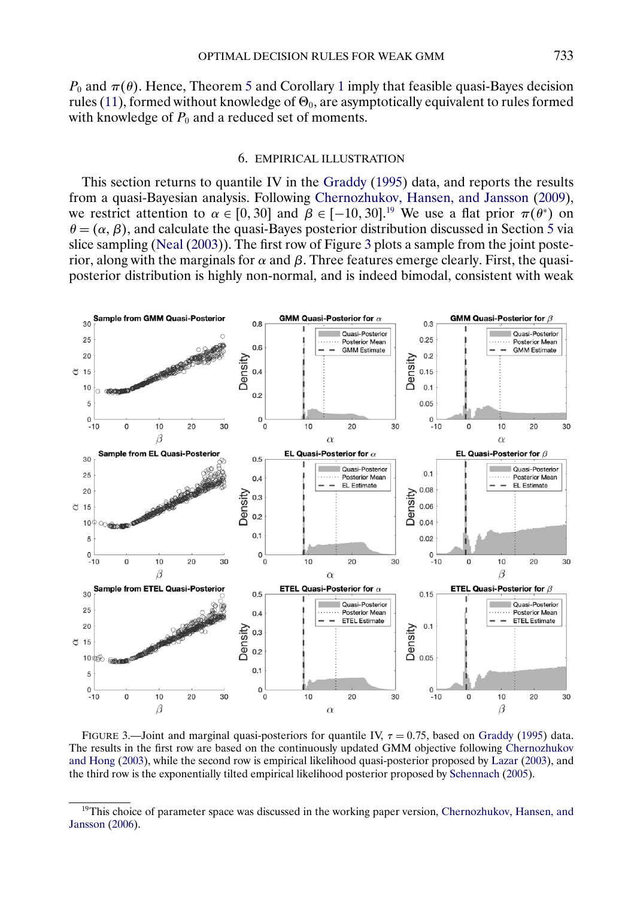<span id="page-19-0"></span> $P_0$  and  $\pi(\theta)$ . Hence, Theorem [5](#page-17-0) and Corollary [1](#page-18-0) imply that feasible quasi-Bayes decision rules [\(11\)](#page-16-0), formed without knowledge of  $\Theta_0$ , are asymptotically equivalent to rules formed with knowledge of  $P_0$  and a reduced set of moments.

#### 6. EMPIRICAL ILLUSTRATION

This section returns to quantile IV in the [Graddy](#page-33-0) [\(1995\)](#page-33-0) data, and reports the results from a quasi-Bayesian analysis. Following [Chernozhukov, Hansen, and Jansson](#page-33-0) [\(2009\)](#page-33-0), we restrict attention to  $\alpha \in [0, 30]$  and  $\beta \in [-10, 30]$ .<sup>19</sup> We use a flat prior  $\pi(\theta^*)$  on  $\theta = (\alpha, \beta)$ , and calculate the quasi-Bayes posterior distribution discussed in Section [5](#page-16-0) via slice sampling [\(Neal](#page-34-0) [\(2003\)](#page-34-0)). The first row of Figure 3 plots a sample from the joint posterior, along with the marginals for  $\alpha$  and  $\beta$ . Three features emerge clearly. First, the quasiposterior distribution is highly non-normal, and is indeed bimodal, consistent with weak



FIGURE 3.—Joint and marginal quasi-posteriors for quantile IV,  $\tau = 0.75$ , based on [Graddy](#page-33-0) [\(1995\)](#page-33-0) data. The results in the first row are based on the continuously updated GMM objective following [Chernozhukov](#page-33-0) [and Hong](#page-33-0) [\(2003\)](#page-33-0), while the second row is empirical likelihood quasi-posterior proposed by [Lazar](#page-33-0) [\(2003\)](#page-33-0), and the third row is the exponentially tilted empirical likelihood posterior proposed by [Schennach](#page-34-0) [\(2005\)](#page-34-0).

<sup>&</sup>lt;sup>19</sup>This choice of parameter space was discussed in the working paper version, [Chernozhukov, Hansen, and](#page-33-0) [Jansson](#page-33-0) [\(2006\)](#page-33-0).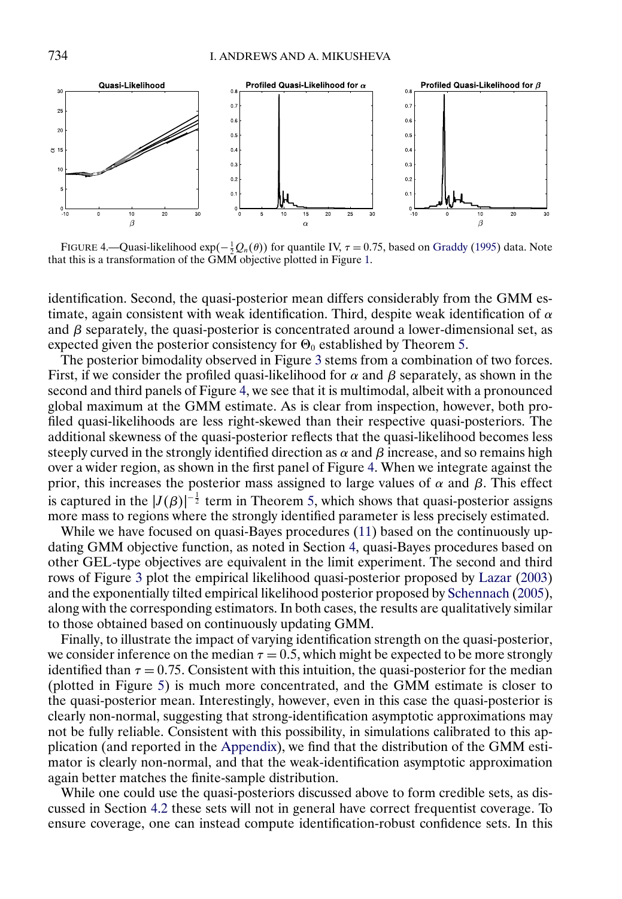<span id="page-20-0"></span>

FIGURE 4.—Quasi-likelihood exp( $-\frac{1}{2}Q_n(\theta)$ ) for quantile IV,  $\tau = 0.75$ , based on [Graddy](#page-33-0) [\(1995\)](#page-33-0) data. Note that this is a transformation of the GMM objective plotted in Figure [1.](#page-3-0)

identification. Second, the quasi-posterior mean differs considerably from the GMM estimate, again consistent with weak identification. Third, despite weak identification of  $\alpha$ and  $\beta$  separately, the quasi-posterior is concentrated around a lower-dimensional set, as expected given the posterior consistency for  $\Theta_0$  established by Theorem [5.](#page-17-0)

The posterior bimodality observed in Figure [3](#page-19-0) stems from a combination of two forces. First, if we consider the profiled quasi-likelihood for  $\alpha$  and  $\beta$  separately, as shown in the second and third panels of Figure 4, we see that it is multimodal, albeit with a pronounced global maximum at the GMM estimate. As is clear from inspection, however, both profiled quasi-likelihoods are less right-skewed than their respective quasi-posteriors. The additional skewness of the quasi-posterior reflects that the quasi-likelihood becomes less steeply curved in the strongly identified direction as  $\alpha$  and  $\beta$  increase, and so remains high over a wider region, as shown in the first panel of Figure 4. When we integrate against the prior, this increases the posterior mass assigned to large values of  $\alpha$  and  $\beta$ . This effect is captured in the  $|J(\beta)|^{-\frac{1}{2}}$  term in Theorem [5,](#page-17-0) which shows that quasi-posterior assigns more mass to regions where the strongly identified parameter is less precisely estimated.

While we have focused on quasi-Bayes procedures [\(11\)](#page-16-0) based on the continuously updating GMM objective function, as noted in Section [4,](#page-13-0) quasi-Bayes procedures based on other GEL-type objectives are equivalent in the limit experiment. The second and third rows of Figure [3](#page-19-0) plot the empirical likelihood quasi-posterior proposed by [Lazar](#page-33-0) [\(2003\)](#page-33-0) and the exponentially tilted empirical likelihood posterior proposed by [Schennach](#page-34-0) [\(2005\)](#page-34-0), along with the corresponding estimators. In both cases, the results are qualitatively similar to those obtained based on continuously updating GMM.

Finally, to illustrate the impact of varying identification strength on the quasi-posterior, we consider inference on the median  $\tau = 0.5$ , which might be expected to be more strongly identified than  $\tau = 0.75$ . Consistent with this intuition, the quasi-posterior for the median (plotted in Figure [5\)](#page-21-0) is much more concentrated, and the GMM estimate is closer to the quasi-posterior mean. Interestingly, however, even in this case the quasi-posterior is clearly non-normal, suggesting that strong-identification asymptotic approximations may not be fully reliable. Consistent with this possibility, in simulations calibrated to this application (and reported in the [Appendix\)](#page-21-0), we find that the distribution of the GMM estimator is clearly non-normal, and that the weak-identification asymptotic approximation again better matches the finite-sample distribution.

While one could use the quasi-posteriors discussed above to form credible sets, as discussed in Section [4.2](#page-15-0) these sets will not in general have correct frequentist coverage. To ensure coverage, one can instead compute identification-robust confidence sets. In this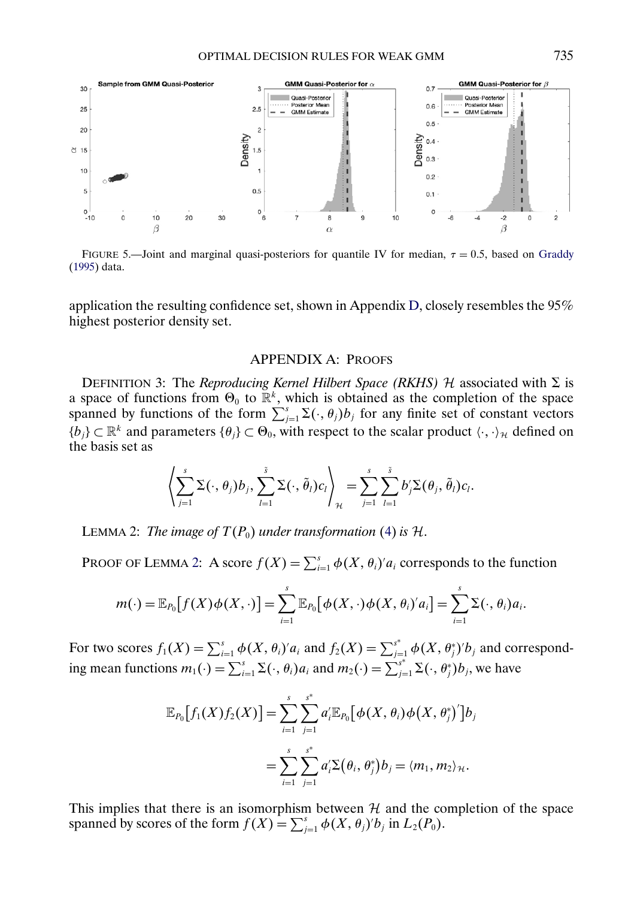<span id="page-21-0"></span>

FIGURE 5.—Joint and marginal quasi-posteriors for quantile IV for median,  $\tau = 0.5$ , based on [Graddy](#page-33-0) [\(1995\)](#page-33-0) data.

application the resulting confidence set, shown in Appendix [D,](#page-31-0) closely resembles the 95% highest posterior density set.

# APPENDIX A: PROOFS

DEFINITION 3: The *Reproducing Kernel Hilbert Space (RKHS)*  $H$  associated with  $\Sigma$  is a space of functions from  $\Theta_0$  to  $\mathbb{R}^k$ , which is obtained as the completion of the space spanned by functions of the form  $\sum_{j=1}^{s} \Sigma(\cdot, \theta_j) b_j$  for any finite set of constant vectors  ${b_j} \subset \mathbb{R}^k$  and parameters  ${\theta_j} \subset \Theta_0$ , with respect to the scalar product  $\langle \cdot, \cdot \rangle_{\mathcal{H}}$  defined on the basis set as

$$
\left\langle \sum_{j=1}^s \Sigma(\cdot,\theta_j) b_j, \sum_{l=1}^{\tilde{s}} \Sigma(\cdot,\tilde{\theta}_l) c_l \right\rangle_{\mathcal{H}} = \sum_{j=1}^s \sum_{l=1}^{\tilde{s}} b'_j \Sigma(\theta_j,\tilde{\theta}_l) c_l.
$$

LEMMA 2: *The image of*  $T(P_0)$  *under transformation* [\(4\)](#page-6-0) *is*  $H$ .

PROOF OF LEMMA 2: A score  $f(X) = \sum_{i=1}^{s} \phi(X, \theta_i)' a_i$  corresponds to the function

$$
m(\cdot) = \mathbb{E}_{P_0}\big[f(X)\phi(X,\cdot)\big] = \sum_{i=1}^s \mathbb{E}_{P_0}\big[\phi(X,\cdot)\phi(X,\theta_i)'a_i\big] = \sum_{i=1}^s \Sigma(\cdot,\theta_i)a_i.
$$

For two scores  $f_1(X) = \sum_{i=1}^s \phi(X, \theta_i)' a_i$  and  $f_2(X) = \sum_{j=1}^{s^*} \phi(X, \theta_j^*)' b_j$  and corresponding mean functions  $m_1(\cdot) = \sum_{i=1}^s \Sigma(\cdot, \theta_i) a_i$  and  $m_2(\cdot) = \sum_{j=1}^{s^*} \Sigma(\cdot, \theta_j^*) b_j$ , we have

$$
\mathbb{E}_{P_0}[f_1(X)f_2(X)] = \sum_{i=1}^s \sum_{j=1}^{s^*} a'_i \mathbb{E}_{P_0}[\phi(X, \theta_i) \phi(X, \theta_j^*)']b_j
$$
  
= 
$$
\sum_{i=1}^s \sum_{j=1}^{s^*} a'_i \Sigma(\theta_i, \theta_j^*)b_j = \langle m_1, m_2 \rangle_{\mathcal{H}}.
$$

This implies that there is an isomorphism between  $H$  and the completion of the space spanned by scores of the form  $f(X) = \sum_{j=1}^{s} \phi(X, \theta_j)' b_j$  in  $L_2(P_0)$ .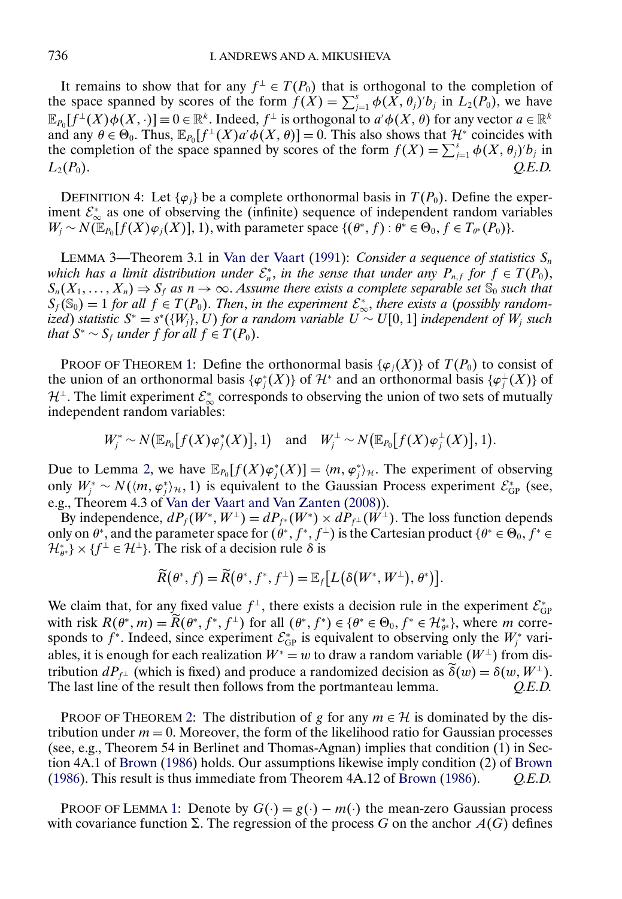<span id="page-22-0"></span>It remains to show that for any  $f^{\perp} \in T(P_0)$  that is orthogonal to the completion of the space spanned by scores of the form  $f(X) = \sum_{j=1}^{s} \phi(X, \theta_j)' b_j$  in  $L_2(P_0)$ , we have  $\mathbb{E}_{P_0}[f^{\perp}(X)\phi(X,\cdot)] \equiv 0 \in \mathbb{R}^k$ . Indeed,  $f^{\perp}$  is orthogonal to  $a'\phi(X,\theta)$  for any vector  $a \in \mathbb{R}^k$ . and any  $\theta \in \Theta_0$ . Thus,  $\mathbb{E}_{P_0}[f^{\perp}(X) a' \phi(X, \theta)] = 0$ . This also shows that  $\mathcal{H}^*$  coincides with the completion of the space spanned by scores of the form  $f(X) = \sum_{j=1}^{s} \phi(X, \theta_j)' b_j$  in  $L_2(P_0)$ .  $Q.E.D.$ 

DEFINITION 4: Let  $\{\varphi_i\}$  be a complete orthonormal basis in  $T(P_0)$ . Define the experiment  $\mathcal{E}_{\infty}^*$  as one of observing the (infinite) sequence of independent random variables  $W_j \sim N(\mathbb{E}_{P_0}[f(X)\varphi_j(X)], 1)$ , with parameter space  $\{(\theta^*, f) : \theta^* \in \Theta_0, f \in T_{\theta^*}(P_0)\}.$ 

LEMMA 3—Theorem 3.1 in [Van der Vaart](#page-34-0) [\(1991\)](#page-34-0): *Consider a sequence of statistics*  $S_n$ *which has a limit distribution under*  $\mathcal{E}_n^*$ , *in the sense that under any*  $P_{n,f}$  *for*  $f \in T(P_0)$ ,  $S_n(X_1,\ldots,X_n)\Rightarrow S_f$  *as*  $n\to\infty$ . Assume there exists a complete separable set  $S_0$  such that  $S_f(\mathbb{S}_0) = 1$  for all  $f \in T(P_0)$ . Then, in the experiment  $\mathcal{E}_{\infty}^*$ , there exists a (possibly random*ized*) *statistic*  $S^* = s^*(\{W_j\}, U)$  *for a random variable*  $U ∼ U[0, 1]$  *independent of*  $W_j$  *such that*  $S^* \sim S_f$  *under f for all*  $f \in T(P_0)$ .

PROOF OF THEOREM [1:](#page-7-0) Define the orthonormal basis { $\varphi_i(X)$ } of  $T(P_0)$  to consist of the union of an orthonormal basis  $\{\varphi_j^*(X)\}\$  of  $\mathcal{H}^*$  and an orthonormal basis  $\{\varphi_j^{\perp}(X)\}\$  of  $\mathcal{H}^{\perp}$ . The limit experiment  $\mathcal{E}^*_{\infty}$  corresponds to observing the union of two sets of mutually independent random variables:

$$
W_j^* \sim N\big(\mathbb{E}_{P_0}\big[f(X)\varphi_j^*(X)\big],1\big) \quad \text{and} \quad W_j^{\perp} \sim N\big(\mathbb{E}_{P_0}\big[f(X)\varphi_j^{\perp}(X)\big],1\big).
$$

Due to Lemma [2,](#page-21-0) we have  $\mathbb{E}_{P_0}[f(X)\varphi_j^*(X)] = \langle m, \varphi_j^* \rangle_{\mathcal{H}}$ . The experiment of observing only  $W_j^* \sim N(\langle m, \varphi_j^* \rangle_{\mathcal{H}}, 1)$  is equivalent to the Gaussian Process experiment  $\mathcal{E}_{GP}^*$  (see, e.g., Theorem 4.3 of [Van der Vaart and Van Zanten](#page-34-0) [\(2008\)](#page-34-0)).

By independence,  $dP_f(W^*, W^{\perp}) = dP_{f^*}(W^*) \times dP_{f^{\perp}}(W^{\perp})$ . The loss function depends only on  $\theta^*$ , and the parameter space for  $(\theta^*, f^*, f^{\perp})$  is the Cartesian product  $\{\theta^* \in \Theta_0, f^* \in \Theta_0\}$  $\{\mathcal{H}_{\theta^*}\}\times\{f^\perp\in\mathcal{H}^\perp\}$ . The risk of a decision rule  $\delta$  is

$$
\widetilde{R}(\theta^*,f)=\widetilde{R}\big(\theta^*,f^*,f^\perp\big)=\mathbb{E}_f\big[L\big(\delta\big(W^*,W^\perp\big),\theta^*\big)\big].
$$

We claim that, for any fixed value  $f^{\perp}$ , there exists a decision rule in the experiment  $\mathcal{E}^*_{GP}$ with risk  $R(\theta^*, m) = R(\theta^*, f^*, f^{\perp})$  for all  $(\theta^*, f^*) \in {\theta^* \in \Theta_0, f^* \in \mathcal{H}_{\theta^*}^*}$ , where m corresponds to  $f^*$ . Indeed, since experiment  $\mathcal{E}_{GP}^*$  is equivalent to observing only the  $W_j^*$  variables, it is enough for each realization  $W^* = w$  to draw a random variable  $(W^{\perp})$  from distribution  $dP_{f^{\perp}}$  (which is fixed) and produce a randomized decision as  $\delta(w) = \delta(w, W^{\perp})$ . The last line of the result then follows from the portmanteau lemma. *Q.E.D.*

PROOF OF THEOREM [2:](#page-8-0) The distribution of g for any  $m \in \mathcal{H}$  is dominated by the distribution under  $m = 0$ . Moreover, the form of the likelihood ratio for Gaussian processes (see, e.g., Theorem 54 in Berlinet and Thomas-Agnan) implies that condition (1) in Section 4A.1 of [Brown](#page-33-0) [\(1986\)](#page-33-0) holds. Our assumptions likewise imply condition (2) of [Brown](#page-33-0) [\(1986\)](#page-33-0). This result is thus immediate from Theorem 4A.12 of [Brown](#page-33-0) [\(1986\)](#page-33-0). *Q.E.D.*

PROOF OF LEMMA [1:](#page-9-0) Denote by  $G(\cdot) = g(\cdot) - m(\cdot)$  the mean-zero Gaussian process with covariance function  $\Sigma$ . The regression of the process G on the anchor  $A(G)$  defines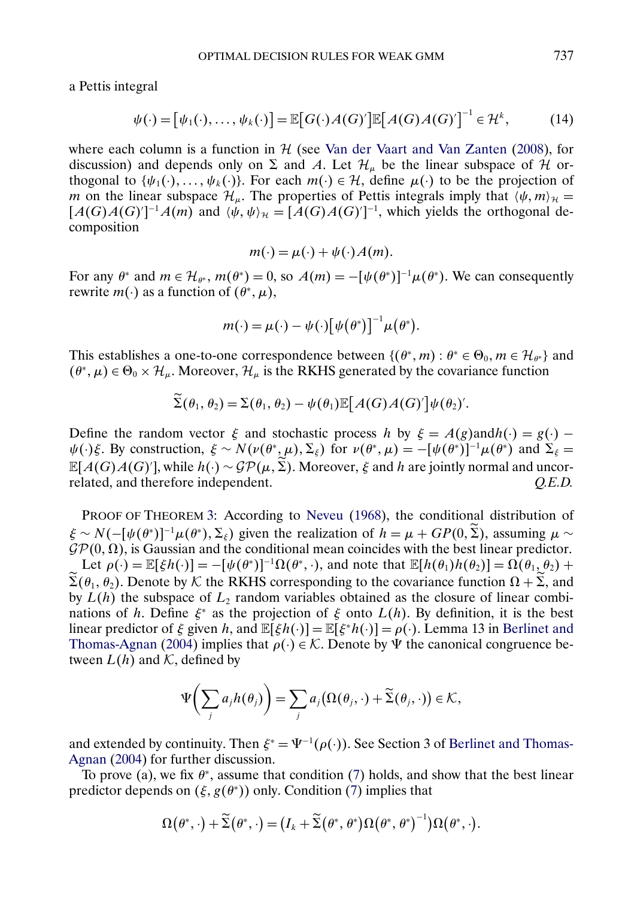<span id="page-23-0"></span>a Pettis integral

$$
\psi(\cdot) = [\psi_1(\cdot), \dots, \psi_k(\cdot)] = \mathbb{E}[G(\cdot)A(G)']\mathbb{E}[A(G)A(G)]^{-1} \in \mathcal{H}^k,
$$
 (14)

where each column is a function in  $H$  (see [Van der Vaart and Van Zanten](#page-34-0) [\(2008\)](#page-34-0), for discussion) and depends only on  $\Sigma$  and A. Let  $\mathcal{H}_{\mu}$  be the linear subspace of H orthogonal to  $\{\psi_1(\cdot), \dots, \psi_k(\cdot)\}\)$ . For each  $m(\cdot) \in \mathcal{H}$ , define  $\mu(\cdot)$  to be the projection of m on the linear subspace  $\mathcal{H}_{\mu}$ . The properties of Pettis integrals imply that  $\langle \psi, m \rangle_{\mathcal{H}} =$  $[A(G)A(G)]^{-1}A(m)$  and  $\langle \psi, \psi \rangle_{\mathcal{H}} = [A(G)A(G)]^{-1}$ , which yields the orthogonal decomposition

$$
m(\cdot) = \mu(\cdot) + \psi(\cdot)A(m).
$$

For any  $\theta^*$  and  $m \in \mathcal{H}_{\theta^*}$ ,  $m(\theta^*) = 0$ , so  $A(m) = -[\psi(\theta^*)]^{-1}\mu(\theta^*)$ . We can consequently rewrite  $m(\cdot)$  as a function of  $(\theta^*, \mu)$ ,

$$
m(\cdot) = \mu(\cdot) - \psi(\cdot) [\psi(\theta^*)]^{-1} \mu(\theta^*).
$$

This establishes a one-to-one correspondence between  $\{(\theta^*, m) : \theta^* \in \Theta_0, m \in \mathcal{H}_{\theta^*}\}\$  and  $(\theta^*, \mu) \in \Theta_0 \times \mathcal{H}_{\mu}$ . Moreover,  $\mathcal{H}_{\mu}$  is the RKHS generated by the covariance function

$$
\widetilde{\Sigma}(\theta_1,\theta_2)=\Sigma(\theta_1,\theta_2)-\psi(\theta_1)\mathbb{E}\big[A(G)A(G)'\big]\psi(\theta_2).
$$

Define the random vector  $\xi$  and stochastic process h by  $\xi = A(g)$ andh $(\cdot) = g(\cdot)$  –  $\psi(\cdot)\xi$ . By construction,  $\xi \sim N(\nu(\theta^*,\mu),\Sigma_\xi)$  for  $\nu(\theta^*,\mu) = -[\psi(\theta^*)]^{-1}\mu(\theta^*)$  and  $\Sigma_\xi =$  $\mathbb{E}[A(G)A(G)']$ , while  $h(\cdot) \sim \mathcal{GP}(\mu, \tilde{\Sigma})$ . Moreover,  $\xi$  and  $h$  are jointly normal and uncorrelated, and therefore independent. *Q.E.D.*

PROOF OF THEOREM [3:](#page-11-0) According to [Neveu](#page-34-0) [\(1968\)](#page-34-0), the conditional distribution of  $\xi \sim N(-[\psi(\theta^*)]^{-1}\mu(\theta^*), \Sigma_{\xi})$  given the realization of  $h = \mu + GP(0, \Sigma)$ , assuming  $\mu \sim$  $\mathcal{GP}(0, \Omega)$ , is Gaussian and the conditional mean coincides with the best linear predictor. Let  $\rho(\cdot) = \mathbb{E}[\xi h(\cdot)] = -[\psi(\theta^*)]^{-1} \Omega(\theta^*, \cdot)$ , and note that  $\mathbb{E}[h(\theta_1)h(\theta_2)] = \Omega(\theta_1, \theta_2) +$  $\Sigma(\theta_1, \theta_2)$ . Denote by K the RKHS corresponding to the covariance function  $\Omega + \Sigma$ , and by  $L(h)$  the subspace of  $L_2$  random variables obtained as the closure of linear combinations of h. Define  $\xi^*$  as the projection of  $\xi$  onto  $L(h)$ . By definition, it is the best linear predictor of  $\xi$  given h, and  $\mathbb{E}[\xi h(\cdot)] = \mathbb{E}[\xi^* h(\cdot)] = \rho(\cdot)$ . Lemma 13 in [Berlinet and](#page-33-0) [Thomas-Agnan](#page-33-0) [\(2004\)](#page-33-0) implies that  $\rho(\cdot) \in \mathcal{K}$ . Denote by  $\Psi$  the canonical congruence between  $L(h)$  and K, defined by

$$
\Psi\bigg(\sum_j a_j h(\theta_j)\bigg) = \sum_j a_j \big(\Omega(\theta_j,\cdot) + \widetilde{\Sigma}(\theta_j,\cdot)\big) \in \mathcal{K},
$$

and extended by continuity. Then  $\xi^* = \Psi^{-1}(\rho(\cdot))$ . See Section 3 of [Berlinet and Thomas-](#page-33-0)[Agnan](#page-33-0) [\(2004\)](#page-33-0) for further discussion.

To prove (a), we fix  $\theta^*$ , assume that condition [\(7\)](#page-11-0) holds, and show that the best linear predictor depends on  $(\xi, g(\theta^*))$  only. Condition [\(7\)](#page-11-0) implies that

$$
\Omega(\theta^*,\cdot)+\widetilde{\Sigma}\big(\theta^*,\cdot\big)=\big(I_k+\widetilde{\Sigma}\big(\theta^*,\theta^*\big)\Omega\big(\theta^*,\theta^*\big)^{-1}\big)\Omega\big(\theta^*,\cdot\big).
$$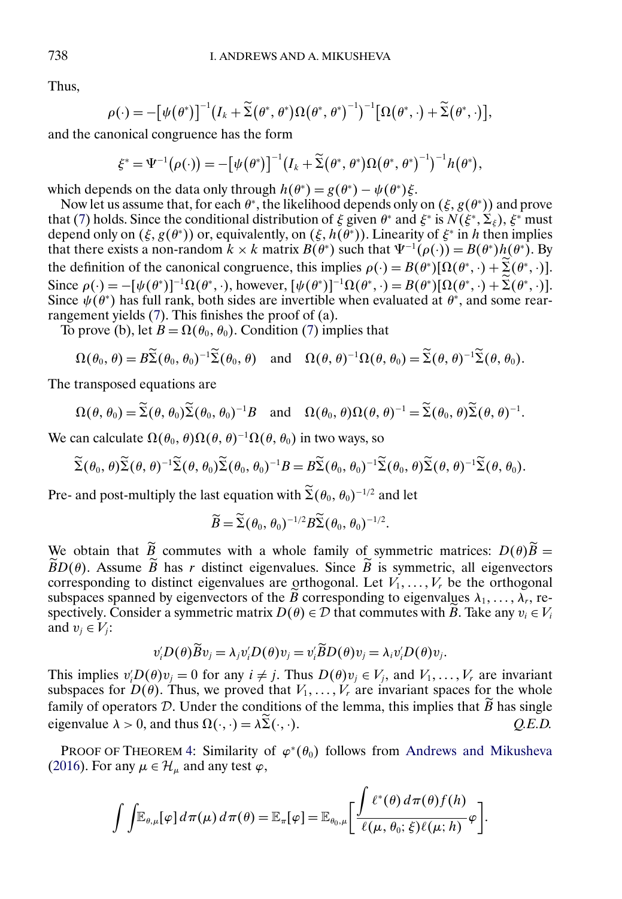Thus,

$$
\rho(\cdot)=-\big[\psi\big(\theta^*\big)\big]^{-1}\big(I_k+\widetilde{\Sigma}\big(\theta^*,\theta^*\big)\Omega\big(\theta^*,\theta^*\big)^{-1}\big)^{-1}\big[\Omega\big(\theta^*,\cdot\big)+\widetilde{\Sigma}\big(\theta^*,\cdot\big)\big],
$$

and the canonical congruence has the form

$$
\xi^* = \Psi^{-1}(\rho(\cdot)) = -[\psi(\theta^*)]^{-1}(I_k + \widetilde{\Sigma}(\theta^*, \theta^*)\Omega(\theta^*, \theta^*)^{-1})^{-1}h(\theta^*),
$$

which depends on the data only through  $h(\theta^*) = g(\theta^*) - \psi(\theta^*)\xi$ .

Now let us assume that, for each  $\theta^*$ , the likelihood depends only on  $(\xi, g(\theta^*))$  and prove that [\(7\)](#page-11-0) holds. Since the conditional distribution of  $\xi$  given  $\theta^*$  and  $\xi^*$  is  $N(\xi^*,\Sigma_\xi)$ ,  $\xi^*$  must depend only on  $(\xi, g(\theta^*))$  or, equivalently, on  $(\xi, h(\theta^*))$ . Linearity of  $\xi^*$  in h then implies that there exists a non-random  $k \times k$  matrix  $B(\theta^*)$  such that  $\Psi^{-1}(\rho(\cdot)) = B(\theta^*)h(\theta^*)$ . By the definition of the canonical congruence, this implies  $\rho(\cdot) = B(\theta^*)[\Omega(\theta^*, \cdot) + \sum_{n=1}^{\infty}(\theta^*, \cdot)].$ Since  $\rho(\cdot) = -[\psi(\theta^*)]^{-1} \Omega(\theta^*, \cdot)$ , however,  $[\psi(\theta^*)]^{-1} \Omega(\theta^*, \cdot) = B(\theta^*) [\Omega(\theta^*, \cdot) + \Sigma(\theta^*, \cdot)].$ Since  $\psi(\theta^*)$  has full rank, both sides are invertible when evaluated at  $\theta^*$ , and some rearrangement yields [\(7\)](#page-11-0). This finishes the proof of (a).

To prove (b), let  $B = \Omega(\theta_0, \theta_0)$ . Condition [\(7\)](#page-11-0) implies that

$$
\Omega(\theta_0, \theta) = B\widetilde{\Sigma}(\theta_0, \theta_0)^{-1}\widetilde{\Sigma}(\theta_0, \theta) \quad \text{and} \quad \Omega(\theta, \theta)^{-1}\Omega(\theta, \theta_0) = \widetilde{\Sigma}(\theta, \theta)^{-1}\widetilde{\Sigma}(\theta, \theta_0).
$$

The transposed equations are

$$
\Omega(\theta,\theta_0)=\widetilde{\Sigma}(\theta,\theta_0)\widetilde{\Sigma}(\theta_0,\theta_0)^{-1}B \quad \text{and} \quad \Omega(\theta_0,\theta)\Omega(\theta,\theta)^{-1}=\widetilde{\Sigma}(\theta_0,\theta)\widetilde{\Sigma}(\theta,\theta)^{-1}.
$$

We can calculate  $\Omega(\theta_0, \theta) \Omega(\theta, \theta)^{-1} \Omega(\theta, \theta_0)$  in two ways, so

$$
\widetilde{\Sigma}(\theta_0,\theta)\widetilde{\Sigma}(\theta,\theta)^{-1}\widetilde{\Sigma}(\theta,\theta_0)\widetilde{\Sigma}(\theta_0,\theta_0)^{-1}B=B\widetilde{\Sigma}(\theta_0,\theta_0)^{-1}\widetilde{\Sigma}(\theta_0,\theta)\widetilde{\Sigma}(\theta,\theta)^{-1}\widetilde{\Sigma}(\theta,\theta_0).
$$

Pre- and post-multiply the last equation with  $\Sigma(\theta_0, \theta_0)^{-1/2}$  and let

$$
\widetilde{B}=\widetilde{\Sigma}(\theta_0,\theta_0)^{-1/2}B\widetilde{\Sigma}(\theta_0,\theta_0)^{-1/2}.
$$

We obtain that B commutes with a whole family of symmetric matrices:  $D(\theta)B =$  $BD(\theta)$ . Assume B has r distinct eigenvalues. Since B is symmetric, all eigenvectors corresponding to distinct eigenvalues are orthogonal. Let  $V_1, \ldots, V_r$  be the orthogonal subspaces spanned by eigenvectors of the B corresponding to eigenvalues  $\lambda_1, \ldots, \lambda_r$ , respectively. Consider a symmetric matrix  $D(\theta) \in \mathcal{D}$  that commutes with B. Take any  $v_i \in V_i$ and  $v_i \in V_i$ :

$$
v_i'D(\theta)\widetilde{B}v_j=\lambda_jv_i'D(\theta)v_j=v_i'\widetilde{B}D(\theta)v_j=\lambda_iv_i'D(\theta)v_j.
$$

This implies  $v_i' D(\theta) v_j = 0$  for any  $i \neq j$ . Thus  $D(\theta) v_j \in V_j$ , and  $V_1, \ldots, V_r$  are invariant subspaces for  $D(\theta)$ . Thus, we proved that  $V_1, \ldots, V_r$  are invariant spaces for the whole family of operators D. Under the conditions of the lemma, this implies that B has single eigenvalue  $\lambda > 0$ , and thus  $\Omega(\cdot, \cdot) = \lambda \Sigma(\cdot, \cdot)$ ·). *Q.E.D.*

PROOF OF THEOREM [4:](#page-15-0) Similarity of  $\varphi^*(\theta_0)$  follows from [Andrews and Mikusheva](#page-33-0) [\(2016\)](#page-33-0). For any  $\mu \in \mathcal{H}_{\mu}$  and any test  $\varphi$ ,

$$
\int \int \mathbb{E}_{\theta,\mu}[\varphi] d\pi(\mu) d\pi(\theta) = \mathbb{E}_{\pi}[\varphi] = \mathbb{E}_{\theta_0,\mu} \left[ \frac{\int \ell^*(\theta) d\pi(\theta) f(h)}{\ell(\mu,\theta_0;\xi) \ell(\mu;h)} \varphi \right].
$$

<span id="page-24-0"></span>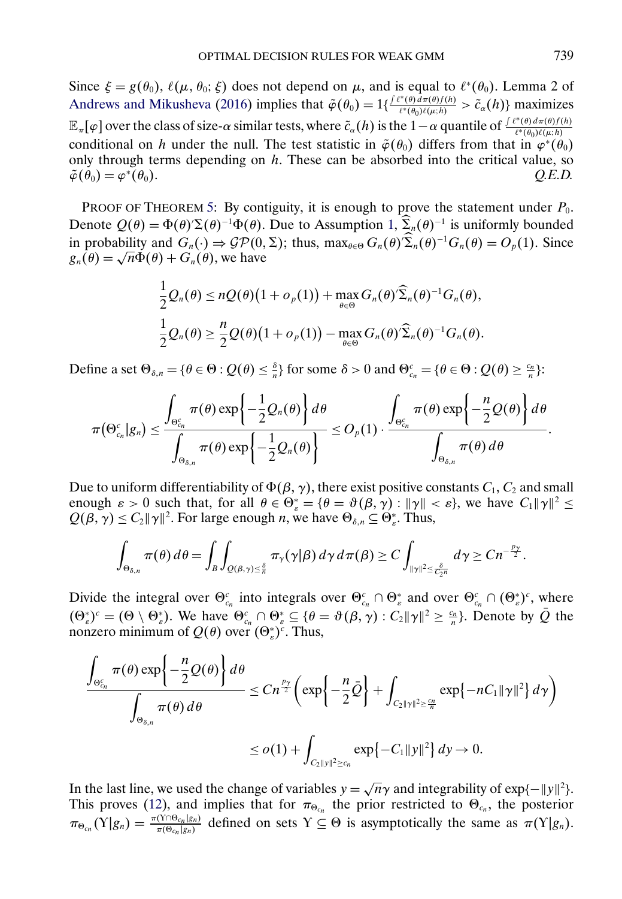Since  $\xi = g(\theta_0)$ ,  $\ell(\mu, \theta_0; \xi)$  does not depend on  $\mu$ , and is equal to  $\ell^*(\theta_0)$ . Lemma 2 of [Andrews and Mikusheva](#page-33-0) [\(2016\)](#page-33-0) implies that  $\tilde{\varphi}(\theta_0) = 1\{\frac{f(\ell^*(\theta) d\pi(\theta)f(h))}{\ell^*(\theta_0)\ell(\mu;h)} > \tilde{c}_{\alpha}(h)\}\)$  maximizes  $\mathbb{E}_{\pi}[\varphi]$  over the class of size- $\alpha$  similar tests, where  $\tilde{c}_{\alpha}(h)$  is the  $1-\alpha$  quantile of  $\frac{\int \ell^*(\theta) d\pi(\theta) f(h)}{\ell^*(\theta_0) \ell(\mu;h)}$  $\ell^*(\theta_0)\ell(\mu;h)$ conditional on h under the null. The test statistic in  $\tilde{\varphi}(\theta_0)$  differs from that in  $\varphi^*(\theta_0)$ only through terms depending on  $h$ . These can be absorbed into the critical value, so  $\tilde{\varphi}(\theta_0) = \varphi^*(\theta_0).$  *Q.E.D.* 

PROOF OF THEOREM [5:](#page-17-0) By contiguity, it is enough to prove the statement under  $P_0$ . Denote  $Q(\theta) = \Phi(\theta) \Sigma(\theta)^{-1} \Phi(\theta)$ . Due to Assumption [1,](#page-17-0)  $\Sigma_n(\theta)^{-1}$  is uniformly bounded in probability and  $G_n(\cdot) \Rightarrow \mathcal{GP}(0, \Sigma)$ ; thus,  $\max_{\theta \in \Theta} G_n(\theta) \Sigma_n(\theta)^{-1} G_n(\theta) = O_p(1)$ . Since  $g_n(\theta) = \sqrt{n}\Phi(\theta) + G_n(\theta)$ , we have

$$
\frac{1}{2}Q_n(\theta) \le nQ(\theta)\left(1 + o_p(1)\right) + \max_{\theta \in \Theta} G_n(\theta)\widehat{\Sigma}_n(\theta)^{-1}G_n(\theta),
$$
  

$$
\frac{1}{2}Q_n(\theta) \ge \frac{n}{2}Q(\theta)\left(1 + o_p(1)\right) - \max_{\theta \in \Theta} G_n(\theta)\widehat{\Sigma}_n(\theta)^{-1}G_n(\theta).
$$

Define a set  $\Theta_{\delta,n} = \{\theta \in \Theta : Q(\theta) \leq \frac{\delta}{n}\}\$ for some  $\delta > 0$  and  $\Theta_{c_n}^c = \{\theta \in \Theta : Q(\theta) \geq \frac{c_n}{n}\}\$ :

$$
\pi(\Theta_{c_n}^c|g_n) \leq \frac{\displaystyle \int_{\Theta_{c_n}^c} \pi(\theta) \exp\left\{-\frac{1}{2}Q_n(\theta)\right\} d\theta}{\displaystyle \int_{\Theta_{\delta,n}} \pi(\theta) \exp\left\{-\frac{1}{2}Q_n(\theta)\right\}} \leq O_p(1) \cdot \frac{\displaystyle \int_{\Theta_{c_n}^c} \pi(\theta) \exp\left\{-\frac{n}{2}Q(\theta)\right\} d\theta}{\displaystyle \int_{\Theta_{\delta,n}} \pi(\theta) d\theta}.
$$

Due to uniform differentiability of  $\Phi(\beta, \gamma)$ , there exist positive constants  $C_1, C_2$  and small enough  $\varepsilon > 0$  such that, for all  $\theta \in \Theta_{\varepsilon}^* = {\theta = \vartheta(\beta, \gamma) : ||\gamma|| < \varepsilon}$ , we have  $C_1 ||\gamma||^2 \le$  $Q(\beta, \gamma) \leq C_2 ||\gamma||^2$ . For large enough *n*, we have  $\Theta_{\delta,n} \subseteq \Theta_{\varepsilon}^*$ . Thus,

$$
\int_{\Theta_{\delta,n}} \pi(\theta) d\theta = \int_B \int_{Q(\beta,\gamma)\leq \frac{\delta}{n}} \pi_{\gamma}(\gamma|\beta) d\gamma d\pi(\beta) \geq C \int_{\|\gamma\|^2 \leq \frac{\delta}{C_2 n}} d\gamma \geq C n^{-\frac{p_{\gamma}}{2}}.
$$

Divide the integral over  $\Theta_{c_n}^c$  into integrals over  $\Theta_{c_n}^c \cap \Theta_{c_n}^*$  and over  $\Theta_{c_n}^c \cap (\Theta_{c_n}^*)^c$ , where  $(\Theta_{\varepsilon}^*)^c = (\Theta \setminus \Theta_{\varepsilon}^*)$ . We have  $\Theta_{c_n}^c \cap \Theta_{\varepsilon}^* \subseteq {\theta = \vartheta(\beta, \gamma) : C_2 ||\gamma||^2 \geq \frac{c_n}{n}}$ . Denote by  $\overline{Q}$  the nonzero minimum of  $Q(\theta)$  over  $(\Theta_{\varepsilon}^*)^c$ . Thus,

$$
\frac{\int_{\Theta_{\varepsilon_n}^c} \pi(\theta) \exp\left\{-\frac{n}{2}Q(\theta)\right\} d\theta}{\int_{\Theta_{\delta,n}} \pi(\theta) d\theta} \leq Cn^{\frac{p_\gamma}{2}} \left( \exp\left\{-\frac{n}{2}\bar{Q}\right\} + \int_{C_2 \|y\|^2 \geq \frac{c_n}{n}} \exp\{-nC_1 \|\gamma\|^2\} d\gamma \right)
$$
  

$$
\leq o(1) + \int_{C_2 \|y\|^2 \geq c_n} \exp\{-C_1 \|y\|^2\} d\gamma \to 0.
$$

In the last line, we used the change of variables  $y = \sqrt{n}\gamma$  and integrability of exp{- $||y||^2$ }. This proves [\(12\)](#page-17-0), and implies that for  $\pi_{\Theta_{c_n}}$  the prior restricted to  $\Theta_{c_n}$ , the posterior  $\pi_{\Theta_{c_n}}(\Upsilon|g_n) = \frac{\pi(\Upsilon \cap \Theta_{c_n}|g_n)}{\pi(\Theta_{c_n}|g_n)}$  defined on sets  $\Upsilon \subseteq \Theta$  is asymptotically the same as  $\pi(\Upsilon|g_n)$ .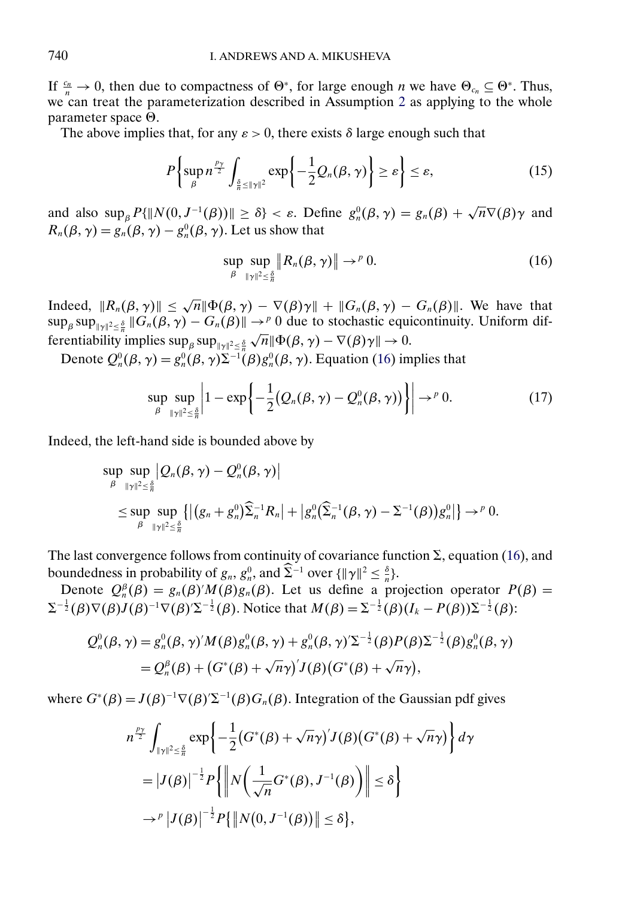<span id="page-26-0"></span>If  $\frac{c_n}{n} \to 0$ , then due to compactness of  $\Theta^*$ , for large enough *n* we have  $\Theta_{c_n} \subseteq \Theta^*$ . Thus, we can treat the parameterization described in Assumption [2](#page-17-0) as applying to the whole parameter space  $\Theta$ .

The above implies that, for any  $\varepsilon > 0$ , there exists  $\delta$  large enough such that

$$
P\left\{\sup_{\beta} n^{\frac{p_{\gamma}}{2}} \int_{\frac{\delta}{n}\le\|\gamma\|^2} \exp\left\{-\frac{1}{2}Q_n(\beta,\gamma)\right\} \geq \varepsilon\right\} \leq \varepsilon,\tag{15}
$$

and also  $\sup_{\beta} P\{\|N(0, J^{-1}(\beta))\| \geq \delta\} < \varepsilon$ . Define  $g_n^0(\beta, \gamma) = g_n(\beta) + \sqrt{n} \nabla(\beta) \gamma$  and  $R_n(\beta, \gamma) = g_n(\beta, \gamma) - g_n^0(\beta, \gamma)$ . Let us show that

$$
\sup_{\beta} \sup_{\|\gamma\|^2 \leq \frac{\delta}{n}} \|R_n(\beta, \gamma)\| \to^p 0. \tag{16}
$$

Indeed,  $||R_n(\beta, \gamma)|| \leq \sqrt{n} ||\Phi(\beta, \gamma) - \nabla(\beta)\gamma|| + ||G_n(\beta, \gamma) - G_n(\beta)||$ . We have that  $\sup_{\beta} \sup_{\|\gamma\|^2 \leq \frac{\delta}{n}} \|G_n(\beta, \gamma) - G_n(\beta)\| \to^p 0$  due to stochastic equicontinuity. Uniform differentiability implies  $\sup_{\beta} \sup_{\|\gamma\|^2 \leq \frac{\delta}{n}} \sqrt{n} \|\Phi(\beta, \gamma) - \nabla(\beta)\gamma\| \to 0.$ 

Denote  $Q_n^0(\beta, \gamma) = g_n^0(\beta, \gamma) \Sigma^{-1}(\beta) g_n^0(\beta, \gamma)$ . Equation (16) implies that

$$
\sup_{\beta} \sup_{\|\gamma\|^2 \leq \frac{\delta}{n}} \left| 1 - \exp\left\{-\frac{1}{2} \big(\mathcal{Q}_n(\beta, \gamma) - \mathcal{Q}_n^0(\beta, \gamma)\big) \right\} \right| \to^p 0. \tag{17}
$$

Indeed, the left-hand side is bounded above by

$$
\sup_{\beta} \sup_{\|\gamma\|^2 \leq \frac{\delta}{n}} |Q_n(\beta, \gamma) - Q_n^0(\beta, \gamma)|
$$
\n
$$
\leq \sup_{\beta} \sup_{\|\gamma\|^2 \leq \frac{\delta}{n}} \{ |(g_n + g_n^0) \widehat{\Sigma}_n^{-1} R_n| + |g_n^0 (\widehat{\Sigma}_n^{-1}(\beta, \gamma) - \Sigma^{-1}(\beta)) g_n^0| \} \to^p 0.
$$

The last convergence follows from continuity of covariance function  $\Sigma$ , equation (16), and boundedness in probability of  $g_n$ ,  $g_n^0$ , and  $\Sigma^{-1}$  over  $\{\|\gamma\|^2 \leq \frac{\delta}{n}\}.$ 

Denote  $Q_n^{\beta}(\beta) = g_n(\beta)'M(\beta)g_n(\beta)$ . Let us define a projection operator  $P(\beta) =$  $\Sigma^{-\frac{1}{2}}(\beta)\nabla(\beta)J(\beta)^{-1}\nabla(\beta)'\Sigma^{-\frac{1}{2}}(\beta)$ . Notice that  $M(\beta) = \Sigma^{-\frac{1}{2}}(\beta)(I_k - P(\beta))\Sigma^{-\frac{1}{2}}(\beta)$ :

$$
Q_n^0(\beta, \gamma) = g_n^0(\beta, \gamma)' M(\beta) g_n^0(\beta, \gamma) + g_n^0(\beta, \gamma)' \Sigma^{-\frac{1}{2}}(\beta) P(\beta) \Sigma^{-\frac{1}{2}}(\beta) g_n^0(\beta, \gamma)
$$
  
=  $Q_n^{\beta}(\beta) + (G^*(\beta) + \sqrt{n}\gamma)' J(\beta) (G^*(\beta) + \sqrt{n}\gamma),$ 

where  $G^*(\beta) = J(\beta)^{-1} \nabla(\beta) \Sigma^{-1}(\beta) G_n(\beta)$ . Integration of the Gaussian pdf gives

$$
n^{\frac{p_{\gamma}}{2}} \int_{\|\gamma\|^2 \leq \frac{\delta}{n}} \exp\left\{-\frac{1}{2} \left(G^*(\beta) + \sqrt{n}\gamma\right)' J(\beta) \left(G^*(\beta) + \sqrt{n}\gamma\right) \right\} d\gamma
$$
  

$$
= |J(\beta)|^{-\frac{1}{2}} P\left\{ \left\| N \left(\frac{1}{\sqrt{n}} G^*(\beta), J^{-1}(\beta) \right) \right\| \leq \delta \right\}
$$
  

$$
\rightarrow^p |J(\beta)|^{-\frac{1}{2}} P\{\| N(0, J^{-1}(\beta)) \| \leq \delta \},
$$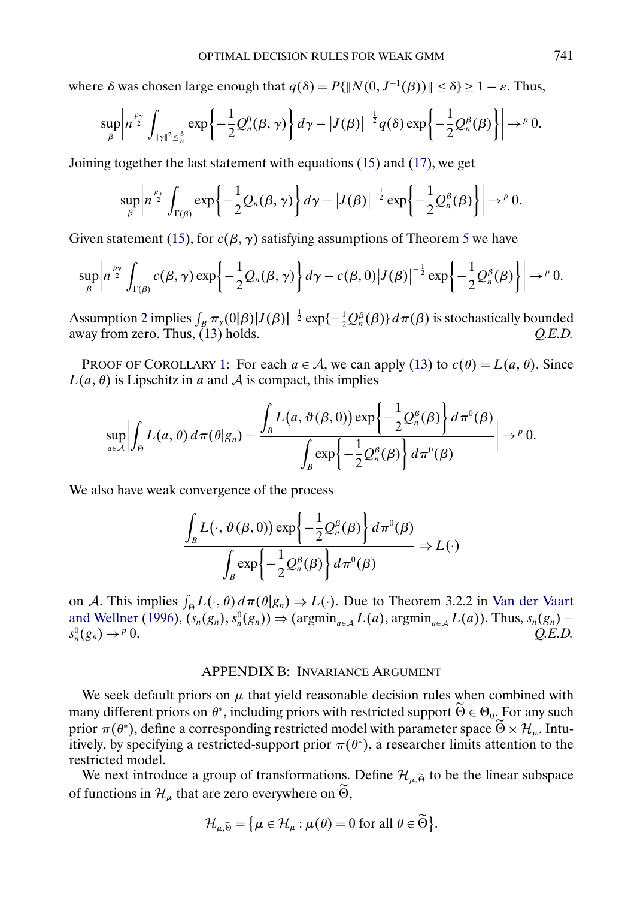<span id="page-27-0"></span>where  $\delta$  was chosen large enough that  $q(\delta) = P\{\|N(0, J^{-1}(\beta))\| \leq \delta\} \geq 1 - \varepsilon$ . Thus,

$$
\sup_{\beta} \left| n^{\frac{p_{\gamma}}{2}} \int_{\|\gamma\|^2 \leq \frac{\delta}{n}} \exp \left\{ -\frac{1}{2} Q_n^0(\beta, \gamma) \right\} d\gamma - \left| J(\beta) \right|^{-\frac{1}{2}} q(\delta) \exp \left\{ -\frac{1}{2} Q_n^{\beta}(\beta) \right\} \right| \to^p 0.
$$

Joining together the last statement with equations [\(15\)](#page-26-0) and [\(17\)](#page-26-0), we get

$$
\sup_{\beta} \left| n^{\frac{p_\gamma}{2}} \int_{\Gamma(\beta)} \exp \left\{ -\frac{1}{2} Q_n(\beta, \gamma) \right\} d\gamma - |J(\beta)|^{-\frac{1}{2}} \exp \left\{ -\frac{1}{2} Q_n^{\beta}(\beta) \right\} \right| \to^p 0.
$$

Given statement [\(15\)](#page-26-0), for  $c(\beta, \gamma)$  satisfying assumptions of Theorem [5](#page-17-0) we have

$$
\sup_{\beta} \left| n^{\frac{p_{\gamma}}{2}} \int_{\Gamma(\beta)} c(\beta, \gamma) \exp \left\{ -\frac{1}{2} Q_n(\beta, \gamma) \right\} d\gamma - c(\beta, 0) |J(\beta)|^{-\frac{1}{2}} \exp \left\{ -\frac{1}{2} Q_n^{\beta}(\beta) \right\} \right| \to^p 0.
$$

Assumption [2](#page-17-0) implies  $\int_B \pi_\gamma(0|\beta)|J(\beta)|^{-\frac{1}{2}} \exp\{-\frac{1}{2}Q_n^{\beta}(\beta)\} d\pi(\beta)$  is stochastically bounded away from zero. Thus, [\(13\)](#page-18-0) holds.  $Q.E.D.$ 

PROOF OF COROLLARY [1:](#page-18-0) For each  $a \in \mathcal{A}$ , we can apply [\(13\)](#page-18-0) to  $c(\theta) = L(a, \theta)$ . Since  $L(a, \theta)$  is Lipschitz in a and A is compact, this implies

$$
\sup_{a\in\mathcal{A}}\left|\int_{\Theta}L(a,\theta)\,d\pi(\theta|g_n)-\frac{\int_{B}L(a,\vartheta(\beta,0))\exp\left\{-\frac{1}{2}Q_n^{\beta}(\beta)\right\}d\pi^0(\beta)}{\int_{B}\exp\left\{-\frac{1}{2}Q_n^{\beta}(\beta)\right\}d\pi^0(\beta)}\right|\to^p 0.
$$

We also have weak convergence of the process

$$
\frac{\int_{B} L(\cdot, \vartheta(\beta, 0)) \exp\left\{-\frac{1}{2} Q_n^{\beta}(\beta)\right\} d\pi^0(\beta)}{\int_{B} \exp\left\{-\frac{1}{2} Q_n^{\beta}(\beta)\right\} d\pi^0(\beta)} \Rightarrow L(\cdot)
$$

on A. This implies  $\int_{\Theta} L(\cdot, \theta) d\pi(\theta | g_n) \Rightarrow L(\cdot)$ . Due to Theorem 3.2.2 in [Van der Vaart](#page-34-0) [and Wellner](#page-34-0) [\(1996\)](#page-34-0),  $(s_n(g_n), s_n^0(g_n)) \Rightarrow (\text{argmin}_{a \in A} L(a), \text{argmin}_{a \in A} L(a))$ . Thus,  $s_n(g_n)$  $s_n^0(g_n) \rightarrow^p 0$ .  $_{n}^{0}(g_{n}) \rightarrow^{p} 0.$  *Q.E.D.* 

# APPENDIX B: INVARIANCE ARGUMENT

We seek default priors on  $\mu$  that yield reasonable decision rules when combined with many different priors on  $\theta^*$ , including priors with restricted support  $\widetilde{\Theta} \in \Theta_0$ . For any such prior  $\pi(\theta^*)$ , define a corresponding restricted model with parameter space  $\widetilde{\Theta} \times \mathcal{H}_{\mu}$ . Intuitively, by specifying a restricted-support prior  $\pi(\theta^*)$ , a researcher limits attention to the restricted model.

We next introduce a group of transformations. Define  $\mathcal{H}_{\mu,\widetilde{\Theta}}$  to be the linear subspace of functions in  $\mathcal{H}_{\mu}$  that are zero everywhere on  $\widetilde{\Theta}$ ,

$$
\mathcal{H}_{\mu,\widetilde{\Theta}} = \big\{ \mu \in \mathcal{H}_{\mu} : \mu(\theta) = 0 \text{ for all } \theta \in \widetilde{\Theta} \big\}.
$$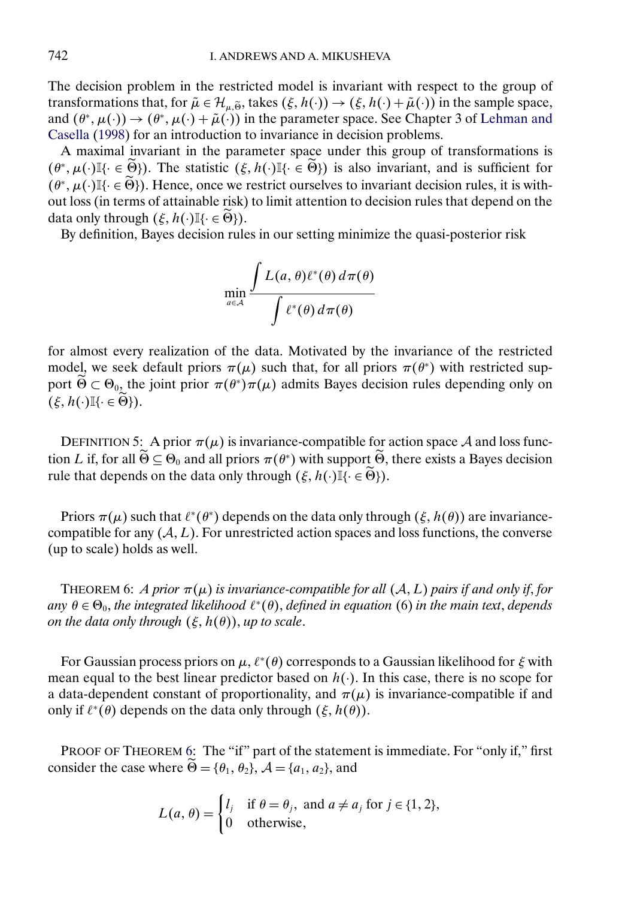<span id="page-28-0"></span>The decision problem in the restricted model is invariant with respect to the group of transformations that, for  $\tilde{\mu} \in \mathcal{H}_{\mu,\tilde{\theta}}$ , takes  $(\xi, h(\cdot)) \to (\xi, h(\cdot) + \tilde{\mu}(\cdot))$  in the sample space, and  $(\theta^*, \mu(\cdot)) \to (\theta^*, \mu(\cdot) + \tilde{\mu}(\cdot))$  in the parameter space. See Chapter 3 of [Lehman and](#page-33-0) [Casella](#page-33-0) [\(1998\)](#page-33-0) for an introduction to invariance in decision problems.

A maximal invariant in the parameter space under this group of transformations is  $(\theta^*, \mu(\cdot))$ <sup>[</sup>{ $\cdot \in \widetilde{\Theta}$ }). The statistic  $(\xi, h(\cdot))$ <sup>[</sup>{ $\cdot \in \widetilde{\Theta}$ }) is also invariant, and is sufficient for  $(\theta^*, \mu(\cdot))$ <sup>[</sup>{· ∈  $\widetilde{\Theta}$ }). Hence, once we restrict ourselves to invariant decision rules, it is without loss (in terms of attainable risk) to limit attention to decision rules that depend on the data only through  $(\xi, h(\cdot) \mathbb{I}\{\cdot \in \widetilde{\Theta}\}).$ 

By definition, Bayes decision rules in our setting minimize the quasi-posterior risk

$$
\min_{a \in \mathcal{A}} \frac{\int L(a, \theta) \ell^*(\theta) d\pi(\theta)}{\int \ell^*(\theta) d\pi(\theta)}
$$

for almost every realization of the data. Motivated by the invariance of the restricted model, we seek default priors  $\pi(\mu)$  such that, for all priors  $\pi(\theta^*)$  with restricted support  $\widetilde{\Theta} \subset \Theta_0$ , the joint prior  $\pi(\theta^*)\pi(\mu)$  admits Bayes decision rules depending only on  $(\xi, h(\cdot) \mathbb{I}\{\cdot \in \widetilde{\Theta}\}).$ 

DEFINITION 5: A prior  $\pi(\mu)$  is invariance-compatible for action space A and loss function L if, for all  $\widetilde{\Theta} \subseteq \Theta_0$  and all priors  $\pi(\theta^*)$  with support  $\widetilde{\Theta}$ , there exists a Bayes decision rule that depends on the data only through  $(\xi, h(\cdot) \mathbb{I}\{\cdot \in \widetilde{\Theta}\}).$ 

Priors  $\pi(\mu)$  such that  $\ell^*(\theta^*)$  depends on the data only through  $(\xi, h(\theta))$  are invariancecompatible for any  $(A, L)$ . For unrestricted action spaces and loss functions, the converse (up to scale) holds as well.

THEOREM 6: *A prior*  $\pi(\mu)$  *is invariance-compatible for all*  $(A, L)$  *pairs if and only if, for*  $any \theta \in \Theta_0$ , *the integrated likelihood*  $\ell^*(\theta)$ , *defined in equation* (6) *in the main text*, *depends*  $on$  the data only through  $(\xi,h(\theta)),$  up to scale.

For Gaussian process priors on  $\mu$ ,  $\ell^*(\theta)$  corresponds to a Gaussian likelihood for  $\xi$  with mean equal to the best linear predictor based on  $h(.)$ . In this case, there is no scope for a data-dependent constant of proportionality, and  $\pi(\mu)$  is invariance-compatible if and only if  $\ell^*(\theta)$  depends on the data only through  $(\xi, h(\theta))$ .

PROOF OF THEOREM 6: The "if" part of the statement is immediate. For "only if," first consider the case where  $\Theta = {\theta_1, \theta_2}, \ \mathcal{A} = \{a_1, a_2\}$ , and

$$
L(a, \theta) = \begin{cases} l_j & \text{if } \theta = \theta_j, \text{ and } a \neq a_j \text{ for } j \in \{1, 2\}, \\ 0 & \text{otherwise}, \end{cases}
$$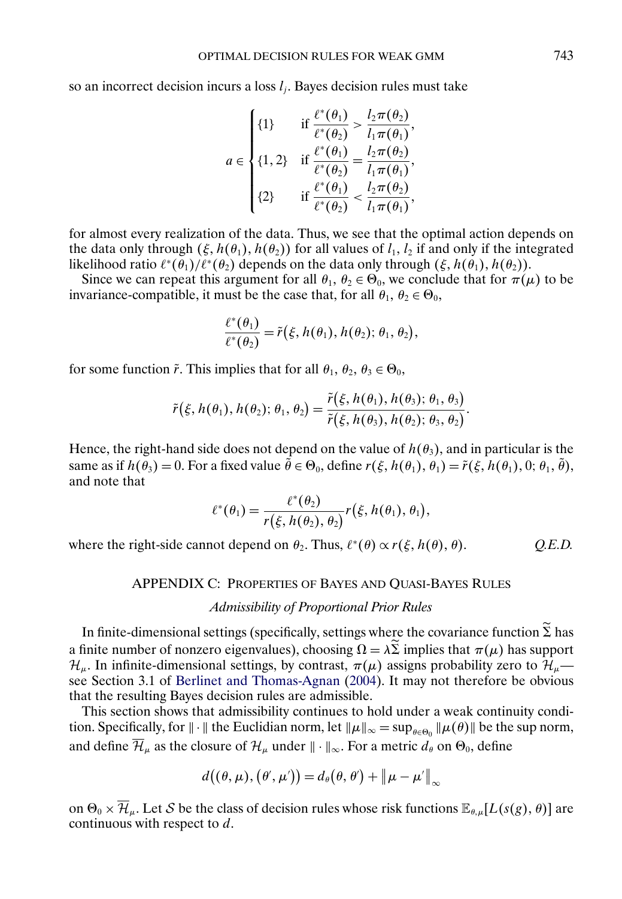<span id="page-29-0"></span>so an incorrect decision incurs a loss  $l_i$ . Bayes decision rules must take

$$
a \in \begin{cases} \{1\} & \text{if } \frac{\ell^*(\theta_1)}{\ell^*(\theta_2)} > \frac{l_2 \pi(\theta_2)}{l_1 \pi(\theta_1)}, \\ \{1, 2\} & \text{if } \frac{\ell^*(\theta_1)}{\ell^*(\theta_2)} = \frac{l_2 \pi(\theta_2)}{l_1 \pi(\theta_1)}, \\ \{2\} & \text{if } \frac{\ell^*(\theta_1)}{\ell^*(\theta_2)} < \frac{l_2 \pi(\theta_2)}{l_1 \pi(\theta_1)}, \end{cases}
$$

for almost every realization of the data. Thus, we see that the optimal action depends on the data only through  $(\xi, h(\theta_1), h(\theta_2))$  for all values of  $l_1, l_2$  if and only if the integrated likelihood ratio  $\ell^*(\theta_1)/\ell^*(\theta_2)$  depends on the data only through  $(\xi, h(\theta_1), h(\theta_2))$ .

Since we can repeat this argument for all  $\theta_1$ ,  $\theta_2 \in \Theta_0$ , we conclude that for  $\pi(\mu)$  to be invariance-compatible, it must be the case that, for all  $\theta_1$ ,  $\theta_2 \in \Theta_0$ ,

$$
\frac{\ell^*(\theta_1)}{\ell^*(\theta_2)} = \tilde{r}(\xi, h(\theta_1), h(\theta_2); \theta_1, \theta_2),
$$

for some function  $\tilde{r}$ . This implies that for all  $\theta_1$ ,  $\theta_2$ ,  $\theta_3 \in \Theta_0$ ,

$$
\tilde{r}(\xi,h(\theta_1),h(\theta_2);\theta_1,\theta_2)=\frac{\tilde{r}(\xi,h(\theta_1),h(\theta_3);\theta_1,\theta_3)}{\tilde{r}(\xi,h(\theta_3),h(\theta_2);\theta_3,\theta_2)}.
$$

Hence, the right-hand side does not depend on the value of  $h(\theta_3)$ , and in particular is the same as if  $h(\theta_3) = 0$ . For a fixed value  $\theta \in \Theta_0$ , define  $r(\xi, h(\theta_1), \theta_1) = \tilde{r}(\xi, h(\theta_1), 0; \theta_1, \theta)$ , and note that

$$
\ell^*(\theta_1) = \frac{\ell^*(\theta_2)}{r(\xi, h(\theta_2), \theta_2)} r(\xi, h(\theta_1), \theta_1),
$$

where the right-side cannot depend on  $\theta_2$ . Thus,  $\ell^*(\theta) \propto r(\xi, h(\theta))$ ,

# APPENDIX C: PROPERTIES OF BAYES AND QUASI-BAYES RULES

# *Admissibility of Proportional Prior Rules*

In finite-dimensional settings (specifically, settings where the covariance function  $\Sigma$  has a finite number of nonzero eigenvalues), choosing  $\Omega = \lambda \Sigma$  implies that  $\pi(\mu)$  has support  $\mathcal{H}_{\mu}$ . In infinite-dimensional settings, by contrast,  $\pi(\mu)$  assigns probability zero to  $\mathcal{H}_{\mu}$ — see Section 3.1 of [Berlinet and Thomas-Agnan](#page-33-0) [\(2004\)](#page-33-0). It may not therefore be obvious that the resulting Bayes decision rules are admissible.

This section shows that admissibility continues to hold under a weak continuity condition. Specifically, for  $\|\cdot\|$  the Euclidian norm, let  $\|\mu\|_{\infty} = \sup_{\theta \in \Theta_0} \|\mu(\theta)\|$  be the sup norm, and define  $\overline{\mathcal{H}}_{\mu}$  as the closure of  $\mathcal{H}_{\mu}$  under  $\|\cdot\|_{\infty}$ . For a metric  $d_{\theta}$  on  $\Theta_0$ , define

$$
d((\theta,\mu),(\theta',\mu'))=d_{\theta}(\theta,\theta')+\Vert \mu-\mu'\Vert_{\infty}
$$

on  $\Theta_0 \times \overline{\mathcal{H}}_{\mu}$ . Let S be the class of decision rules whose risk functions  $\mathbb{E}_{\theta,\mu}[L(s(g), \theta)]$  are continuous with respect to d.

θ). *Q.E.D.*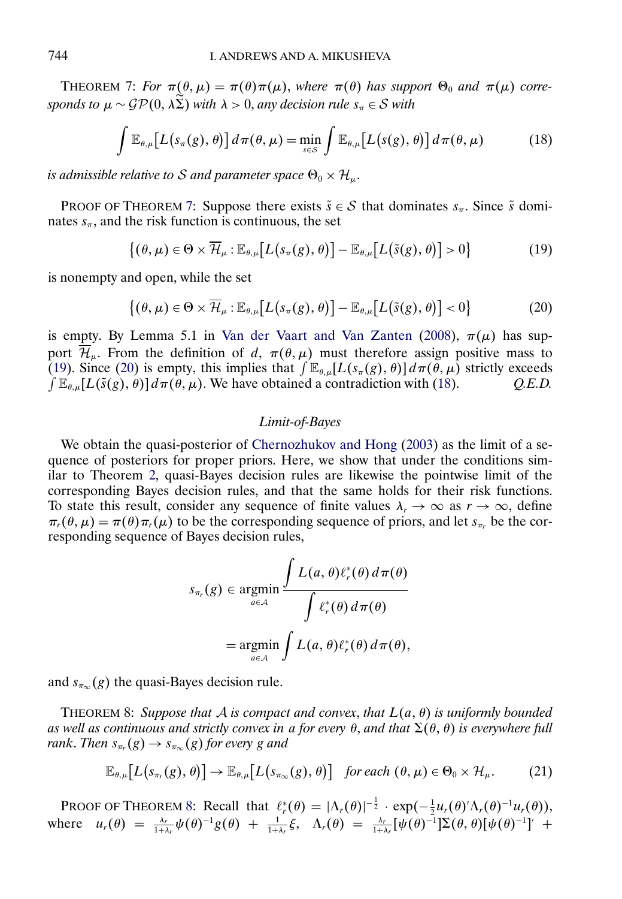<span id="page-30-0"></span>THEOREM 7: *For*  $\pi(\theta, \mu) = \pi(\theta) \pi(\mu)$ , *where*  $\pi(\theta)$  *has support*  $\Theta_0$  *and*  $\pi(\mu)$  *corresponds to*  $\mu \sim \mathcal{GP}(0, \lambda \Sigma)$  *with*  $\lambda > 0$ , *any decision rule*  $s_{\pi} \in \mathcal{S}$  *with* 

$$
\int \mathbb{E}_{\theta,\mu}[L(s_{\pi}(g),\theta)] d\pi(\theta,\mu) = \min_{s \in S} \int \mathbb{E}_{\theta,\mu}[L(s(g),\theta)] d\pi(\theta,\mu)
$$
 (18)

*is admissible relative to S and parameter space*  $\Theta_0 \times \mathcal{H}_{\mu}$ .

PROOF OF THEOREM 7: Suppose there exists  $\tilde{s} \in S$  that dominates  $s_{\pi}$ . Since  $\tilde{s}$  dominates  $s_{\pi}$ , and the risk function is continuous, the set

$$
\{(\theta,\mu)\in\Theta\times\overline{\mathcal{H}}_{\mu}:\mathbb{E}_{\theta,\mu}[L(s_{\pi}(g),\theta)]-\mathbb{E}_{\theta,\mu}[L(\tilde{s}(g),\theta)]>0\}
$$
(19)

is nonempty and open, while the set

$$
\{(\theta,\mu)\in\Theta\times\overline{\mathcal{H}}_{\mu}:\mathbb{E}_{\theta,\mu}[L(s_{\pi}(g),\theta)]-\mathbb{E}_{\theta,\mu}[L(\tilde{s}(g),\theta)]<0\}
$$
(20)

is empty. By Lemma 5.1 in [Van der Vaart and Van Zanten](#page-34-0) [\(2008\)](#page-34-0),  $\pi(\mu)$  has support  $\mathcal{H}_{\mu}$ . From the definition of d,  $\pi(\theta, \mu)$  must therefore assign positive mass to (19). Since (20) is empty, this implies that  $\int \mathbb{E}_{\theta,\mu}[L(s_{\pi}(g),\theta)] d\pi(\theta,\mu)$  strictly exceeds  $\int \mathbb{E}_{\theta,\mu}[L(\tilde{s}(g),\theta)] d\pi(\theta,\mu)$ . We have obtained a contradiction with (18). *Q.E.D.* 

#### *Limit-of-Bayes*

We obtain the quasi-posterior of [Chernozhukov and Hong](#page-33-0) [\(2003\)](#page-33-0) as the limit of a sequence of posteriors for proper priors. Here, we show that under the conditions similar to Theorem [2,](#page-8-0) quasi-Bayes decision rules are likewise the pointwise limit of the corresponding Bayes decision rules, and that the same holds for their risk functions. To state this result, consider any sequence of finite values  $\lambda_r \to \infty$  as  $r \to \infty$ , define  $\pi_r(\theta,\mu) = \pi(\theta)\pi_r(\mu)$  to be the corresponding sequence of priors, and let  $s_{\pi_r}$  be the corresponding sequence of Bayes decision rules,

$$
s_{\pi_r}(g) \in \underset{a \in \mathcal{A}}{\operatorname{argmin}} \frac{\int L(a,\theta) \ell_r^*(\theta) \, d\pi(\theta)}{\int \ell_r^*(\theta) \, d\pi(\theta)}
$$

$$
= \underset{a \in \mathcal{A}}{\operatorname{argmin}} \int L(a,\theta) \ell_r^*(\theta) \, d\pi(\theta),
$$

and  $s_{\pi_{\infty}}(g)$  the quasi-Bayes decision rule.

THEOREM 8: *Suppose that* A *is compact and convex*, *that* L(a- θ) *is uniformly bounded as well as continuous and strictly convex in* a *for every* θ, *and that* (θ- θ) *is everywhere full rank*. *Then*  $s_{\pi_r}(g) \to s_{\pi_\infty}(g)$  *for every* g *and* 

$$
\mathbb{E}_{\theta,\mu}\big[L\big(s_{\pi_r}(g),\theta\big)\big] \to \mathbb{E}_{\theta,\mu}\big[L\big(s_{\pi_\infty}(g),\theta\big)\big] \quad \text{for each } (\theta,\mu) \in \Theta_0 \times \mathcal{H}_\mu. \tag{21}
$$

PROOF OF THEOREM 8: Recall that  $\ell_r^*(\theta) = |\Lambda_r(\theta)|^{-\frac{1}{2}} \cdot \exp(-\frac{1}{2}u_r(\theta)'\Lambda_r(\theta)^{-1}u_r(\theta)),$ where  $u_r(\theta) = \frac{\lambda_r}{1+\lambda_r} \psi(\theta)^{-1} g(\theta) + \frac{1}{1+\lambda_r} \xi$ ,  $\Lambda_r(\theta) = \frac{\lambda_r}{1+\lambda_r} [\psi(\theta)^{-1}] \Sigma(\theta, \theta) [\psi(\theta)^{-1}]' +$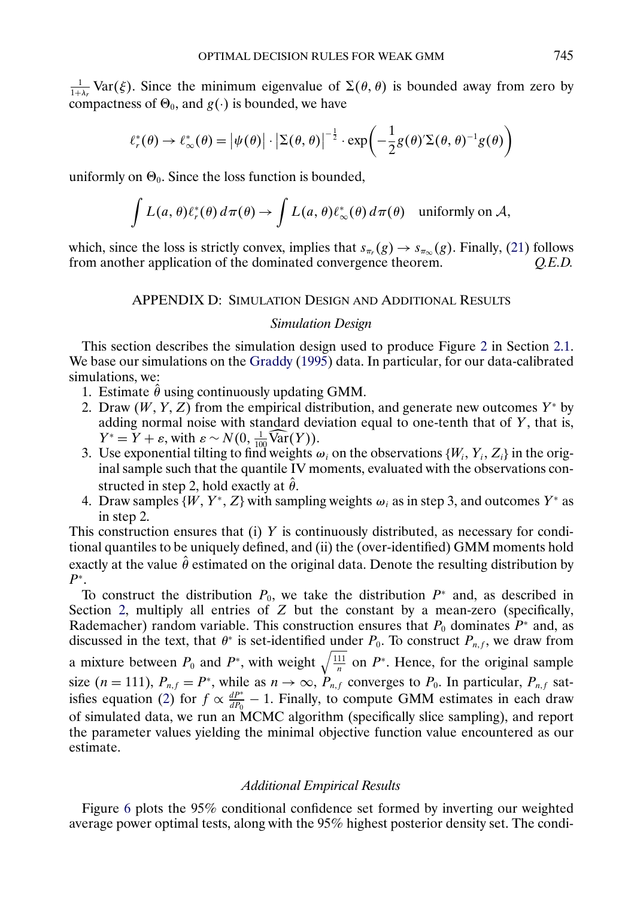<span id="page-31-0"></span> $\frac{1}{1+\lambda_r}$  Var( $\xi$ ). Since the minimum eigenvalue of  $\Sigma(\theta, \theta)$  is bounded away from zero by compactness of  $\Theta_0$ , and  $g(\cdot)$  is bounded, we have

$$
\ell_r^*(\theta) \to \ell_\infty^*(\theta) = |\psi(\theta)| \cdot \left| \Sigma(\theta, \theta) \right|^{-\frac{1}{2}} \cdot \exp\left( -\frac{1}{2} g(\theta)' \Sigma(\theta, \theta)^{-1} g(\theta) \right)
$$

uniformly on  $\Theta_0$ . Since the loss function is bounded,

$$
\int L(a,\theta)\ell_r^*(\theta) d\pi(\theta) \to \int L(a,\theta)\ell_\infty^*(\theta) d\pi(\theta) \quad \text{uniformly on } \mathcal{A},
$$

which, since the loss is strictly convex, implies that  $s_{\pi_r}(g) \to s_{\pi_\infty}(g)$ . Finally, [\(21\)](#page-30-0) follows from another application of the dominated convergence theorem. *O.E.D.* from another application of the dominated convergence theorem.

# APPENDIX D: SIMULATION DESIGN AND ADDITIONAL RESULTS

### *Simulation Design*

This section describes the simulation design used to produce Figure [2](#page-4-0) in Section [2.1.](#page-2-0) We base our simulations on the [Graddy](#page-33-0) [\(1995\)](#page-33-0) data. In particular, for our data-calibrated simulations, we:

- 1. Estimate  $\hat{\theta}$  using continuously updating GMM.
- 2. Draw  $(W, Y, Z)$  from the empirical distribution, and generate new outcomes  $Y^*$  by adding normal noise with standard deviation equal to one-tenth that of  $Y$ , that is,  $Y^* = Y + \varepsilon$ , with  $\varepsilon \sim N(0, \frac{1}{100} \widehat{\text{Var}}(Y)).$
- 3. Use exponential tilting to find weights  $\omega_i$  on the observations  $\{W_i, Y_i, Z_i\}$  in the original sample such that the quantile IV moments, evaluated with the observations constructed in step 2, hold exactly at  $\hat{\theta}$ .
- 4. Draw samples  $\{W, Y^*, Z\}$  with sampling weights  $\omega_i$  as in step 3, and outcomes  $Y^*$  as in step 2.

This construction ensures that  $(i)$  Y is continuously distributed, as necessary for conditional quantiles to be uniquely defined, and (ii) the (over-identified) GMM moments hold exactly at the value  $\hat{\theta}$  estimated on the original data. Denote the resulting distribution by  $P^*$ .

To construct the distribution  $P_0$ , we take the distribution  $P^*$  and, as described in Section [2,](#page-2-0) multiply all entries of Z but the constant by a mean-zero (specifically, Rademacher) random variable. This construction ensures that  $P_0$  dominates  $P^*$  and, as discussed in the text, that  $\theta^*$  is set-identified under  $P_0$ . To construct  $P_{n,f}$ , we draw from a mixture between  $P_0$  and  $P^*$ , with weight  $\sqrt{\frac{111}{n}}$  on  $P^*$ . Hence, for the original sample size  $(n = 111)$ ,  $P_{n,f} = P^*$ , while as  $n \to \infty$ ,  $P_{n,f}$  converges to  $P_0$ . In particular,  $P_{n,f}$  sat-isfies equation [\(2\)](#page-4-0) for  $f \propto \frac{dP^*}{dP_0} - 1$ . Finally, to compute GMM estimates in each draw of simulated data, we run an MCMC algorithm (specifically slice sampling), and report the parameter values yielding the minimal objective function value encountered as our estimate.

#### *Additional Empirical Results*

Figure [6](#page-32-0) plots the 95% conditional confidence set formed by inverting our weighted average power optimal tests, along with the 95% highest posterior density set. The condi-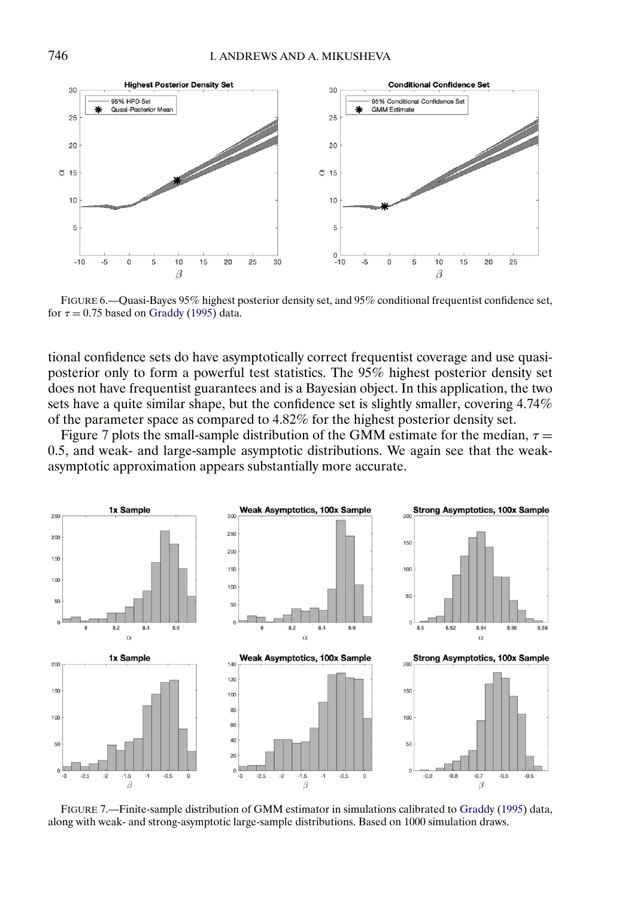<span id="page-32-0"></span>

FIGURE 6.—Quasi-Bayes 95% highest posterior density set, and 95% conditional frequentist confidence set, for  $\tau = 0.75$  based on [Graddy](#page-33-0) [\(1995\)](#page-33-0) data.

tional confidence sets do have asymptotically correct frequentist coverage and use quasiposterior only to form a powerful test statistics. The 95% highest posterior density set does not have frequentist guarantees and is a Bayesian object. In this application, the two sets have a quite similar shape, but the confidence set is slightly smaller, covering 4.74% of the parameter space as compared to 4.82% for the highest posterior density set.

Figure 7 plots the small-sample distribution of the GMM estimate for the median,  $\tau =$ 05, and weak- and large-sample asymptotic distributions. We again see that the weakasymptotic approximation appears substantially more accurate.



FIGURE 7.—Finite-sample distribution of GMM estimator in simulations calibrated to [Graddy](#page-33-0) [\(1995\)](#page-33-0) data, along with weak- and strong-asymptotic large-sample distributions. Based on 1000 simulation draws.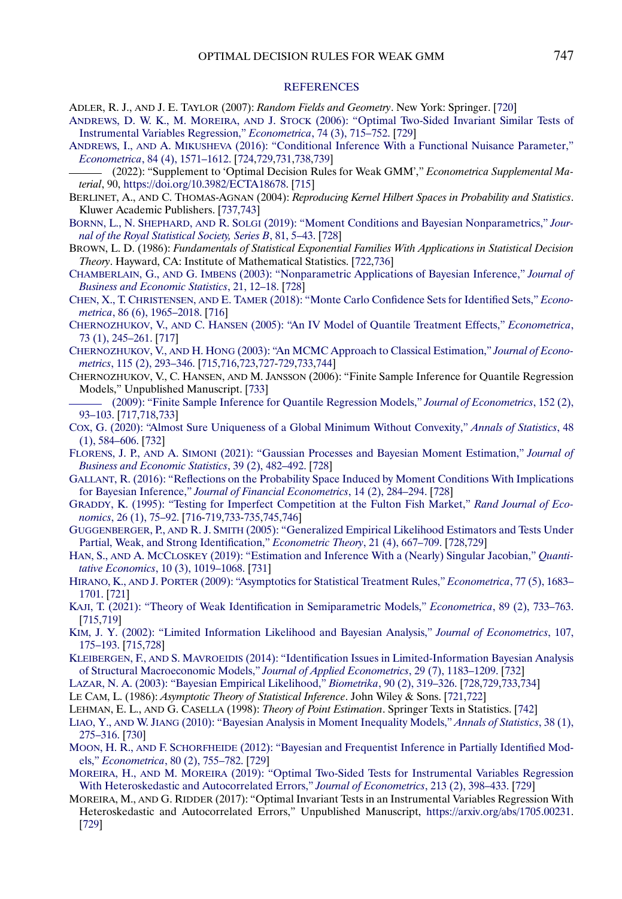#### **[REFERENCES](http://www.e-publications.org/srv/ecta/linkserver/setprefs?rfe_id=urn:sici%2F0012-9682%282022%2990%3A2%3C715%3AODRFWG%3E2.0.CO%3B2-R)**

- <span id="page-33-0"></span>ADLER, R. J., AND J. E. TAYLOR (2007): *Random Fields and Geometry*. New York: Springer. [\[720\]](#page-5-0)
- ANDREWS, D. W. K., M. MOREIRA, AND J. STOCK [\(2006\): "Optimal Two-Sided Invariant Similar Tests of](http://www.e-publications.org/srv/ecta/linkserver/openurl?rft_dat=bib:2/2&rfe_id=urn:sici%2F0012-9682%282022%2990%3A2%3C715%3AODRFWG%3E2.0.CO%3B2-R) [Instrumental Variables Regression,"](http://www.e-publications.org/srv/ecta/linkserver/openurl?rft_dat=bib:2/2&rfe_id=urn:sici%2F0012-9682%282022%2990%3A2%3C715%3AODRFWG%3E2.0.CO%3B2-R) *Econometrica*, 74 (3), 715–752. [\[729\]](#page-14-0)
- ANDREWS, I., AND A. MIKUSHEVA [\(2016\): "Conditional Inference With a Functional Nuisance Parameter,"](http://www.e-publications.org/srv/ecta/linkserver/openurl?rft_dat=bib:3/3&rfe_id=urn:sici%2F0012-9682%282022%2990%3A2%3C715%3AODRFWG%3E2.0.CO%3B2-R) *Econometrica*[, 84 \(4\), 1571–1612.](http://www.e-publications.org/srv/ecta/linkserver/openurl?rft_dat=bib:3/3&rfe_id=urn:sici%2F0012-9682%282022%2990%3A2%3C715%3AODRFWG%3E2.0.CO%3B2-R) [\[724,](#page-9-0)[729](#page-14-0)[,731](#page-16-0)[,738](#page-23-0)[,739\]](#page-24-0)
- (2022): "Supplement to 'Optimal Decision Rules for Weak GMM'," *Econometrica Supplemental Material*, 90, <https://doi.org/10.3982/ECTA18678>. [\[715\]](#page-0-0)
- BERLINET, A., AND C. THOMAS-AGNAN (2004): *Reproducing Kernel Hilbert Spaces in Probability and Statistics*. Kluwer Academic Publishers. [\[737,](#page-22-0)[743\]](#page-28-0)
- BORNN, L., N. SHEPHARD, AND R. SOLGI [\(2019\): "Moment Conditions and Bayesian Nonparametrics,"](http://www.e-publications.org/srv/ecta/linkserver/openurl?rft_dat=bib:6/5&rfe_id=urn:sici%2F0012-9682%282022%2990%3A2%3C715%3AODRFWG%3E2.0.CO%3B2-R) *Jour[nal of the Royal Statistical Society, Series B](http://www.e-publications.org/srv/ecta/linkserver/openurl?rft_dat=bib:6/5&rfe_id=urn:sici%2F0012-9682%282022%2990%3A2%3C715%3AODRFWG%3E2.0.CO%3B2-R)*, 81, 5–43. [\[728\]](#page-13-0)
- BROWN, L. D. (1986): *Fundamentals of Statistical Exponential Families With Applications in Statistical Decision Theory*. Hayward, CA: Institute of Mathematical Statistics. [\[722](#page-7-0)[,736\]](#page-21-0)
- CHAMBERLAIN, G., AND G. IMBENS [\(2003\): "Nonparametric Applications of Bayesian Inference,"](http://www.e-publications.org/srv/ecta/linkserver/openurl?rft_dat=bib:8/7&rfe_id=urn:sici%2F0012-9682%282022%2990%3A2%3C715%3AODRFWG%3E2.0.CO%3B2-R) *Journal of [Business and Economic Statistics](http://www.e-publications.org/srv/ecta/linkserver/openurl?rft_dat=bib:8/7&rfe_id=urn:sici%2F0012-9682%282022%2990%3A2%3C715%3AODRFWG%3E2.0.CO%3B2-R)*, 21, 12–18. [\[728\]](#page-13-0)
- CHEN, X., T. CHRISTENSEN, AND E. TAMER [\(2018\): "Monte Carlo Confidence Sets for Identified Sets,"](http://www.e-publications.org/srv/ecta/linkserver/openurl?rft_dat=bib:9/8&rfe_id=urn:sici%2F0012-9682%282022%2990%3A2%3C715%3AODRFWG%3E2.0.CO%3B2-R) *Econometrica*[, 86 \(6\), 1965–2018.](http://www.e-publications.org/srv/ecta/linkserver/openurl?rft_dat=bib:9/8&rfe_id=urn:sici%2F0012-9682%282022%2990%3A2%3C715%3AODRFWG%3E2.0.CO%3B2-R) [\[716\]](#page-1-0)
- CHERNOZHUKOV, V., AND C. HANSEN [\(2005\): "An IV Model of Quantile Treatment Effects,"](http://www.e-publications.org/srv/ecta/linkserver/openurl?rft_dat=bib:10/9&rfe_id=urn:sici%2F0012-9682%282022%2990%3A2%3C715%3AODRFWG%3E2.0.CO%3B2-R) *Econometrica*, [73 \(1\), 245–261.](http://www.e-publications.org/srv/ecta/linkserver/openurl?rft_dat=bib:10/9&rfe_id=urn:sici%2F0012-9682%282022%2990%3A2%3C715%3AODRFWG%3E2.0.CO%3B2-R) [\[717\]](#page-2-0)
- CHERNOZHUKOV, V., AND H. HONG [\(2003\): "An MCMC Approach to Classical Estimation,"](http://www.e-publications.org/srv/ecta/linkserver/openurl?rft_dat=bib:11/12&rfe_id=urn:sici%2F0012-9682%282022%2990%3A2%3C715%3AODRFWG%3E2.0.CO%3B2-R) *Journal of Econometrics*[, 115 \(2\), 293–346.](http://www.e-publications.org/srv/ecta/linkserver/openurl?rft_dat=bib:11/12&rfe_id=urn:sici%2F0012-9682%282022%2990%3A2%3C715%3AODRFWG%3E2.0.CO%3B2-R) [\[715](#page-0-0)[,716](#page-1-0)[,723,](#page-8-0)[727](#page-12-0)[-729](#page-14-0)[,733](#page-18-0)[,744\]](#page-29-0)
- CHERNOZHUKOV, V., C. HANSEN, AND M. JANSSON (2006): "Finite Sample Inference for Quantile Regression Models," Unpublished Manuscript. [\[733\]](#page-18-0)
- [\(2009\): "Finite Sample Inference for Quantile Regression Models,"](http://www.e-publications.org/srv/ecta/linkserver/openurl?rft_dat=bib:13/11&rfe_id=urn:sici%2F0012-9682%282022%2990%3A2%3C715%3AODRFWG%3E2.0.CO%3B2-R) *Journal of Econometrics*, 152 (2), [93–103.](http://www.e-publications.org/srv/ecta/linkserver/openurl?rft_dat=bib:13/11&rfe_id=urn:sici%2F0012-9682%282022%2990%3A2%3C715%3AODRFWG%3E2.0.CO%3B2-R) [\[717](#page-2-0)[,718,](#page-3-0)[733\]](#page-18-0)
- [COX, G. \(2020\): "Almost Sure Uniqueness of a Global Minimum Without Convexity,"](http://www.e-publications.org/srv/ecta/linkserver/openurl?rft_dat=bib:14/13&rfe_id=urn:sici%2F0012-9682%282022%2990%3A2%3C715%3AODRFWG%3E2.0.CO%3B2-R) *Annals of Statistics*, 48 [\(1\), 584–606.](http://www.e-publications.org/srv/ecta/linkserver/openurl?rft_dat=bib:14/13&rfe_id=urn:sici%2F0012-9682%282022%2990%3A2%3C715%3AODRFWG%3E2.0.CO%3B2-R) [\[732\]](#page-17-0)
- FLORENS, J. P., AND A. SIMONI [\(2021\): "Gaussian Processes and Bayesian Moment Estimation,"](http://www.e-publications.org/srv/ecta/linkserver/openurl?rft_dat=bib:15/14&rfe_id=urn:sici%2F0012-9682%282022%2990%3A2%3C715%3AODRFWG%3E2.0.CO%3B2-R) *Journal of [Business and Economic Statistics](http://www.e-publications.org/srv/ecta/linkserver/openurl?rft_dat=bib:15/14&rfe_id=urn:sici%2F0012-9682%282022%2990%3A2%3C715%3AODRFWG%3E2.0.CO%3B2-R)*, 39 (2), 482–492. [\[728\]](#page-13-0)
- [GALLANT, R. \(2016\): "Reflections on the Probability Space Induced by Moment Conditions With Implications](http://www.e-publications.org/srv/ecta/linkserver/openurl?rft_dat=bib:16/15&rfe_id=urn:sici%2F0012-9682%282022%2990%3A2%3C715%3AODRFWG%3E2.0.CO%3B2-R) for Bayesian Inference," *[Journal of Financial Econometrics](http://www.e-publications.org/srv/ecta/linkserver/openurl?rft_dat=bib:16/15&rfe_id=urn:sici%2F0012-9682%282022%2990%3A2%3C715%3AODRFWG%3E2.0.CO%3B2-R)*, 14 (2), 284–294. [\[728\]](#page-13-0)
- [GRADDY, K. \(1995\): "Testing for Imperfect Competition at the Fulton Fish Market,"](http://www.e-publications.org/srv/ecta/linkserver/openurl?rft_dat=bib:17/16&rfe_id=urn:sici%2F0012-9682%282022%2990%3A2%3C715%3AODRFWG%3E2.0.CO%3B2-R) *Rand Journal of Economics*[, 26 \(1\), 75–92.](http://www.e-publications.org/srv/ecta/linkserver/openurl?rft_dat=bib:17/16&rfe_id=urn:sici%2F0012-9682%282022%2990%3A2%3C715%3AODRFWG%3E2.0.CO%3B2-R) [\[716](#page-1-0)[-719](#page-4-0)[,733-](#page-18-0)[735](#page-20-0)[,745](#page-30-0)[,746\]](#page-31-0)
- GUGGENBERGER, P., AND R. J. SMITH [\(2005\): "Generalized Empirical Likelihood Estimators and Tests Under](http://www.e-publications.org/srv/ecta/linkserver/openurl?rft_dat=bib:18/17&rfe_id=urn:sici%2F0012-9682%282022%2990%3A2%3C715%3AODRFWG%3E2.0.CO%3B2-R) [Partial, Weak, and Strong Identification,"](http://www.e-publications.org/srv/ecta/linkserver/openurl?rft_dat=bib:18/17&rfe_id=urn:sici%2F0012-9682%282022%2990%3A2%3C715%3AODRFWG%3E2.0.CO%3B2-R) *Econometric Theory*, 21 (4), 667–709. [\[728](#page-13-0)[,729\]](#page-14-0)
- HAN, S., AND A. MCCLOSKEY [\(2019\): "Estimation and Inference With a \(Nearly\) Singular Jacobian,"](http://www.e-publications.org/srv/ecta/linkserver/openurl?rft_dat=bib:19/18&rfe_id=urn:sici%2F0012-9682%282022%2990%3A2%3C715%3AODRFWG%3E2.0.CO%3B2-R) *Quantitative Economics*[, 10 \(3\), 1019–1068.](http://www.e-publications.org/srv/ecta/linkserver/openurl?rft_dat=bib:19/18&rfe_id=urn:sici%2F0012-9682%282022%2990%3A2%3C715%3AODRFWG%3E2.0.CO%3B2-R) [\[731\]](#page-16-0)
- HIRANO, K., AND J. PORTER [\(2009\): "Asymptotics for Statistical Treatment Rules,"](http://www.e-publications.org/srv/ecta/linkserver/openurl?rft_dat=bib:20/19&rfe_id=urn:sici%2F0012-9682%282022%2990%3A2%3C715%3AODRFWG%3E2.0.CO%3B2-R) *Econometrica*, 77 (5), 1683– [1701.](http://www.e-publications.org/srv/ecta/linkserver/openurl?rft_dat=bib:20/19&rfe_id=urn:sici%2F0012-9682%282022%2990%3A2%3C715%3AODRFWG%3E2.0.CO%3B2-R) [\[721\]](#page-6-0)
- [KAJI, T. \(2021\): "Theory of Weak Identification in Semiparametric Models,"](http://www.e-publications.org/srv/ecta/linkserver/openurl?rft_dat=bib:21/20&rfe_id=urn:sici%2F0012-9682%282022%2990%3A2%3C715%3AODRFWG%3E2.0.CO%3B2-R) *Econometrica*, 89 (2), 733–763. [\[715,](#page-0-0)[719\]](#page-4-0)
- [KIM, J. Y. \(2002\): "Limited Information Likelihood and Bayesian Analysis,"](http://www.e-publications.org/srv/ecta/linkserver/openurl?rft_dat=bib:22/21&rfe_id=urn:sici%2F0012-9682%282022%2990%3A2%3C715%3AODRFWG%3E2.0.CO%3B2-R) *Journal of Econometrics*, 107, [175–193.](http://www.e-publications.org/srv/ecta/linkserver/openurl?rft_dat=bib:22/21&rfe_id=urn:sici%2F0012-9682%282022%2990%3A2%3C715%3AODRFWG%3E2.0.CO%3B2-R) [\[715](#page-0-0)[,728\]](#page-13-0)
- KLEIBERGEN, F., AND S. MAVROEIDIS [\(2014\): "Identification Issues in Limited-Information Bayesian Analysis](http://www.e-publications.org/srv/ecta/linkserver/openurl?rft_dat=bib:23/22&rfe_id=urn:sici%2F0012-9682%282022%2990%3A2%3C715%3AODRFWG%3E2.0.CO%3B2-R) [of Structural Macroeconomic Models,"](http://www.e-publications.org/srv/ecta/linkserver/openurl?rft_dat=bib:23/22&rfe_id=urn:sici%2F0012-9682%282022%2990%3A2%3C715%3AODRFWG%3E2.0.CO%3B2-R) *Journal of Applied Econometrics*, 29 (7), 1183–1209. [\[732\]](#page-17-0)
- [LAZAR, N. A. \(2003\): "Bayesian Empirical Likelihood,"](http://www.e-publications.org/srv/ecta/linkserver/openurl?rft_dat=bib:24/23&rfe_id=urn:sici%2F0012-9682%282022%2990%3A2%3C715%3AODRFWG%3E2.0.CO%3B2-R) *Biometrika*, 90 (2), 319–326. [\[728](#page-13-0)[,729,](#page-14-0)[733,](#page-18-0)[734\]](#page-19-0)
- LE CAM, L. (1986): *Asymptotic Theory of Statistical Inference*. John Wiley & Sons. [\[721,](#page-6-0)[722\]](#page-7-0)
- LEHMAN, E. L., AND G. CASELLA (1998): *Theory of Point Estimation*. Springer Texts in Statistics. [\[742\]](#page-27-0)
- LIAO, Y., AND W. JIANG [\(2010\): "Bayesian Analysis in Moment Inequality Models,"](http://www.e-publications.org/srv/ecta/linkserver/openurl?rft_dat=bib:27/26&rfe_id=urn:sici%2F0012-9682%282022%2990%3A2%3C715%3AODRFWG%3E2.0.CO%3B2-R) *Annals of Statistics*, 38 (1), [275–316.](http://www.e-publications.org/srv/ecta/linkserver/openurl?rft_dat=bib:27/26&rfe_id=urn:sici%2F0012-9682%282022%2990%3A2%3C715%3AODRFWG%3E2.0.CO%3B2-R) [\[730\]](#page-15-0)
- MOON, H. R., AND F. SCHORFHEIDE [\(2012\): "Bayesian and Frequentist Inference in Partially Identified Mod](http://www.e-publications.org/srv/ecta/linkserver/openurl?rft_dat=bib:28/27&rfe_id=urn:sici%2F0012-9682%282022%2990%3A2%3C715%3AODRFWG%3E2.0.CO%3B2-R)els," *Econometrica*[, 80 \(2\), 755–782.](http://www.e-publications.org/srv/ecta/linkserver/openurl?rft_dat=bib:28/27&rfe_id=urn:sici%2F0012-9682%282022%2990%3A2%3C715%3AODRFWG%3E2.0.CO%3B2-R) [\[729\]](#page-14-0)
- MOREIRA, H., AND M. MOREIRA [\(2019\): "Optimal Two-Sided Tests for Instrumental Variables Regression](http://www.e-publications.org/srv/ecta/linkserver/openurl?rft_dat=bib:29/28&rfe_id=urn:sici%2F0012-9682%282022%2990%3A2%3C715%3AODRFWG%3E2.0.CO%3B2-R) [With Heteroskedastic and Autocorrelated Errors,"](http://www.e-publications.org/srv/ecta/linkserver/openurl?rft_dat=bib:29/28&rfe_id=urn:sici%2F0012-9682%282022%2990%3A2%3C715%3AODRFWG%3E2.0.CO%3B2-R) *Journal of Econometrics*, 213 (2), 398–433. [\[729\]](#page-14-0)
- MOREIRA, M., AND G. RIDDER (2017): "Optimal Invariant Tests in an Instrumental Variables Regression With Heteroskedastic and Autocorrelated Errors," Unpublished Manuscript, <https://arxiv.org/abs/1705.00231>. [\[729\]](#page-14-0)